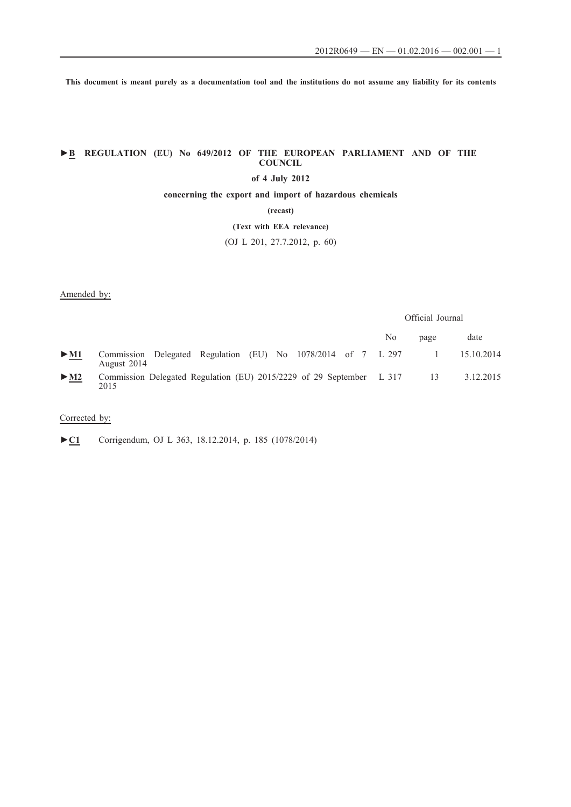**This document is meant purely as a documentation tool and the institutions do not assume any liability for its contents**

# **►B REGULATION (EU) No 649/2012 OF THE EUROPEAN PARLIAMENT AND OF THE COUNCIL**

## **of 4 July 2012**

**concerning the export and import of hazardous chemicals**

**(recast)**

**(Text with EEA relevance)**

(OJ L 201, 27.7.2012, p. 60)

### Amended by:

### Official Journal

|        |                                                                              | No | page           | date       |
|--------|------------------------------------------------------------------------------|----|----------------|------------|
| $>$ M1 | Commission Delegated Regulation (EU) No 1078/2014 of 7 L 297<br>August 2014  |    |                | 15.10.2014 |
| $>$ M2 | Commission Delegated Regulation (EU) 2015/2229 of 29 September L 317<br>2015 |    | $\frac{13}{2}$ | 3.12.2015  |

## Corrected by:

►**C1** Corrigendum, OJ L 363, 18.12.2014, p. 185 (1078/2014)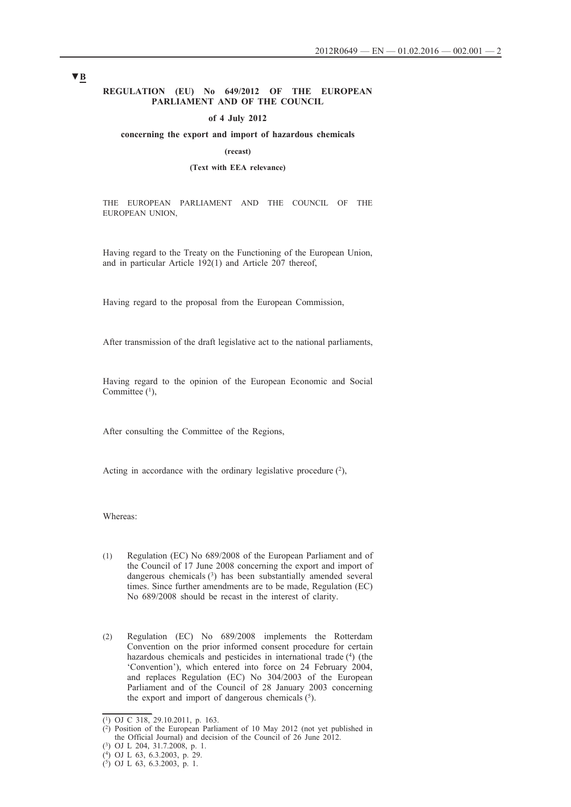### **REGULATION (EU) No 649/2012 OF THE EUROPEAN PARLIAMENT AND OF THE COUNCIL**

#### **of 4 July 2012**

### **concerning the export and import of hazardous chemicals**

### **(recast)**

### **(Text with EEA relevance)**

THE EUROPEAN PARLIAMENT AND THE COUNCIL OF THE EUROPEAN UNION,

Having regard to the Treaty on the Functioning of the European Union, and in particular Article 192(1) and Article 207 thereof,

Having regard to the proposal from the European Commission,

After transmission of the draft legislative act to the national parliaments,

Having regard to the opinion of the European Economic and Social Committee (1),

After consulting the Committee of the Regions,

Acting in accordance with the ordinary legislative procedure  $(2)$ ,

Whereas:

- (1) Regulation (EC) No 689/2008 of the European Parliament and of the Council of 17 June 2008 concerning the export and import of dangerous chemicals (3) has been substantially amended several times. Since further amendments are to be made, Regulation (EC) No 689/2008 should be recast in the interest of clarity.
- (2) Regulation (EC) No 689/2008 implements the Rotterdam Convention on the prior informed consent procedure for certain hazardous chemicals and pesticides in international trade (4) (the 'Convention'), which entered into force on 24 February 2004, and replaces Regulation (EC) No 304/2003 of the European Parliament and of the Council of 28 January 2003 concerning the export and import of dangerous chemicals  $(5)$ .

<sup>(1)</sup> OJ C 318, 29.10.2011, p. 163.

 $(2)$  Position of the European Parliament of 10 May 2012 (not yet published in the Official Journal) and decision of the Council of 26 June 2012.

<sup>(3)</sup> OJ L 204, 31.7.2008, p. 1.

<sup>(4)</sup> OJ L 63, 6.3.2003, p. 29.

<sup>(5)</sup> OJ L 63, 6.3.2003, p. 1.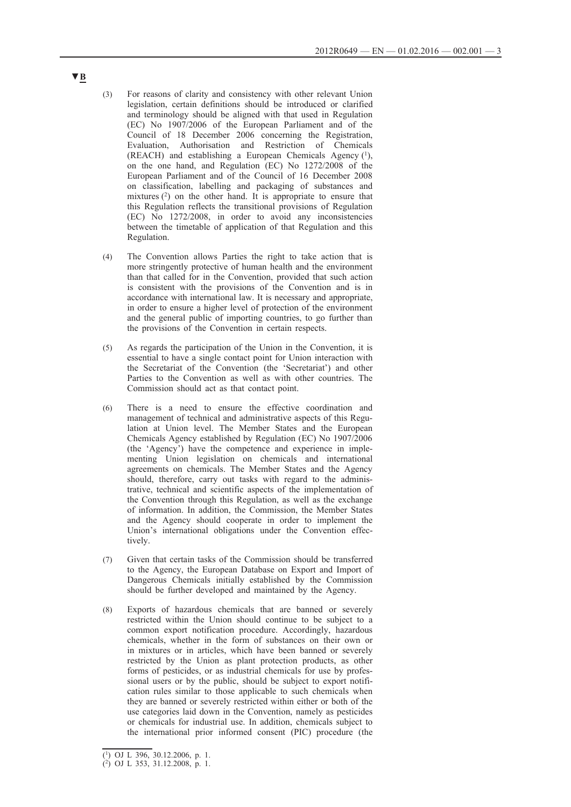- (3) For reasons of clarity and consistency with other relevant Union legislation, certain definitions should be introduced or clarified and terminology should be aligned with that used in Regulation (EC) No 1907/2006 of the European Parliament and of the Council of 18 December 2006 concerning the Registration, Evaluation, Authorisation and Restriction of Chemicals (REACH) and establishing a European Chemicals Agency (1), on the one hand, and Regulation (EC) No 1272/2008 of the European Parliament and of the Council of 16 December 2008 on classification, labelling and packaging of substances and mixtures  $(2)$  on the other hand. It is appropriate to ensure that this Regulation reflects the transitional provisions of Regulation (EC) No 1272/2008, in order to avoid any inconsistencies between the timetable of application of that Regulation and this Regulation.
- (4) The Convention allows Parties the right to take action that is more stringently protective of human health and the environment than that called for in the Convention, provided that such action is consistent with the provisions of the Convention and is in accordance with international law. It is necessary and appropriate, in order to ensure a higher level of protection of the environment and the general public of importing countries, to go further than the provisions of the Convention in certain respects.
- (5) As regards the participation of the Union in the Convention, it is essential to have a single contact point for Union interaction with the Secretariat of the Convention (the 'Secretariat') and other Parties to the Convention as well as with other countries. The Commission should act as that contact point.
- (6) There is a need to ensure the effective coordination and management of technical and administrative aspects of this Regulation at Union level. The Member States and the European Chemicals Agency established by Regulation (EC) No 1907/2006 (the 'Agency') have the competence and experience in implementing Union legislation on chemicals and international agreements on chemicals. The Member States and the Agency should, therefore, carry out tasks with regard to the administrative, technical and scientific aspects of the implementation of the Convention through this Regulation, as well as the exchange of information. In addition, the Commission, the Member States and the Agency should cooperate in order to implement the Union's international obligations under the Convention effectively.
- (7) Given that certain tasks of the Commission should be transferred to the Agency, the European Database on Export and Import of Dangerous Chemicals initially established by the Commission should be further developed and maintained by the Agency.
- (8) Exports of hazardous chemicals that are banned or severely restricted within the Union should continue to be subject to a common export notification procedure. Accordingly, hazardous chemicals, whether in the form of substances on their own or in mixtures or in articles, which have been banned or severely restricted by the Union as plant protection products, as other forms of pesticides, or as industrial chemicals for use by professional users or by the public, should be subject to export notification rules similar to those applicable to such chemicals when they are banned or severely restricted within either or both of the use categories laid down in the Convention, namely as pesticides or chemicals for industrial use. In addition, chemicals subject to the international prior informed consent (PIC) procedure (the

<sup>(1)</sup> OJ L 396, 30.12.2006, p. 1.

 $(2)$  OJ L 353, 31.12.2008, p. 1.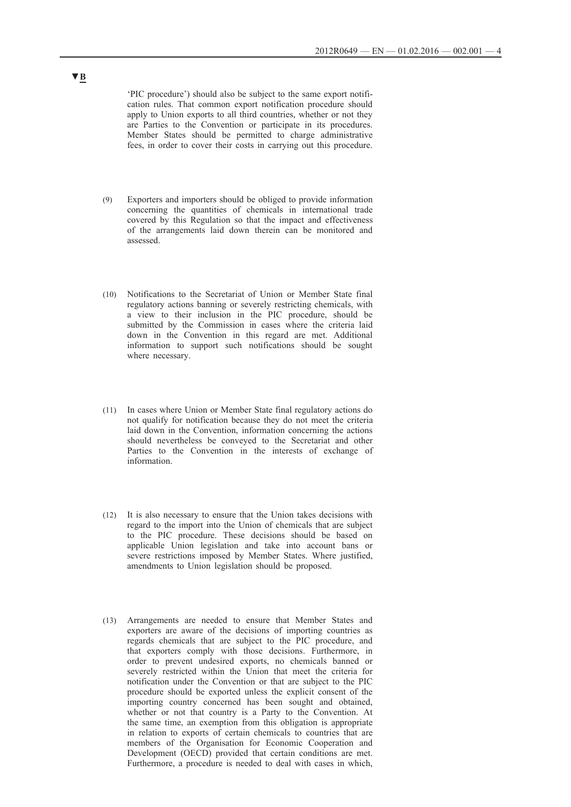'PIC procedure') should also be subject to the same export notification rules. That common export notification procedure should apply to Union exports to all third countries, whether or not they are Parties to the Convention or participate in its procedures. Member States should be permitted to charge administrative fees, in order to cover their costs in carrying out this procedure.

- (9) Exporters and importers should be obliged to provide information concerning the quantities of chemicals in international trade covered by this Regulation so that the impact and effectiveness of the arrangements laid down therein can be monitored and assessed.
- (10) Notifications to the Secretariat of Union or Member State final regulatory actions banning or severely restricting chemicals, with a view to their inclusion in the PIC procedure, should be submitted by the Commission in cases where the criteria laid down in the Convention in this regard are met. Additional information to support such notifications should be sought where necessary.
- (11) In cases where Union or Member State final regulatory actions do not qualify for notification because they do not meet the criteria laid down in the Convention, information concerning the actions should nevertheless be conveyed to the Secretariat and other Parties to the Convention in the interests of exchange of information.
- (12) It is also necessary to ensure that the Union takes decisions with regard to the import into the Union of chemicals that are subject to the PIC procedure. These decisions should be based on applicable Union legislation and take into account bans or severe restrictions imposed by Member States. Where justified, amendments to Union legislation should be proposed.
- (13) Arrangements are needed to ensure that Member States and exporters are aware of the decisions of importing countries as regards chemicals that are subject to the PIC procedure, and that exporters comply with those decisions. Furthermore, in order to prevent undesired exports, no chemicals banned or severely restricted within the Union that meet the criteria for notification under the Convention or that are subject to the PIC procedure should be exported unless the explicit consent of the importing country concerned has been sought and obtained, whether or not that country is a Party to the Convention. At the same time, an exemption from this obligation is appropriate in relation to exports of certain chemicals to countries that are members of the Organisation for Economic Cooperation and Development (OECD) provided that certain conditions are met. Furthermore, a procedure is needed to deal with cases in which,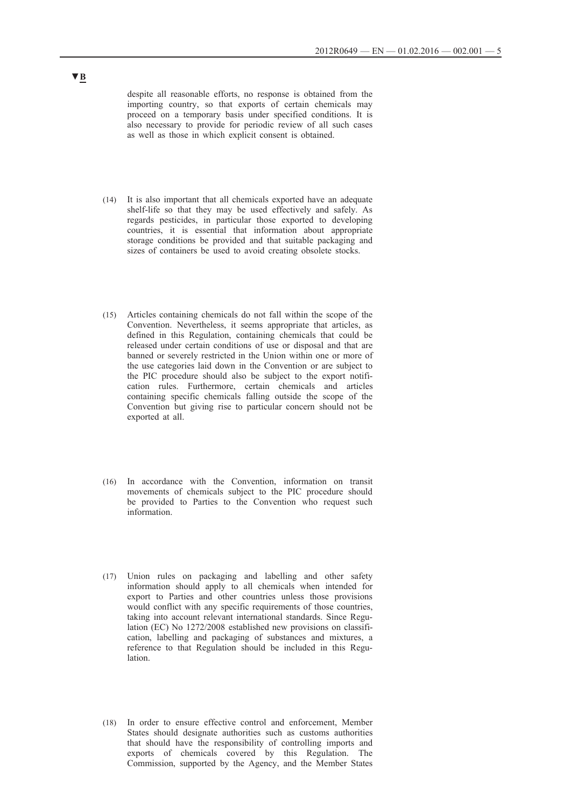despite all reasonable efforts, no response is obtained from the importing country, so that exports of certain chemicals may proceed on a temporary basis under specified conditions. It is also necessary to provide for periodic review of all such cases as well as those in which explicit consent is obtained.

- (14) It is also important that all chemicals exported have an adequate shelf-life so that they may be used effectively and safely. As regards pesticides, in particular those exported to developing countries, it is essential that information about appropriate storage conditions be provided and that suitable packaging and sizes of containers be used to avoid creating obsolete stocks.
- (15) Articles containing chemicals do not fall within the scope of the Convention. Nevertheless, it seems appropriate that articles, as defined in this Regulation, containing chemicals that could be released under certain conditions of use or disposal and that are banned or severely restricted in the Union within one or more of the use categories laid down in the Convention or are subject to the PIC procedure should also be subject to the export notification rules. Furthermore, certain chemicals and articles containing specific chemicals falling outside the scope of the Convention but giving rise to particular concern should not be exported at all.
- (16) In accordance with the Convention, information on transit movements of chemicals subject to the PIC procedure should be provided to Parties to the Convention who request such information.
- (17) Union rules on packaging and labelling and other safety information should apply to all chemicals when intended for export to Parties and other countries unless those provisions would conflict with any specific requirements of those countries, taking into account relevant international standards. Since Regulation (EC) No 1272/2008 established new provisions on classification, labelling and packaging of substances and mixtures, a reference to that Regulation should be included in this Regulation.
- (18) In order to ensure effective control and enforcement, Member States should designate authorities such as customs authorities that should have the responsibility of controlling imports and exports of chemicals covered by this Regulation. The Commission, supported by the Agency, and the Member States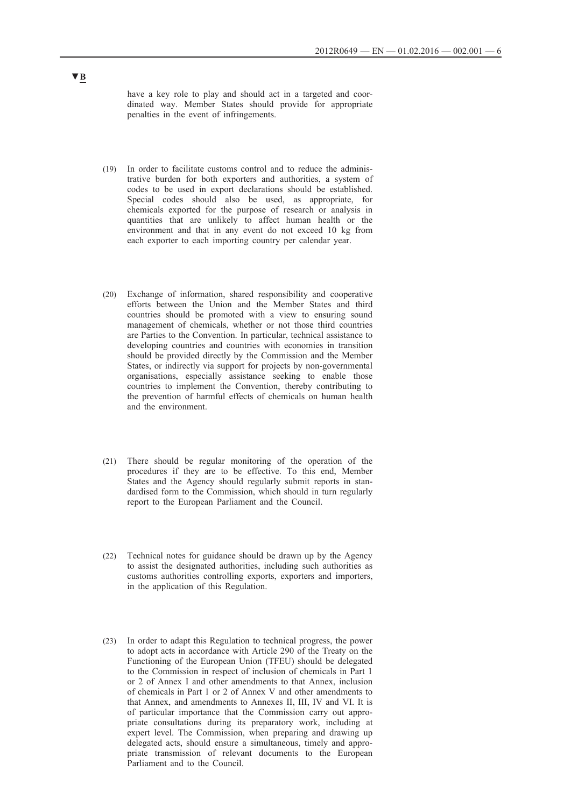have a key role to play and should act in a targeted and coordinated way. Member States should provide for appropriate penalties in the event of infringements.

- (19) In order to facilitate customs control and to reduce the administrative burden for both exporters and authorities, a system of codes to be used in export declarations should be established. Special codes should also be used, as appropriate, for chemicals exported for the purpose of research or analysis in quantities that are unlikely to affect human health or the environment and that in any event do not exceed 10 kg from each exporter to each importing country per calendar year.
- (20) Exchange of information, shared responsibility and cooperative efforts between the Union and the Member States and third countries should be promoted with a view to ensuring sound management of chemicals, whether or not those third countries are Parties to the Convention. In particular, technical assistance to developing countries and countries with economies in transition should be provided directly by the Commission and the Member States, or indirectly via support for projects by non-governmental organisations, especially assistance seeking to enable those countries to implement the Convention, thereby contributing to the prevention of harmful effects of chemicals on human health and the environment.
- (21) There should be regular monitoring of the operation of the procedures if they are to be effective. To this end, Member States and the Agency should regularly submit reports in standardised form to the Commission, which should in turn regularly report to the European Parliament and the Council.
- (22) Technical notes for guidance should be drawn up by the Agency to assist the designated authorities, including such authorities as customs authorities controlling exports, exporters and importers, in the application of this Regulation.
- (23) In order to adapt this Regulation to technical progress, the power to adopt acts in accordance with Article 290 of the Treaty on the Functioning of the European Union (TFEU) should be delegated to the Commission in respect of inclusion of chemicals in Part 1 or 2 of Annex I and other amendments to that Annex, inclusion of chemicals in Part 1 or 2 of Annex V and other amendments to that Annex, and amendments to Annexes II, III, IV and VI. It is of particular importance that the Commission carry out appropriate consultations during its preparatory work, including at expert level. The Commission, when preparing and drawing up delegated acts, should ensure a simultaneous, timely and appropriate transmission of relevant documents to the European Parliament and to the Council.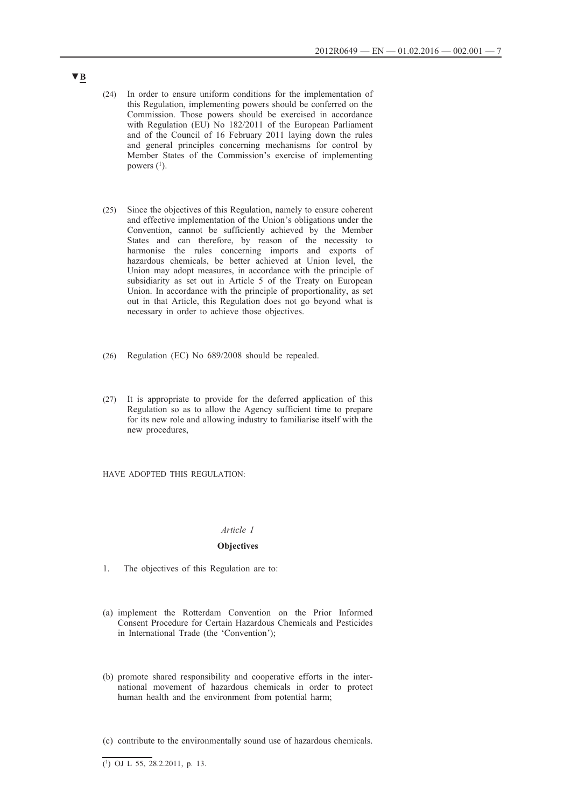- (24) In order to ensure uniform conditions for the implementation of this Regulation, implementing powers should be conferred on the Commission. Those powers should be exercised in accordance with Regulation (EU) No 182/2011 of the European Parliament and of the Council of 16 February 2011 laying down the rules and general principles concerning mechanisms for control by Member States of the Commission's exercise of implementing powers  $(1)$ .
- (25) Since the objectives of this Regulation, namely to ensure coherent and effective implementation of the Union's obligations under the Convention, cannot be sufficiently achieved by the Member States and can therefore, by reason of the necessity to harmonise the rules concerning imports and exports of hazardous chemicals, be better achieved at Union level, the Union may adopt measures, in accordance with the principle of subsidiarity as set out in Article 5 of the Treaty on European Union. In accordance with the principle of proportionality, as set out in that Article, this Regulation does not go beyond what is necessary in order to achieve those objectives.
- (26) Regulation (EC) No 689/2008 should be repealed.
- (27) It is appropriate to provide for the deferred application of this Regulation so as to allow the Agency sufficient time to prepare for its new role and allowing industry to familiarise itself with the new procedures,

HAVE ADOPTED THIS REGULATION:

#### *Article 1*

### **Objectives**

- 1. The objectives of this Regulation are to:
- (a) implement the Rotterdam Convention on the Prior Informed Consent Procedure for Certain Hazardous Chemicals and Pesticides in International Trade (the 'Convention');
- (b) promote shared responsibility and cooperative efforts in the international movement of hazardous chemicals in order to protect human health and the environment from potential harm;
- (c) contribute to the environmentally sound use of hazardous chemicals.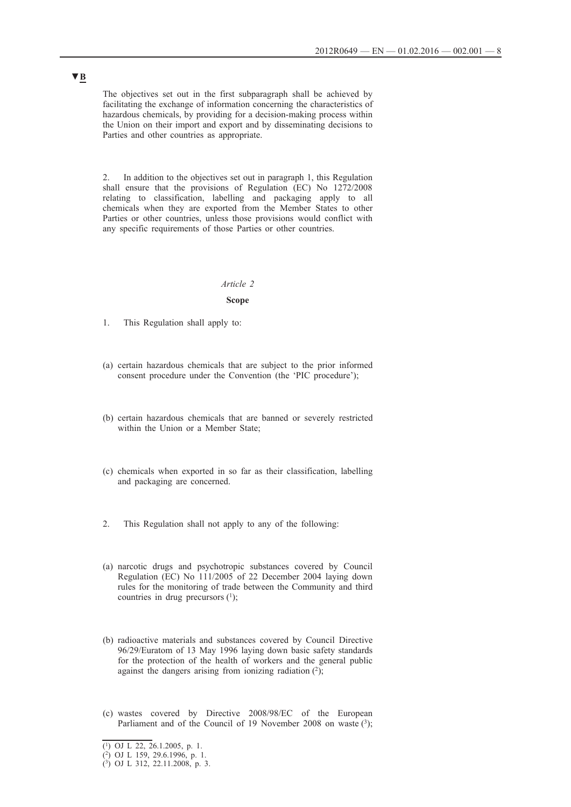The objectives set out in the first subparagraph shall be achieved by facilitating the exchange of information concerning the characteristics of hazardous chemicals, by providing for a decision-making process within the Union on their import and export and by disseminating decisions to Parties and other countries as appropriate.

2. In addition to the objectives set out in paragraph 1, this Regulation shall ensure that the provisions of Regulation (EC) No 1272/2008 relating to classification, labelling and packaging apply to all chemicals when they are exported from the Member States to other Parties or other countries, unless those provisions would conflict with any specific requirements of those Parties or other countries.

#### *Article 2*

#### **Scope**

- 1. This Regulation shall apply to:
- (a) certain hazardous chemicals that are subject to the prior informed consent procedure under the Convention (the 'PIC procedure');
- (b) certain hazardous chemicals that are banned or severely restricted within the Union or a Member State;
- (c) chemicals when exported in so far as their classification, labelling and packaging are concerned.
- 2. This Regulation shall not apply to any of the following:
- (a) narcotic drugs and psychotropic substances covered by Council Regulation (EC) No 111/2005 of 22 December 2004 laying down rules for the monitoring of trade between the Community and third countries in drug precursors  $(1)$ ;
- (b) radioactive materials and substances covered by Council Directive 96/29/Euratom of 13 May 1996 laying down basic safety standards for the protection of the health of workers and the general public against the dangers arising from ionizing radiation  $(2)$ ;
- (c) wastes covered by Directive 2008/98/EC of the European Parliament and of the Council of 19 November 2008 on waste  $(3)$ ;

<sup>(1)</sup> OJ L 22, 26.1.2005, p. 1.

<sup>(2)</sup> OJ L 159, 29.6.1996, p. 1.

<sup>(3)</sup> OJ L 312, 22.11.2008, p. 3.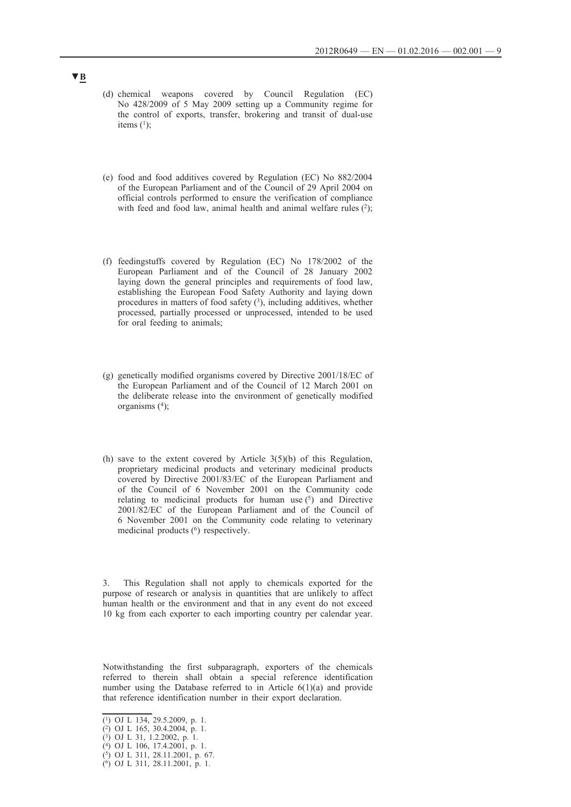- (d) chemical weapons covered by Council Regulation (EC) No 428/2009 of 5 May 2009 setting up a Community regime for the control of exports, transfer, brokering and transit of dual-use items  $(^{1})$ ;
- (e) food and food additives covered by Regulation (EC) No 882/2004 of the European Parliament and of the Council of 29 April 2004 on official controls performed to ensure the verification of compliance with feed and food law, animal health and animal welfare rules  $(2)$ ;
- (f) feedingstuffs covered by Regulation (EC) No 178/2002 of the European Parliament and of the Council of 28 January 2002 laying down the general principles and requirements of food law, establishing the European Food Safety Authority and laying down procedures in matters of food safety  $(3)$ , including additives, whether processed, partially processed or unprocessed, intended to be used for oral feeding to animals;
- (g) genetically modified organisms covered by Directive 2001/18/EC of the European Parliament and of the Council of 12 March 2001 on the deliberate release into the environment of genetically modified organisms  $(4)$ ;
- (h) save to the extent covered by Article  $3(5)(b)$  of this Regulation, proprietary medicinal products and veterinary medicinal products covered by Directive 2001/83/EC of the European Parliament and of the Council of 6 November 2001 on the Community code relating to medicinal products for human use  $(5)$  and Directive 2001/82/EC of the European Parliament and of the Council of 6 November 2001 on the Community code relating to veterinary medicinal products (6) respectively.

This Regulation shall not apply to chemicals exported for the purpose of research or analysis in quantities that are unlikely to affect human health or the environment and that in any event do not exceed 10 kg from each exporter to each importing country per calendar year.

Notwithstanding the first subparagraph, exporters of the chemicals referred to therein shall obtain a special reference identification number using the Database referred to in Article 6(1)(a) and provide that reference identification number in their export declaration.

 $\overline{(^1)}$  OJ L 134, 29.5.2009, p. 1.

<sup>(2)</sup> OJ L 165, 30.4.2004, p. 1.

<sup>(3)</sup> OJ L 31, 1.2.2002, p. 1.

<sup>(4)</sup> OJ L 106, 17.4.2001, p. 1. (5) OJ L 311, 28.11.2001, p. 67.

<sup>(6)</sup> OJ L 311, 28.11.2001, p. 1.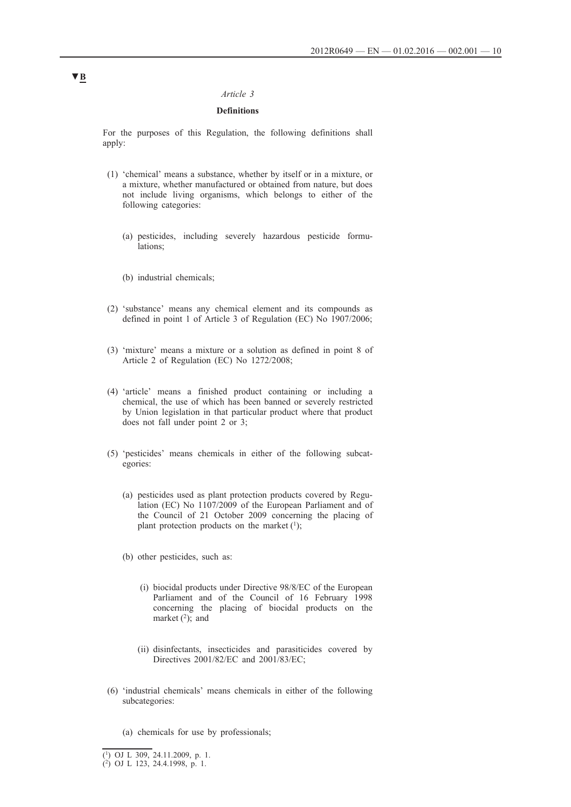### *Article 3*

## **Definitions**

For the purposes of this Regulation, the following definitions shall apply:

- (1) 'chemical' means a substance, whether by itself or in a mixture, or a mixture, whether manufactured or obtained from nature, but does not include living organisms, which belongs to either of the following categories:
	- (a) pesticides, including severely hazardous pesticide formulations;
	- (b) industrial chemicals;
- (2) 'substance' means any chemical element and its compounds as defined in point 1 of Article 3 of Regulation (EC) No 1907/2006;
- (3) 'mixture' means a mixture or a solution as defined in point 8 of Article 2 of Regulation (EC) No 1272/2008;
- (4) 'article' means a finished product containing or including a chemical, the use of which has been banned or severely restricted by Union legislation in that particular product where that product does not fall under point 2 or 3;
- (5) 'pesticides' means chemicals in either of the following subcategories:
	- (a) pesticides used as plant protection products covered by Regulation (EC) No 1107/2009 of the European Parliament and of the Council of 21 October 2009 concerning the placing of plant protection products on the market  $(1)$ ;
	- (b) other pesticides, such as:
		- (i) biocidal products under Directive 98/8/EC of the European Parliament and of the Council of 16 February 1998 concerning the placing of biocidal products on the market  $(2)$ ; and
		- (ii) disinfectants, insecticides and parasiticides covered by Directives 2001/82/EC and 2001/83/EC;
- (6) 'industrial chemicals' means chemicals in either of the following subcategories:
	- (a) chemicals for use by professionals;

<sup>(1)</sup> OJ L 309, 24.11.2009, p. 1.

<sup>(2)</sup> OJ L 123, 24.4.1998, p. 1.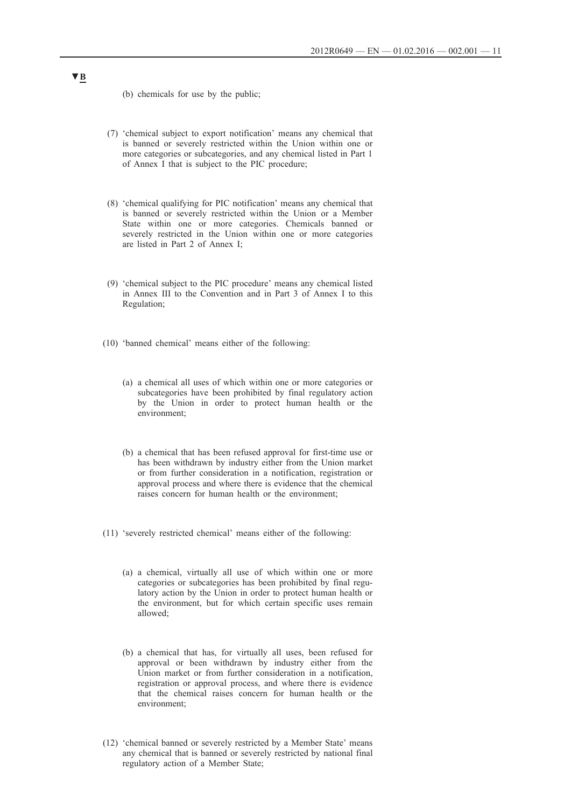- (b) chemicals for use by the public;
- (7) 'chemical subject to export notification' means any chemical that is banned or severely restricted within the Union within one or more categories or subcategories, and any chemical listed in Part 1 of Annex I that is subject to the PIC procedure;
- (8) 'chemical qualifying for PIC notification' means any chemical that is banned or severely restricted within the Union or a Member State within one or more categories. Chemicals banned or severely restricted in the Union within one or more categories are listed in Part 2 of Annex I;
- (9) 'chemical subject to the PIC procedure' means any chemical listed in Annex III to the Convention and in Part 3 of Annex I to this Regulation;
- (10) 'banned chemical' means either of the following:
	- (a) a chemical all uses of which within one or more categories or subcategories have been prohibited by final regulatory action by the Union in order to protect human health or the environment;
	- (b) a chemical that has been refused approval for first-time use or has been withdrawn by industry either from the Union market or from further consideration in a notification, registration or approval process and where there is evidence that the chemical raises concern for human health or the environment;
- (11) 'severely restricted chemical' means either of the following:
	- (a) a chemical, virtually all use of which within one or more categories or subcategories has been prohibited by final regulatory action by the Union in order to protect human health or the environment, but for which certain specific uses remain allowed;
	- (b) a chemical that has, for virtually all uses, been refused for approval or been withdrawn by industry either from the Union market or from further consideration in a notification, registration or approval process, and where there is evidence that the chemical raises concern for human health or the environment;
- (12) 'chemical banned or severely restricted by a Member State' means any chemical that is banned or severely restricted by national final regulatory action of a Member State;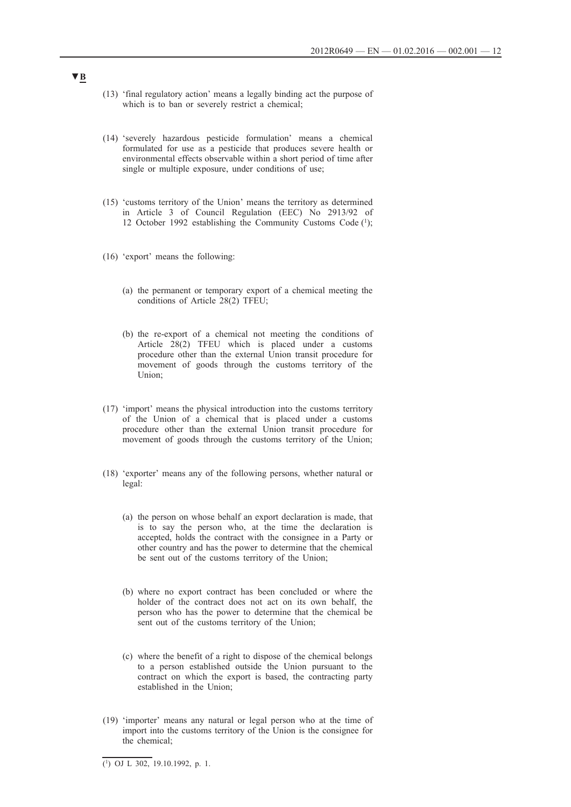- (13) 'final regulatory action' means a legally binding act the purpose of which is to ban or severely restrict a chemical;
- (14) 'severely hazardous pesticide formulation' means a chemical formulated for use as a pesticide that produces severe health or environmental effects observable within a short period of time after single or multiple exposure, under conditions of use;
- (15) 'customs territory of the Union' means the territory as determined in Article 3 of Council Regulation (EEC) No 2913/92 of 12 October 1992 establishing the Community Customs Code  $(1)$ ;
- (16) 'export' means the following:
	- (a) the permanent or temporary export of a chemical meeting the conditions of Article 28(2) TFEU;
	- (b) the re-export of a chemical not meeting the conditions of Article 28(2) TFEU which is placed under a customs procedure other than the external Union transit procedure for movement of goods through the customs territory of the Union;
- (17) 'import' means the physical introduction into the customs territory of the Union of a chemical that is placed under a customs procedure other than the external Union transit procedure for movement of goods through the customs territory of the Union;
- (18) 'exporter' means any of the following persons, whether natural or legal:
	- (a) the person on whose behalf an export declaration is made, that is to say the person who, at the time the declaration is accepted, holds the contract with the consignee in a Party or other country and has the power to determine that the chemical be sent out of the customs territory of the Union;
	- (b) where no export contract has been concluded or where the holder of the contract does not act on its own behalf, the person who has the power to determine that the chemical be sent out of the customs territory of the Union;
	- (c) where the benefit of a right to dispose of the chemical belongs to a person established outside the Union pursuant to the contract on which the export is based, the contracting party established in the Union;
- (19) 'importer' means any natural or legal person who at the time of import into the customs territory of the Union is the consignee for the chemical;

 $\overline{(^1)}$  OJ L 302, 19.10.1992, p. 1.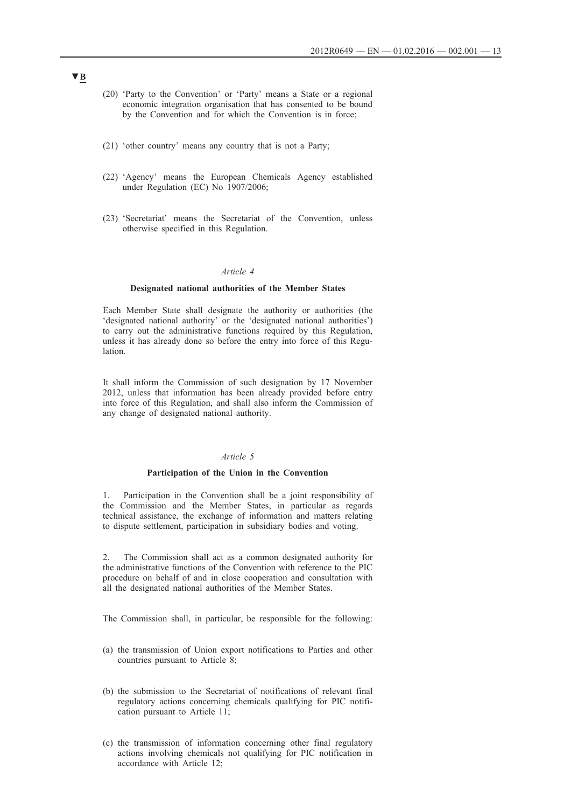- (20) 'Party to the Convention' or 'Party' means a State or a regional economic integration organisation that has consented to be bound by the Convention and for which the Convention is in force;
- (21) 'other country' means any country that is not a Party;
- (22) 'Agency' means the European Chemicals Agency established under Regulation (EC) No 1907/2006;
- (23) 'Secretariat' means the Secretariat of the Convention, unless otherwise specified in this Regulation.

#### *Article 4*

### **Designated national authorities of the Member States**

Each Member State shall designate the authority or authorities (the 'designated national authority' or the 'designated national authorities') to carry out the administrative functions required by this Regulation, unless it has already done so before the entry into force of this Regulation.

It shall inform the Commission of such designation by 17 November 2012, unless that information has been already provided before entry into force of this Regulation, and shall also inform the Commission of any change of designated national authority.

### *Article 5*

#### **Participation of the Union in the Convention**

1. Participation in the Convention shall be a joint responsibility of the Commission and the Member States, in particular as regards technical assistance, the exchange of information and matters relating to dispute settlement, participation in subsidiary bodies and voting.

2. The Commission shall act as a common designated authority for the administrative functions of the Convention with reference to the PIC procedure on behalf of and in close cooperation and consultation with all the designated national authorities of the Member States.

The Commission shall, in particular, be responsible for the following:

- (a) the transmission of Union export notifications to Parties and other countries pursuant to Article 8;
- (b) the submission to the Secretariat of notifications of relevant final regulatory actions concerning chemicals qualifying for PIC notification pursuant to Article 11;
- (c) the transmission of information concerning other final regulatory actions involving chemicals not qualifying for PIC notification in accordance with Article 12;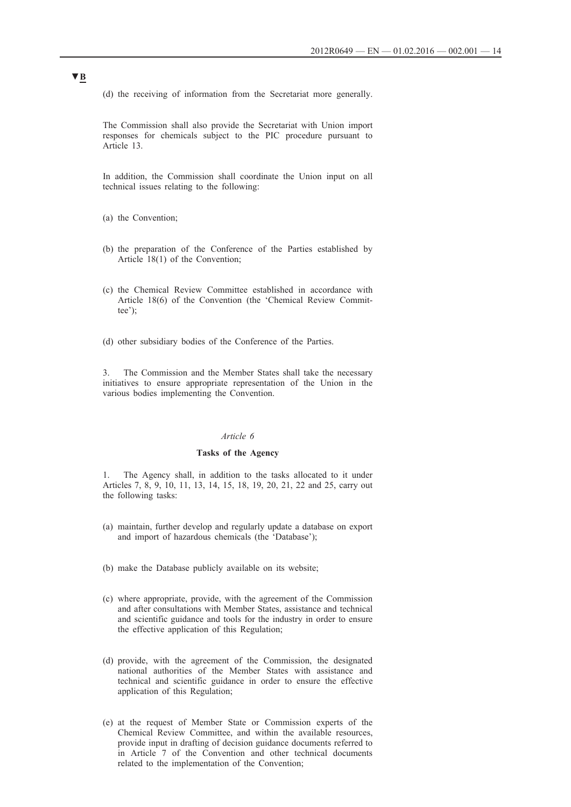(d) the receiving of information from the Secretariat more generally.

The Commission shall also provide the Secretariat with Union import responses for chemicals subject to the PIC procedure pursuant to Article 13.

In addition, the Commission shall coordinate the Union input on all technical issues relating to the following:

(a) the Convention;

- (b) the preparation of the Conference of the Parties established by Article 18(1) of the Convention;
- (c) the Chemical Review Committee established in accordance with Article 18(6) of the Convention (the 'Chemical Review Committee');

(d) other subsidiary bodies of the Conference of the Parties.

3. The Commission and the Member States shall take the necessary initiatives to ensure appropriate representation of the Union in the various bodies implementing the Convention.

### *Article 6*

### **Tasks of the Agency**

1. The Agency shall, in addition to the tasks allocated to it under Articles 7, 8, 9, 10, 11, 13, 14, 15, 18, 19, 20, 21, 22 and 25, carry out the following tasks:

- (a) maintain, further develop and regularly update a database on export and import of hazardous chemicals (the 'Database');
- (b) make the Database publicly available on its website;
- (c) where appropriate, provide, with the agreement of the Commission and after consultations with Member States, assistance and technical and scientific guidance and tools for the industry in order to ensure the effective application of this Regulation;
- (d) provide, with the agreement of the Commission, the designated national authorities of the Member States with assistance and technical and scientific guidance in order to ensure the effective application of this Regulation;
- (e) at the request of Member State or Commission experts of the Chemical Review Committee, and within the available resources, provide input in drafting of decision guidance documents referred to in Article 7 of the Convention and other technical documents related to the implementation of the Convention;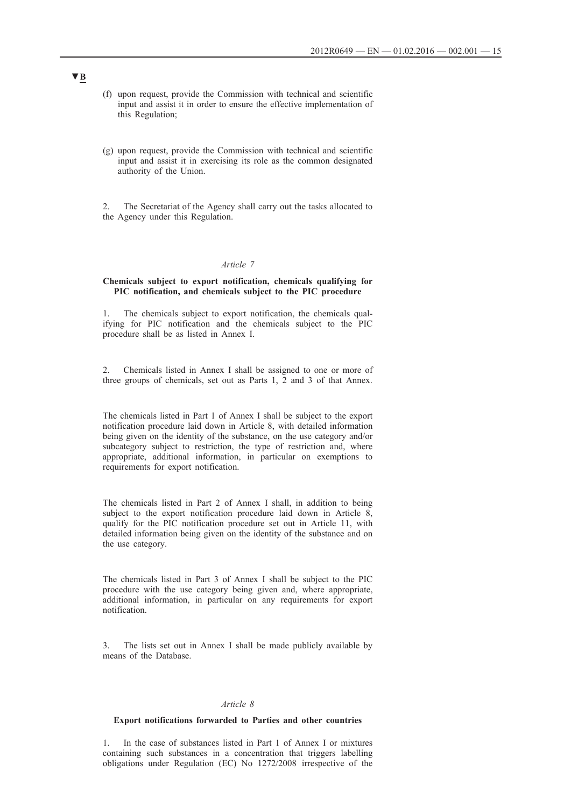- (f) upon request, provide the Commission with technical and scientific input and assist it in order to ensure the effective implementation of this Regulation;
- (g) upon request, provide the Commission with technical and scientific input and assist it in exercising its role as the common designated authority of the Union.

2. The Secretariat of the Agency shall carry out the tasks allocated to the Agency under this Regulation.

#### *Article 7*

### **Chemicals subject to export notification, chemicals qualifying for PIC notification, and chemicals subject to the PIC procedure**

1. The chemicals subject to export notification, the chemicals qualifying for PIC notification and the chemicals subject to the PIC procedure shall be as listed in Annex I.

2. Chemicals listed in Annex I shall be assigned to one or more of three groups of chemicals, set out as Parts 1, 2 and 3 of that Annex.

The chemicals listed in Part 1 of Annex I shall be subject to the export notification procedure laid down in Article 8, with detailed information being given on the identity of the substance, on the use category and/or subcategory subject to restriction, the type of restriction and, where appropriate, additional information, in particular on exemptions to requirements for export notification.

The chemicals listed in Part 2 of Annex I shall, in addition to being subject to the export notification procedure laid down in Article 8, qualify for the PIC notification procedure set out in Article 11, with detailed information being given on the identity of the substance and on the use category.

The chemicals listed in Part 3 of Annex I shall be subject to the PIC procedure with the use category being given and, where appropriate, additional information, in particular on any requirements for export notification.

3. The lists set out in Annex I shall be made publicly available by means of the Database.

#### *Article 8*

### **Export notifications forwarded to Parties and other countries**

1. In the case of substances listed in Part 1 of Annex I or mixtures containing such substances in a concentration that triggers labelling obligations under Regulation (EC) No 1272/2008 irrespective of the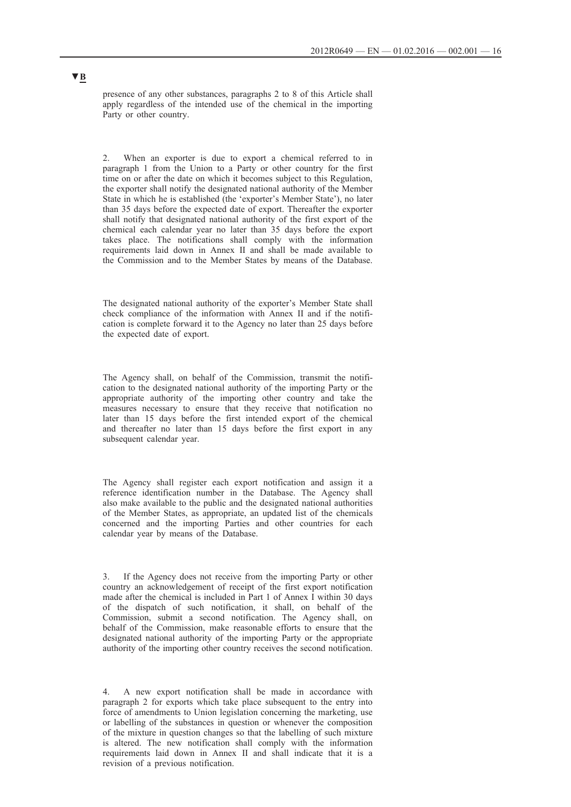presence of any other substances, paragraphs 2 to 8 of this Article shall apply regardless of the intended use of the chemical in the importing Party or other country.

2. When an exporter is due to export a chemical referred to in paragraph 1 from the Union to a Party or other country for the first time on or after the date on which it becomes subject to this Regulation, the exporter shall notify the designated national authority of the Member State in which he is established (the 'exporter's Member State'), no later than 35 days before the expected date of export. Thereafter the exporter shall notify that designated national authority of the first export of the chemical each calendar year no later than 35 days before the export takes place. The notifications shall comply with the information requirements laid down in Annex II and shall be made available to the Commission and to the Member States by means of the Database.

The designated national authority of the exporter's Member State shall check compliance of the information with Annex II and if the notification is complete forward it to the Agency no later than 25 days before the expected date of export.

The Agency shall, on behalf of the Commission, transmit the notification to the designated national authority of the importing Party or the appropriate authority of the importing other country and take the measures necessary to ensure that they receive that notification no later than 15 days before the first intended export of the chemical and thereafter no later than 15 days before the first export in any subsequent calendar year.

The Agency shall register each export notification and assign it a reference identification number in the Database. The Agency shall also make available to the public and the designated national authorities of the Member States, as appropriate, an updated list of the chemicals concerned and the importing Parties and other countries for each calendar year by means of the Database.

3. If the Agency does not receive from the importing Party or other country an acknowledgement of receipt of the first export notification made after the chemical is included in Part 1 of Annex I within 30 days of the dispatch of such notification, it shall, on behalf of the Commission, submit a second notification. The Agency shall, on behalf of the Commission, make reasonable efforts to ensure that the designated national authority of the importing Party or the appropriate authority of the importing other country receives the second notification.

4. A new export notification shall be made in accordance with paragraph 2 for exports which take place subsequent to the entry into force of amendments to Union legislation concerning the marketing, use or labelling of the substances in question or whenever the composition of the mixture in question changes so that the labelling of such mixture is altered. The new notification shall comply with the information requirements laid down in Annex II and shall indicate that it is a revision of a previous notification.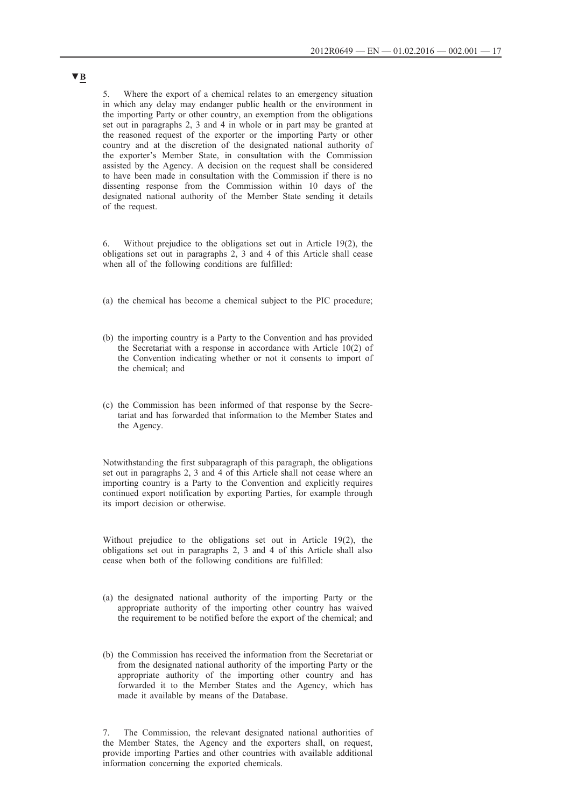5. Where the export of a chemical relates to an emergency situation in which any delay may endanger public health or the environment in the importing Party or other country, an exemption from the obligations set out in paragraphs 2, 3 and 4 in whole or in part may be granted at the reasoned request of the exporter or the importing Party or other country and at the discretion of the designated national authority of the exporter's Member State, in consultation with the Commission assisted by the Agency. A decision on the request shall be considered to have been made in consultation with the Commission if there is no dissenting response from the Commission within 10 days of the designated national authority of the Member State sending it details of the request.

6. Without prejudice to the obligations set out in Article 19(2), the obligations set out in paragraphs 2, 3 and 4 of this Article shall cease when all of the following conditions are fulfilled:

- (a) the chemical has become a chemical subject to the PIC procedure;
- (b) the importing country is a Party to the Convention and has provided the Secretariat with a response in accordance with Article 10(2) of the Convention indicating whether or not it consents to import of the chemical; and
- (c) the Commission has been informed of that response by the Secretariat and has forwarded that information to the Member States and the Agency.

Notwithstanding the first subparagraph of this paragraph, the obligations set out in paragraphs 2, 3 and 4 of this Article shall not cease where an importing country is a Party to the Convention and explicitly requires continued export notification by exporting Parties, for example through its import decision or otherwise.

Without prejudice to the obligations set out in Article 19(2), the obligations set out in paragraphs 2, 3 and 4 of this Article shall also cease when both of the following conditions are fulfilled:

- (a) the designated national authority of the importing Party or the appropriate authority of the importing other country has waived the requirement to be notified before the export of the chemical; and
- (b) the Commission has received the information from the Secretariat or from the designated national authority of the importing Party or the appropriate authority of the importing other country and has forwarded it to the Member States and the Agency, which has made it available by means of the Database.

7. The Commission, the relevant designated national authorities of the Member States, the Agency and the exporters shall, on request, provide importing Parties and other countries with available additional information concerning the exported chemicals.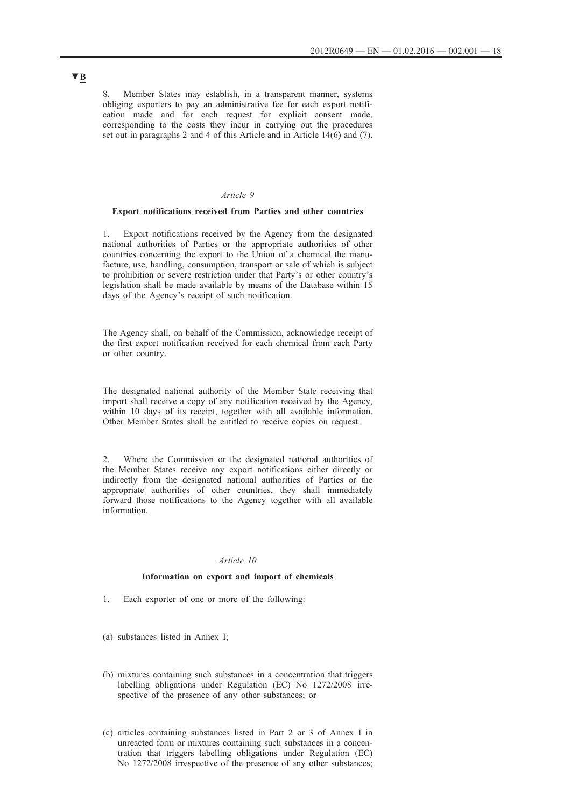8. Member States may establish, in a transparent manner, systems obliging exporters to pay an administrative fee for each export notification made and for each request for explicit consent made, corresponding to the costs they incur in carrying out the procedures set out in paragraphs 2 and 4 of this Article and in Article 14(6) and (7).

### *Article 9*

#### **Export notifications received from Parties and other countries**

1. Export notifications received by the Agency from the designated national authorities of Parties or the appropriate authorities of other countries concerning the export to the Union of a chemical the manufacture, use, handling, consumption, transport or sale of which is subject to prohibition or severe restriction under that Party's or other country's legislation shall be made available by means of the Database within 15 days of the Agency's receipt of such notification.

The Agency shall, on behalf of the Commission, acknowledge receipt of the first export notification received for each chemical from each Party or other country.

The designated national authority of the Member State receiving that import shall receive a copy of any notification received by the Agency, within 10 days of its receipt, together with all available information. Other Member States shall be entitled to receive copies on request.

2. Where the Commission or the designated national authorities of the Member States receive any export notifications either directly or indirectly from the designated national authorities of Parties or the appropriate authorities of other countries, they shall immediately forward those notifications to the Agency together with all available information.

### *Article 10*

#### **Information on export and import of chemicals**

- 1. Each exporter of one or more of the following:
- (a) substances listed in Annex I;
- (b) mixtures containing such substances in a concentration that triggers labelling obligations under Regulation (EC) No 1272/2008 irrespective of the presence of any other substances; or
- (c) articles containing substances listed in Part 2 or 3 of Annex I in unreacted form or mixtures containing such substances in a concentration that triggers labelling obligations under Regulation (EC) No 1272/2008 irrespective of the presence of any other substances;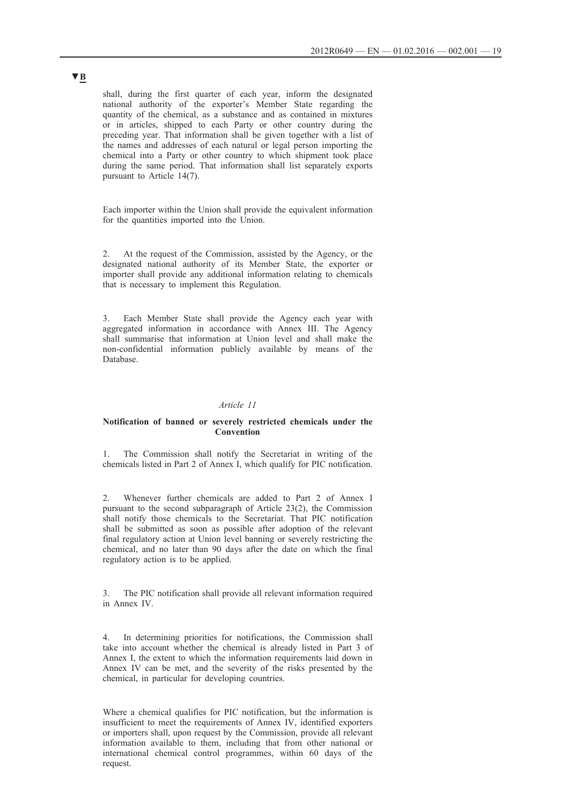shall, during the first quarter of each year, inform the designated national authority of the exporter's Member State regarding the quantity of the chemical, as a substance and as contained in mixtures or in articles, shipped to each Party or other country during the preceding year. That information shall be given together with a list of the names and addresses of each natural or legal person importing the chemical into a Party or other country to which shipment took place during the same period. That information shall list separately exports pursuant to Article 14(7).

Each importer within the Union shall provide the equivalent information for the quantities imported into the Union.

2. At the request of the Commission, assisted by the Agency, or the designated national authority of its Member State, the exporter or importer shall provide any additional information relating to chemicals that is necessary to implement this Regulation.

3. Each Member State shall provide the Agency each year with aggregated information in accordance with Annex III. The Agency shall summarise that information at Union level and shall make the non-confidential information publicly available by means of the Database.

### *Article 11*

### **Notification of banned or severely restricted chemicals under the Convention**

1. The Commission shall notify the Secretariat in writing of the chemicals listed in Part 2 of Annex I, which qualify for PIC notification.

2. Whenever further chemicals are added to Part 2 of Annex I pursuant to the second subparagraph of Article 23(2), the Commission shall notify those chemicals to the Secretariat. That PIC notification shall be submitted as soon as possible after adoption of the relevant final regulatory action at Union level banning or severely restricting the chemical, and no later than 90 days after the date on which the final regulatory action is to be applied.

3. The PIC notification shall provide all relevant information required in Annex IV.

4. In determining priorities for notifications, the Commission shall take into account whether the chemical is already listed in Part 3 of Annex I, the extent to which the information requirements laid down in Annex IV can be met, and the severity of the risks presented by the chemical, in particular for developing countries.

Where a chemical qualifies for PIC notification, but the information is insufficient to meet the requirements of Annex IV, identified exporters or importers shall, upon request by the Commission, provide all relevant information available to them, including that from other national or international chemical control programmes, within 60 days of the request.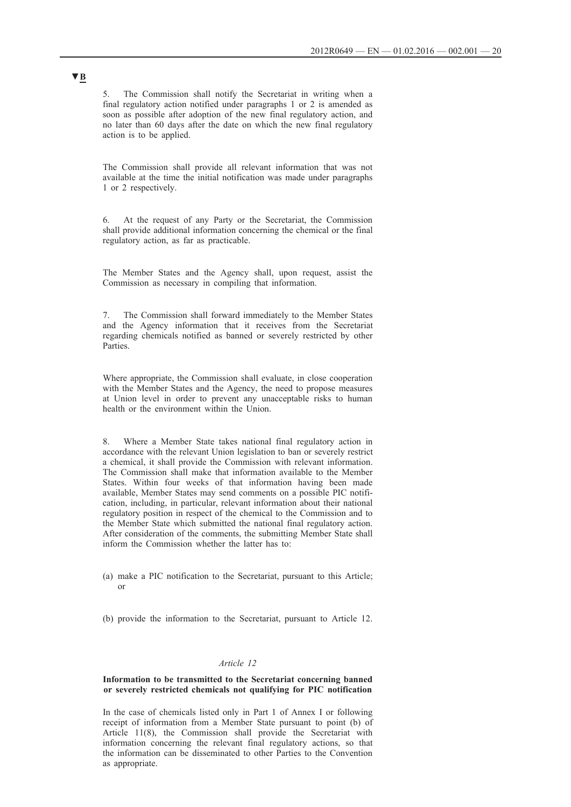5. The Commission shall notify the Secretariat in writing when a final regulatory action notified under paragraphs 1 or 2 is amended as soon as possible after adoption of the new final regulatory action, and no later than 60 days after the date on which the new final regulatory action is to be applied.

The Commission shall provide all relevant information that was not available at the time the initial notification was made under paragraphs 1 or 2 respectively.

6. At the request of any Party or the Secretariat, the Commission shall provide additional information concerning the chemical or the final regulatory action, as far as practicable.

The Member States and the Agency shall, upon request, assist the Commission as necessary in compiling that information.

7. The Commission shall forward immediately to the Member States and the Agency information that it receives from the Secretariat regarding chemicals notified as banned or severely restricted by other **Parties** 

Where appropriate, the Commission shall evaluate, in close cooperation with the Member States and the Agency, the need to propose measures at Union level in order to prevent any unacceptable risks to human health or the environment within the Union.

8. Where a Member State takes national final regulatory action in accordance with the relevant Union legislation to ban or severely restrict a chemical, it shall provide the Commission with relevant information. The Commission shall make that information available to the Member States. Within four weeks of that information having been made available, Member States may send comments on a possible PIC notification, including, in particular, relevant information about their national regulatory position in respect of the chemical to the Commission and to the Member State which submitted the national final regulatory action. After consideration of the comments, the submitting Member State shall inform the Commission whether the latter has to:

- (a) make a PIC notification to the Secretariat, pursuant to this Article; or
- (b) provide the information to the Secretariat, pursuant to Article 12.

### *Article 12*

### **Information to be transmitted to the Secretariat concerning banned or severely restricted chemicals not qualifying for PIC notification**

In the case of chemicals listed only in Part 1 of Annex I or following receipt of information from a Member State pursuant to point (b) of Article 11(8), the Commission shall provide the Secretariat with information concerning the relevant final regulatory actions, so that the information can be disseminated to other Parties to the Convention as appropriate.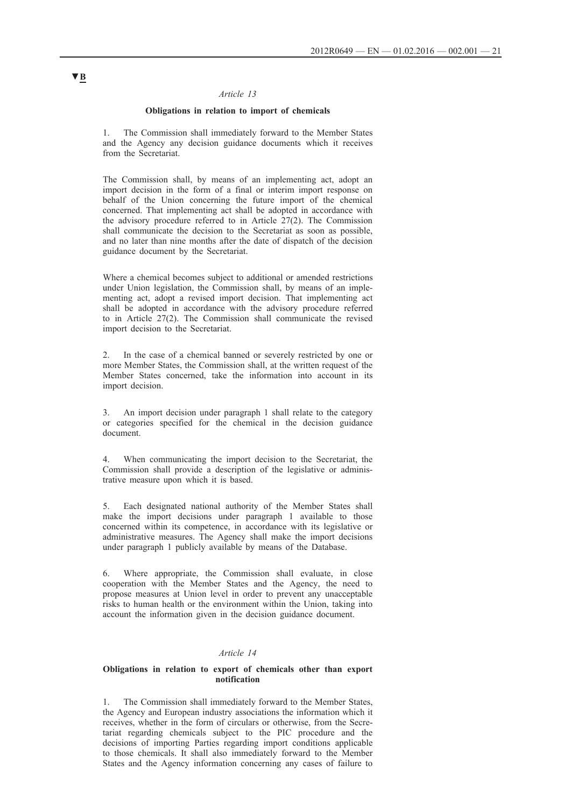### *Article 13*

### **Obligations in relation to import of chemicals**

1. The Commission shall immediately forward to the Member States and the Agency any decision guidance documents which it receives from the Secretariat.

The Commission shall, by means of an implementing act, adopt an import decision in the form of a final or interim import response on behalf of the Union concerning the future import of the chemical concerned. That implementing act shall be adopted in accordance with the advisory procedure referred to in Article 27(2). The Commission shall communicate the decision to the Secretariat as soon as possible, and no later than nine months after the date of dispatch of the decision guidance document by the Secretariat.

Where a chemical becomes subject to additional or amended restrictions under Union legislation, the Commission shall, by means of an implementing act, adopt a revised import decision. That implementing act shall be adopted in accordance with the advisory procedure referred to in Article 27(2). The Commission shall communicate the revised import decision to the Secretariat.

2. In the case of a chemical banned or severely restricted by one or more Member States, the Commission shall, at the written request of the Member States concerned, take the information into account in its import decision.

3. An import decision under paragraph 1 shall relate to the category or categories specified for the chemical in the decision guidance document.

4. When communicating the import decision to the Secretariat, the Commission shall provide a description of the legislative or administrative measure upon which it is based.

5. Each designated national authority of the Member States shall make the import decisions under paragraph 1 available to those concerned within its competence, in accordance with its legislative or administrative measures. The Agency shall make the import decisions under paragraph 1 publicly available by means of the Database.

6. Where appropriate, the Commission shall evaluate, in close cooperation with the Member States and the Agency, the need to propose measures at Union level in order to prevent any unacceptable risks to human health or the environment within the Union, taking into account the information given in the decision guidance document.

### *Article 14*

### **Obligations in relation to export of chemicals other than export notification**

The Commission shall immediately forward to the Member States, the Agency and European industry associations the information which it receives, whether in the form of circulars or otherwise, from the Secretariat regarding chemicals subject to the PIC procedure and the decisions of importing Parties regarding import conditions applicable to those chemicals. It shall also immediately forward to the Member States and the Agency information concerning any cases of failure to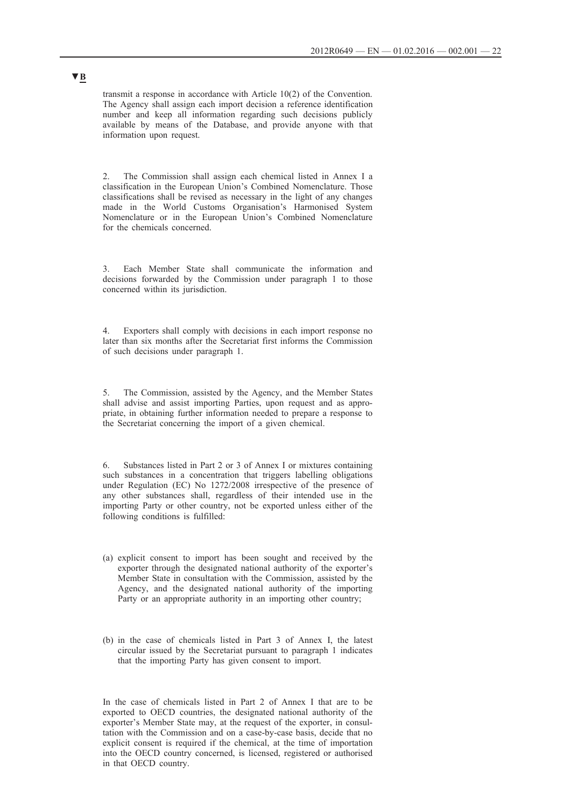transmit a response in accordance with Article 10(2) of the Convention. The Agency shall assign each import decision a reference identification number and keep all information regarding such decisions publicly available by means of the Database, and provide anyone with that information upon request.

2. The Commission shall assign each chemical listed in Annex I a classification in the European Union's Combined Nomenclature. Those classifications shall be revised as necessary in the light of any changes made in the World Customs Organisation's Harmonised System Nomenclature or in the European Union's Combined Nomenclature for the chemicals concerned.

Each Member State shall communicate the information and decisions forwarded by the Commission under paragraph 1 to those concerned within its jurisdiction.

4. Exporters shall comply with decisions in each import response no later than six months after the Secretariat first informs the Commission of such decisions under paragraph 1.

5. The Commission, assisted by the Agency, and the Member States shall advise and assist importing Parties, upon request and as appropriate, in obtaining further information needed to prepare a response to the Secretariat concerning the import of a given chemical.

6. Substances listed in Part 2 or 3 of Annex I or mixtures containing such substances in a concentration that triggers labelling obligations under Regulation (EC) No 1272/2008 irrespective of the presence of any other substances shall, regardless of their intended use in the importing Party or other country, not be exported unless either of the following conditions is fulfilled:

- (a) explicit consent to import has been sought and received by the exporter through the designated national authority of the exporter's Member State in consultation with the Commission, assisted by the Agency, and the designated national authority of the importing Party or an appropriate authority in an importing other country;
- (b) in the case of chemicals listed in Part 3 of Annex I, the latest circular issued by the Secretariat pursuant to paragraph 1 indicates that the importing Party has given consent to import.

In the case of chemicals listed in Part 2 of Annex I that are to be exported to OECD countries, the designated national authority of the exporter's Member State may, at the request of the exporter, in consultation with the Commission and on a case-by-case basis, decide that no explicit consent is required if the chemical, at the time of importation into the OECD country concerned, is licensed, registered or authorised in that OECD country.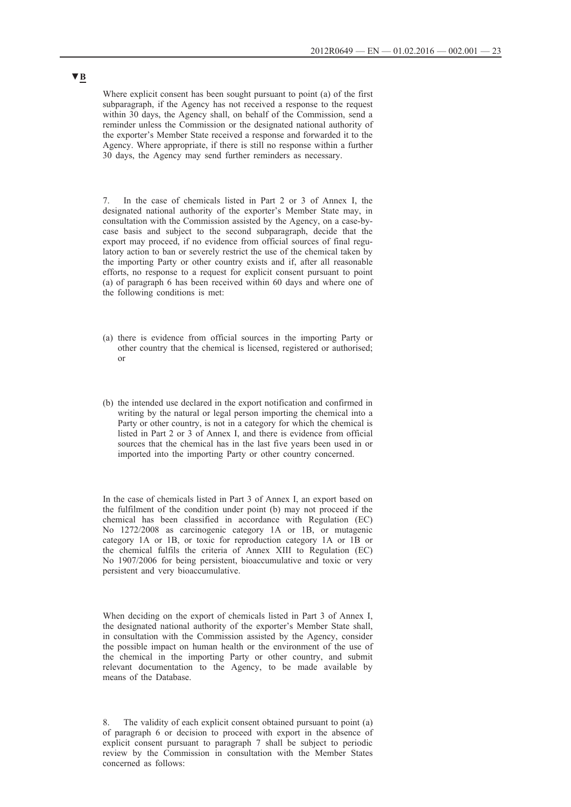Where explicit consent has been sought pursuant to point (a) of the first subparagraph, if the Agency has not received a response to the request within 30 days, the Agency shall, on behalf of the Commission, send a reminder unless the Commission or the designated national authority of the exporter's Member State received a response and forwarded it to the Agency. Where appropriate, if there is still no response within a further 30 days, the Agency may send further reminders as necessary.

7. In the case of chemicals listed in Part 2 or 3 of Annex I, the designated national authority of the exporter's Member State may, in consultation with the Commission assisted by the Agency, on a case-bycase basis and subject to the second subparagraph, decide that the export may proceed, if no evidence from official sources of final regulatory action to ban or severely restrict the use of the chemical taken by the importing Party or other country exists and if, after all reasonable efforts, no response to a request for explicit consent pursuant to point (a) of paragraph 6 has been received within 60 days and where one of the following conditions is met:

- (a) there is evidence from official sources in the importing Party or other country that the chemical is licensed, registered or authorised; or
- (b) the intended use declared in the export notification and confirmed in writing by the natural or legal person importing the chemical into a Party or other country, is not in a category for which the chemical is listed in Part 2 or 3 of Annex I, and there is evidence from official sources that the chemical has in the last five years been used in or imported into the importing Party or other country concerned.

In the case of chemicals listed in Part 3 of Annex I, an export based on the fulfilment of the condition under point (b) may not proceed if the chemical has been classified in accordance with Regulation (EC) No 1272/2008 as carcinogenic category 1A or 1B, or mutagenic category 1A or 1B, or toxic for reproduction category 1A or 1B or the chemical fulfils the criteria of Annex XIII to Regulation (EC) No 1907/2006 for being persistent, bioaccumulative and toxic or very persistent and very bioaccumulative.

When deciding on the export of chemicals listed in Part 3 of Annex I, the designated national authority of the exporter's Member State shall, in consultation with the Commission assisted by the Agency, consider the possible impact on human health or the environment of the use of the chemical in the importing Party or other country, and submit relevant documentation to the Agency, to be made available by means of the Database.

8. The validity of each explicit consent obtained pursuant to point (a) of paragraph 6 or decision to proceed with export in the absence of explicit consent pursuant to paragraph 7 shall be subject to periodic review by the Commission in consultation with the Member States concerned as follows: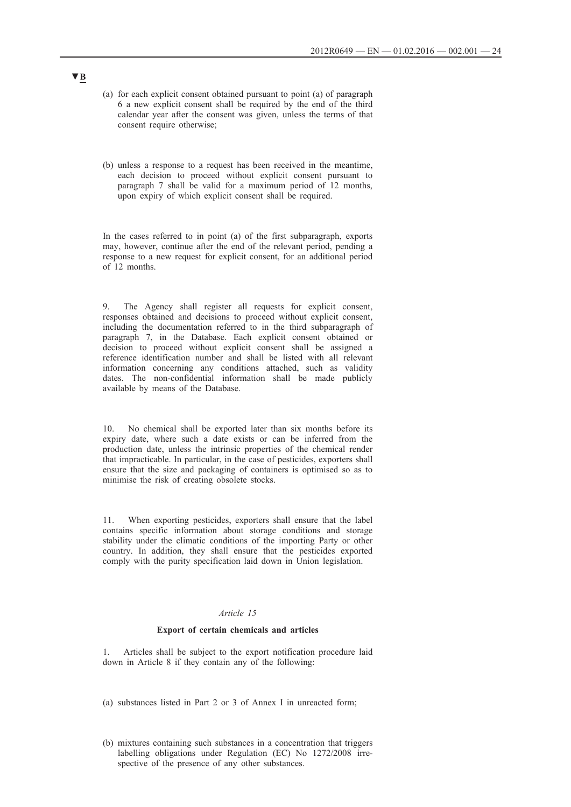- (a) for each explicit consent obtained pursuant to point (a) of paragraph 6 a new explicit consent shall be required by the end of the third calendar year after the consent was given, unless the terms of that consent require otherwise;
- (b) unless a response to a request has been received in the meantime, each decision to proceed without explicit consent pursuant to paragraph 7 shall be valid for a maximum period of 12 months, upon expiry of which explicit consent shall be required.

In the cases referred to in point (a) of the first subparagraph, exports may, however, continue after the end of the relevant period, pending a response to a new request for explicit consent, for an additional period of 12 months.

9. The Agency shall register all requests for explicit consent, responses obtained and decisions to proceed without explicit consent, including the documentation referred to in the third subparagraph of paragraph 7, in the Database. Each explicit consent obtained or decision to proceed without explicit consent shall be assigned a reference identification number and shall be listed with all relevant information concerning any conditions attached, such as validity dates. The non-confidential information shall be made publicly available by means of the Database.

10. No chemical shall be exported later than six months before its expiry date, where such a date exists or can be inferred from the production date, unless the intrinsic properties of the chemical render that impracticable. In particular, in the case of pesticides, exporters shall ensure that the size and packaging of containers is optimised so as to minimise the risk of creating obsolete stocks.

11. When exporting pesticides, exporters shall ensure that the label contains specific information about storage conditions and storage stability under the climatic conditions of the importing Party or other country. In addition, they shall ensure that the pesticides exported comply with the purity specification laid down in Union legislation.

## *Article 15*

### **Export of certain chemicals and articles**

1. Articles shall be subject to the export notification procedure laid down in Article 8 if they contain any of the following:

- (a) substances listed in Part 2 or 3 of Annex I in unreacted form;
- (b) mixtures containing such substances in a concentration that triggers labelling obligations under Regulation (EC) No 1272/2008 irrespective of the presence of any other substances.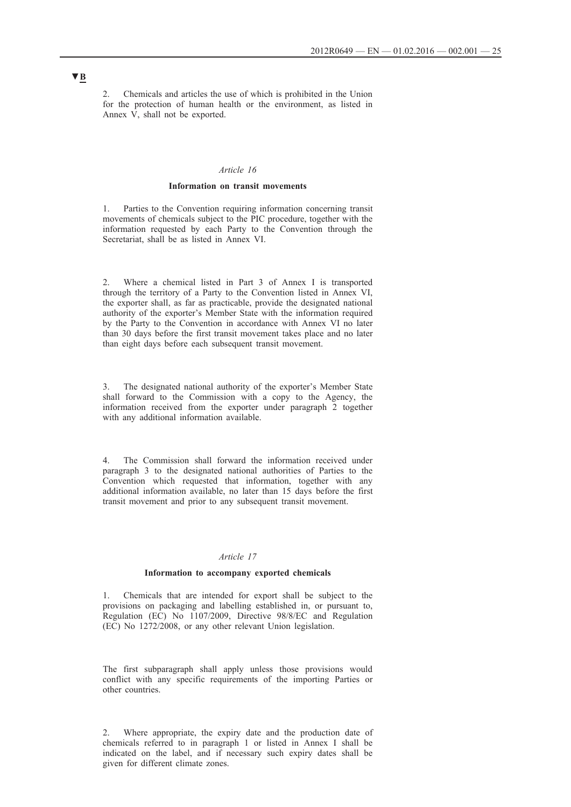2. Chemicals and articles the use of which is prohibited in the Union for the protection of human health or the environment, as listed in Annex  $\hat{V}$ , shall not be exported.

#### *Article 16*

### **Information on transit movements**

1. Parties to the Convention requiring information concerning transit movements of chemicals subject to the PIC procedure, together with the information requested by each Party to the Convention through the Secretariat, shall be as listed in Annex VI.

2. Where a chemical listed in Part 3 of Annex I is transported through the territory of a Party to the Convention listed in Annex VI, the exporter shall, as far as practicable, provide the designated national authority of the exporter's Member State with the information required by the Party to the Convention in accordance with Annex VI no later than 30 days before the first transit movement takes place and no later than eight days before each subsequent transit movement.

3. The designated national authority of the exporter's Member State shall forward to the Commission with a copy to the Agency, the information received from the exporter under paragraph 2 together with any additional information available.

4. The Commission shall forward the information received under paragraph 3 to the designated national authorities of Parties to the Convention which requested that information, together with any additional information available, no later than 15 days before the first transit movement and prior to any subsequent transit movement.

### *Article 17*

### **Information to accompany exported chemicals**

1. Chemicals that are intended for export shall be subject to the provisions on packaging and labelling established in, or pursuant to, Regulation (EC) No 1107/2009, Directive 98/8/EC and Regulation (EC) No 1272/2008, or any other relevant Union legislation.

The first subparagraph shall apply unless those provisions would conflict with any specific requirements of the importing Parties or other countries.

2. Where appropriate, the expiry date and the production date of chemicals referred to in paragraph 1 or listed in Annex I shall be indicated on the label, and if necessary such expiry dates shall be given for different climate zones.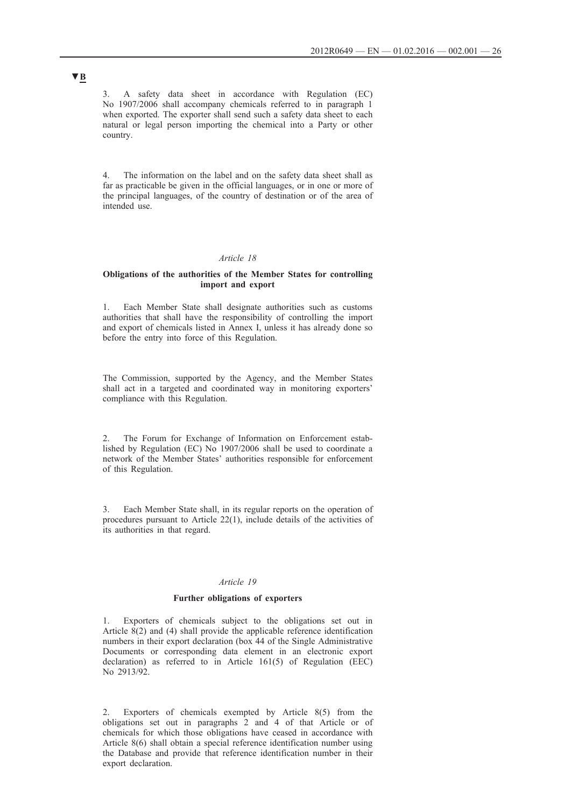3. A safety data sheet in accordance with Regulation (EC) No 1907/2006 shall accompany chemicals referred to in paragraph 1 when exported. The exporter shall send such a safety data sheet to each natural or legal person importing the chemical into a Party or other country.

4. The information on the label and on the safety data sheet shall as far as practicable be given in the official languages, or in one or more of the principal languages, of the country of destination or of the area of intended use.

### *Article 18*

### **Obligations of the authorities of the Member States for controlling import and export**

1. Each Member State shall designate authorities such as customs authorities that shall have the responsibility of controlling the import and export of chemicals listed in Annex I, unless it has already done so before the entry into force of this Regulation.

The Commission, supported by the Agency, and the Member States shall act in a targeted and coordinated way in monitoring exporters' compliance with this Regulation.

2. The Forum for Exchange of Information on Enforcement established by Regulation (EC) No 1907/2006 shall be used to coordinate a network of the Member States' authorities responsible for enforcement of this Regulation.

3. Each Member State shall, in its regular reports on the operation of procedures pursuant to Article 22(1), include details of the activities of its authorities in that regard.

### *Article 19*

### **Further obligations of exporters**

Exporters of chemicals subject to the obligations set out in Article 8(2) and (4) shall provide the applicable reference identification numbers in their export declaration (box 44 of the Single Administrative Documents or corresponding data element in an electronic export declaration) as referred to in Article 161(5) of Regulation (EEC) No 2913/92.

2. Exporters of chemicals exempted by Article 8(5) from the obligations set out in paragraphs 2 and 4 of that Article or of chemicals for which those obligations have ceased in accordance with Article 8(6) shall obtain a special reference identification number using the Database and provide that reference identification number in their export declaration.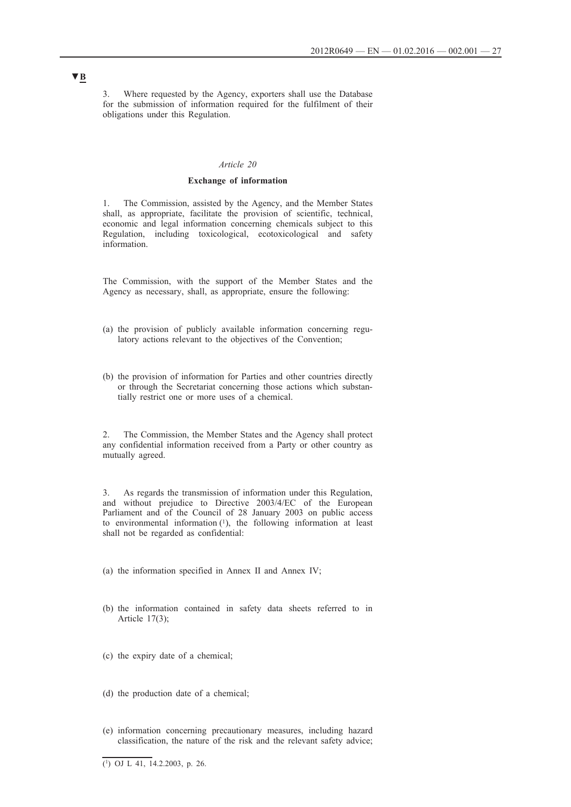3. Where requested by the Agency, exporters shall use the Database for the submission of information required for the fulfilment of their obligations under this Regulation.

### *Article 20*

### **Exchange of information**

1. The Commission, assisted by the Agency, and the Member States shall, as appropriate, facilitate the provision of scientific, technical, economic and legal information concerning chemicals subject to this Regulation, including toxicological, ecotoxicological and safety information.

The Commission, with the support of the Member States and the Agency as necessary, shall, as appropriate, ensure the following:

- (a) the provision of publicly available information concerning regulatory actions relevant to the objectives of the Convention;
- (b) the provision of information for Parties and other countries directly or through the Secretariat concerning those actions which substantially restrict one or more uses of a chemical.

2. The Commission, the Member States and the Agency shall protect any confidential information received from a Party or other country as mutually agreed.

3. As regards the transmission of information under this Regulation, and without prejudice to Directive 2003/4/EC of the European Parliament and of the Council of 28 January 2003 on public access to environmental information (1), the following information at least shall not be regarded as confidential:

(a) the information specified in Annex II and Annex IV;

- (b) the information contained in safety data sheets referred to in Article 17(3);
- (c) the expiry date of a chemical;
- (d) the production date of a chemical;
- (e) information concerning precautionary measures, including hazard classification, the nature of the risk and the relevant safety advice;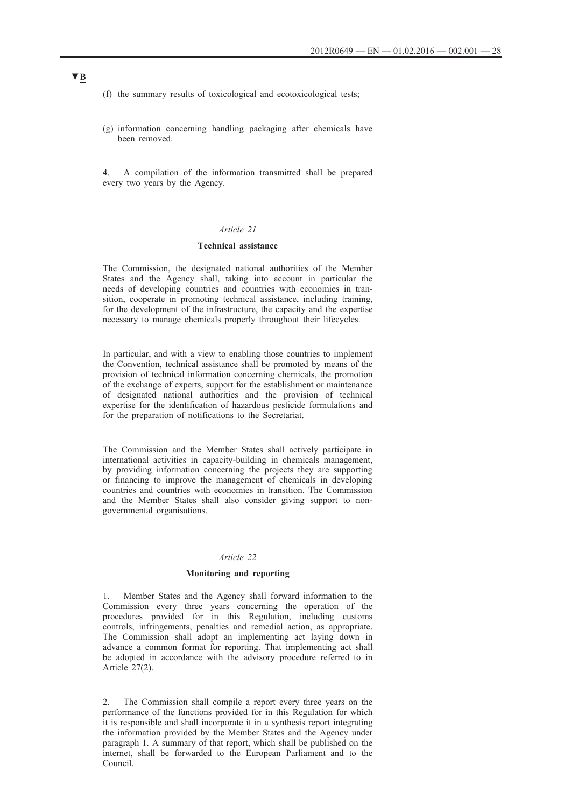- (f) the summary results of toxicological and ecotoxicological tests;
- (g) information concerning handling packaging after chemicals have been removed.
- 4. A compilation of the information transmitted shall be prepared every two years by the Agency.

## *Article 21*

### **Technical assistance**

The Commission, the designated national authorities of the Member States and the Agency shall, taking into account in particular the needs of developing countries and countries with economies in transition, cooperate in promoting technical assistance, including training, for the development of the infrastructure, the capacity and the expertise necessary to manage chemicals properly throughout their lifecycles.

In particular, and with a view to enabling those countries to implement the Convention, technical assistance shall be promoted by means of the provision of technical information concerning chemicals, the promotion of the exchange of experts, support for the establishment or maintenance of designated national authorities and the provision of technical expertise for the identification of hazardous pesticide formulations and for the preparation of notifications to the Secretariat.

The Commission and the Member States shall actively participate in international activities in capacity-building in chemicals management, by providing information concerning the projects they are supporting or financing to improve the management of chemicals in developing countries and countries with economies in transition. The Commission and the Member States shall also consider giving support to nongovernmental organisations.

### *Article 22*

### **Monitoring and reporting**

1. Member States and the Agency shall forward information to the Commission every three years concerning the operation of the procedures provided for in this Regulation, including customs controls, infringements, penalties and remedial action, as appropriate. The Commission shall adopt an implementing act laying down in advance a common format for reporting. That implementing act shall be adopted in accordance with the advisory procedure referred to in Article 27(2).

2. The Commission shall compile a report every three years on the performance of the functions provided for in this Regulation for which it is responsible and shall incorporate it in a synthesis report integrating the information provided by the Member States and the Agency under paragraph 1. A summary of that report, which shall be published on the internet, shall be forwarded to the European Parliament and to the Council.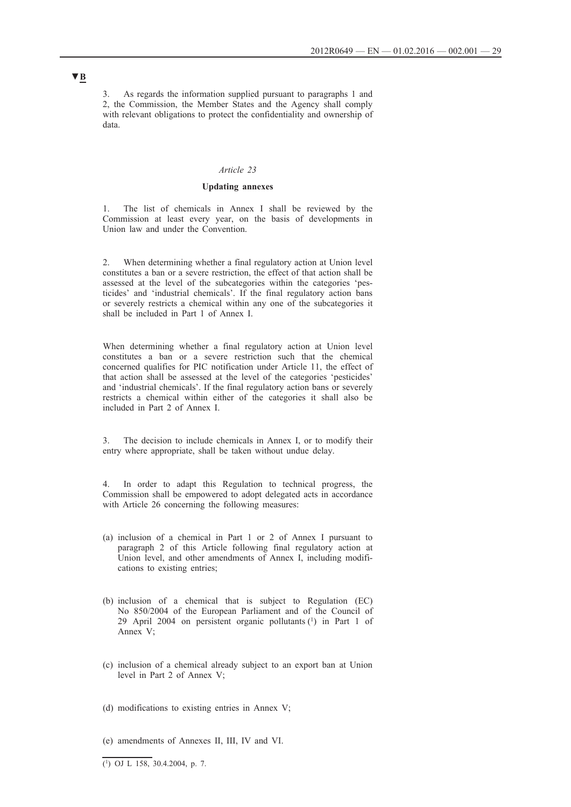3. As regards the information supplied pursuant to paragraphs 1 and 2, the Commission, the Member States and the Agency shall comply with relevant obligations to protect the confidentiality and ownership of data.

### *Article 23*

### **Updating annexes**

1. The list of chemicals in Annex I shall be reviewed by the Commission at least every year, on the basis of developments in Union law and under the Convention.

2. When determining whether a final regulatory action at Union level constitutes a ban or a severe restriction, the effect of that action shall be assessed at the level of the subcategories within the categories 'pesticides' and 'industrial chemicals'. If the final regulatory action bans or severely restricts a chemical within any one of the subcategories it shall be included in Part 1 of Annex I.

When determining whether a final regulatory action at Union level constitutes a ban or a severe restriction such that the chemical concerned qualifies for PIC notification under Article 11, the effect of that action shall be assessed at the level of the categories 'pesticides' and 'industrial chemicals'. If the final regulatory action bans or severely restricts a chemical within either of the categories it shall also be included in Part 2 of Annex I.

3. The decision to include chemicals in Annex I, or to modify their entry where appropriate, shall be taken without undue delay.

4. In order to adapt this Regulation to technical progress, the Commission shall be empowered to adopt delegated acts in accordance with Article 26 concerning the following measures:

- (a) inclusion of a chemical in Part 1 or 2 of Annex I pursuant to paragraph 2 of this Article following final regulatory action at Union level, and other amendments of Annex I, including modifications to existing entries;
- (b) inclusion of a chemical that is subject to Regulation (EC) No 850/2004 of the European Parliament and of the Council of 29 April 2004 on persistent organic pollutants (1) in Part 1 of Annex V;
- (c) inclusion of a chemical already subject to an export ban at Union level in Part 2 of Annex V;
- (d) modifications to existing entries in Annex V;
- (e) amendments of Annexes II, III, IV and VI.

### $\overline{(\text{1}) \text{ OJ L } 158}$ , 30.4.2004, p. 7.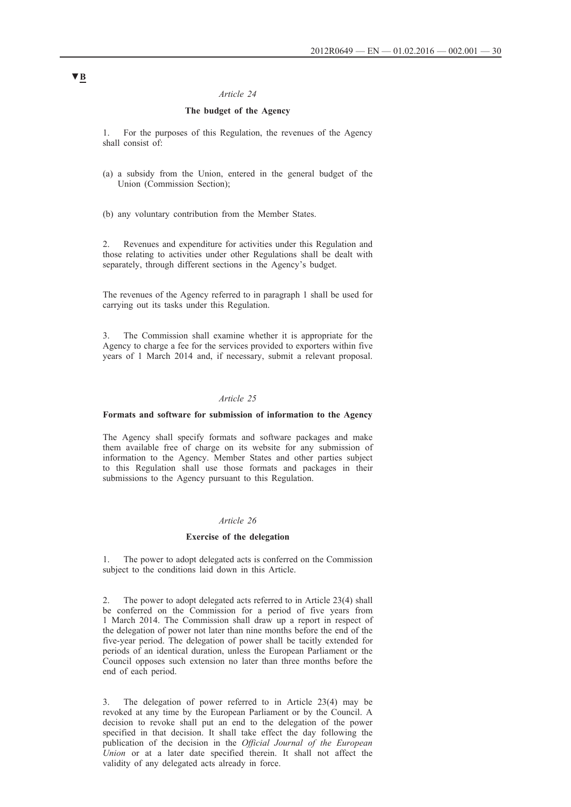### *Article 24*

## **The budget of the Agency**

1. For the purposes of this Regulation, the revenues of the Agency shall consist of:

- (a) a subsidy from the Union, entered in the general budget of the Union (Commission Section);
- (b) any voluntary contribution from the Member States.

2. Revenues and expenditure for activities under this Regulation and those relating to activities under other Regulations shall be dealt with separately, through different sections in the Agency's budget.

The revenues of the Agency referred to in paragraph 1 shall be used for carrying out its tasks under this Regulation.

3. The Commission shall examine whether it is appropriate for the Agency to charge a fee for the services provided to exporters within five years of 1 March 2014 and, if necessary, submit a relevant proposal.

### *Article 25*

### **Formats and software for submission of information to the Agency**

The Agency shall specify formats and software packages and make them available free of charge on its website for any submission of information to the Agency. Member States and other parties subject to this Regulation shall use those formats and packages in their submissions to the Agency pursuant to this Regulation.

### *Article 26*

#### **Exercise of the delegation**

1. The power to adopt delegated acts is conferred on the Commission subject to the conditions laid down in this Article.

2. The power to adopt delegated acts referred to in Article 23(4) shall be conferred on the Commission for a period of five years from 1 March 2014. The Commission shall draw up a report in respect of the delegation of power not later than nine months before the end of the five-year period. The delegation of power shall be tacitly extended for periods of an identical duration, unless the European Parliament or the Council opposes such extension no later than three months before the end of each period.

3. The delegation of power referred to in Article 23(4) may be revoked at any time by the European Parliament or by the Council. A decision to revoke shall put an end to the delegation of the power specified in that decision. It shall take effect the day following the publication of the decision in the *Official Journal of the European Union* or at a later date specified therein. It shall not affect the validity of any delegated acts already in force.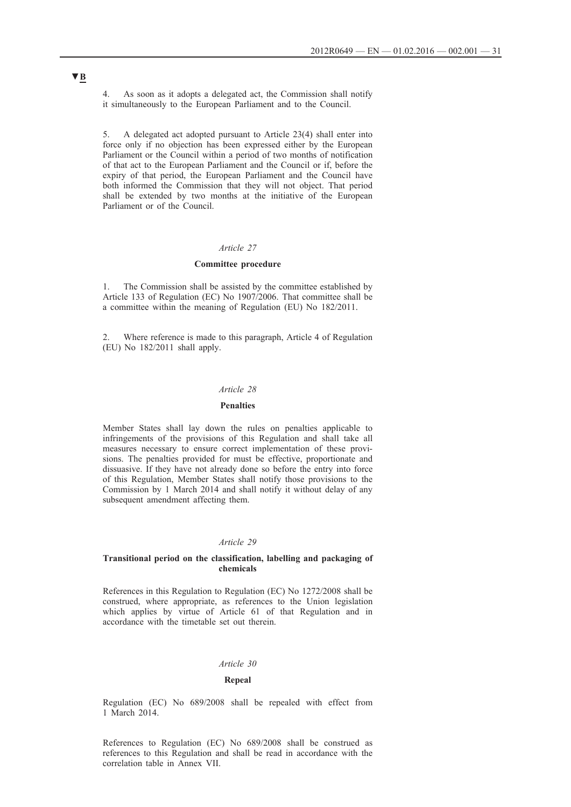4. As soon as it adopts a delegated act, the Commission shall notify it simultaneously to the European Parliament and to the Council.

5. A delegated act adopted pursuant to Article 23(4) shall enter into force only if no objection has been expressed either by the European Parliament or the Council within a period of two months of notification of that act to the European Parliament and the Council or if, before the expiry of that period, the European Parliament and the Council have both informed the Commission that they will not object. That period shall be extended by two months at the initiative of the European Parliament or of the Council.

### *Article 27*

### **Committee procedure**

1. The Commission shall be assisted by the committee established by Article 133 of Regulation (EC) No 1907/2006. That committee shall be a committee within the meaning of Regulation (EU) No 182/2011.

2. Where reference is made to this paragraph, Article 4 of Regulation (EU) No 182/2011 shall apply.

### *Article 28*

#### **Penalties**

Member States shall lay down the rules on penalties applicable to infringements of the provisions of this Regulation and shall take all measures necessary to ensure correct implementation of these provisions. The penalties provided for must be effective, proportionate and dissuasive. If they have not already done so before the entry into force of this Regulation, Member States shall notify those provisions to the Commission by 1 March 2014 and shall notify it without delay of any subsequent amendment affecting them.

### *Article 29*

#### **Transitional period on the classification, labelling and packaging of chemicals**

References in this Regulation to Regulation (EC) No 1272/2008 shall be construed, where appropriate, as references to the Union legislation which applies by virtue of Article 61 of that Regulation and in accordance with the timetable set out therein.

### *Article 30*

### **Repeal**

Regulation (EC) No 689/2008 shall be repealed with effect from 1 March 2014.

References to Regulation (EC) No 689/2008 shall be construed as references to this Regulation and shall be read in accordance with the correlation table in Annex VII.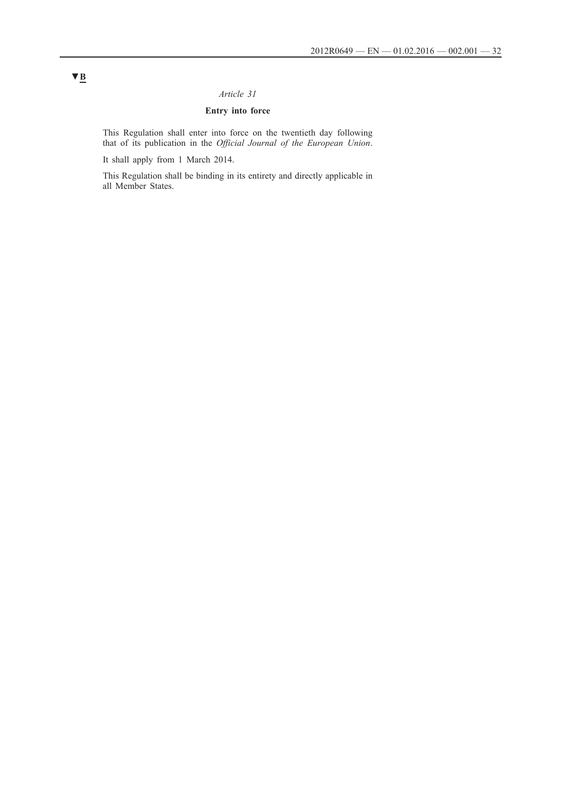## *Article 31*

## **Entry into force**

This Regulation shall enter into force on the twentieth day following that of its publication in the *Official Journal of the European Union*.

It shall apply from 1 March 2014.

This Regulation shall be binding in its entirety and directly applicable in all Member States.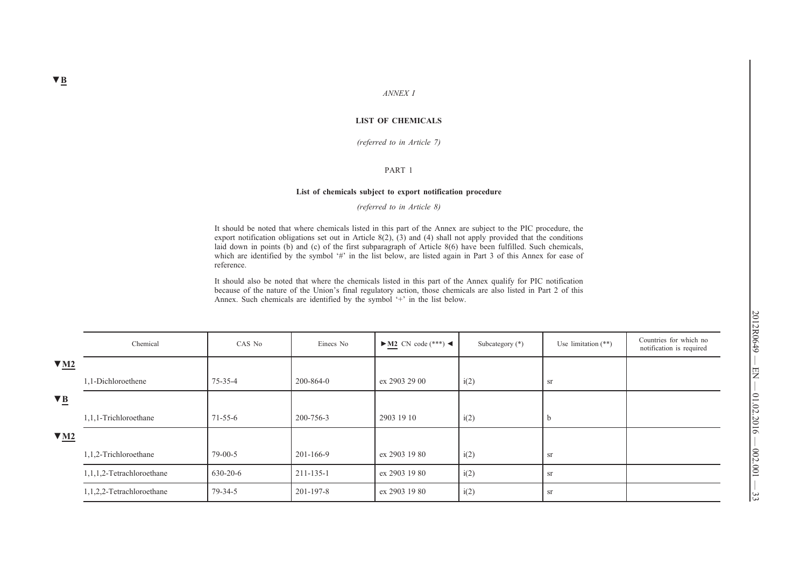#### **LIST OF CHEMICALS**

*(referred to in Article 7)*

#### PART 1

#### **List of chemicals subject to export notification procedure**

*(referred to in Article 8)*

It should be noted that where chemicals listed in this part of the Annex are subject to the PIC procedure, the export notification obligations set out in Article 8(2),  $(3)$  and  $(4)$  shall not apply provided that the conditions laid down in points (b) and (c) of the first subparagraph of Article 8(6) have been fulfilled. Such chemicals, which are identified by the symbol '#' in the list below, are listed again in Part 3 of this Annex for ease of reference.

It should also be noted that where the chemicals listed in this part of the Annex qualify for PIC notification because of the nature of the Union's final regulatory action, those chemicals are also listed in Part 2 of this Annex. Such chemicals are identified by the symbol '+' in the list below.

|                         | Chemical                  | CAS No         | Einecs No       | $\blacktriangleright$ M2 CN code (***) $\blacktriangleleft$ | Subcategory (*) | Use limitation $(**)$ | Countries for which no<br>notification is required |
|-------------------------|---------------------------|----------------|-----------------|-------------------------------------------------------------|-----------------|-----------------------|----------------------------------------------------|
| $\blacktriangledown$ M2 |                           |                |                 |                                                             |                 |                       |                                                    |
|                         | 1,1-Dichloroethene        | 75-35-4        | $200 - 864 - 0$ | ex 2903 29 00                                               | i(2)            | sr                    |                                                    |
| $\nabla \underline{B}$  |                           |                |                 |                                                             |                 |                       |                                                    |
|                         | 1,1,1-Trichloroethane     | $71 - 55 - 6$  | 200-756-3       | 2903 19 10                                                  | i(2)            | $\mathbf b$           |                                                    |
| $\blacktriangledown$ M2 |                           |                |                 |                                                             |                 |                       |                                                    |
|                         | 1,1,2-Trichloroethane     | $79-00-5$      | 201-166-9       | ex 2903 19 80                                               | i(2)            | <b>Sr</b>             |                                                    |
|                         | 1,1,1,2-Tetrachloroethane | $630 - 20 - 6$ | 211-135-1       | ex 2903 19 80                                               | i(2)            | <b>Sr</b>             |                                                    |
|                         | 1,1,2,2-Tetrachloroethane | 79-34-5        | 201-197-8       | ex 2903 19 80                                               | i(2)            | <b>Sr</b>             |                                                    |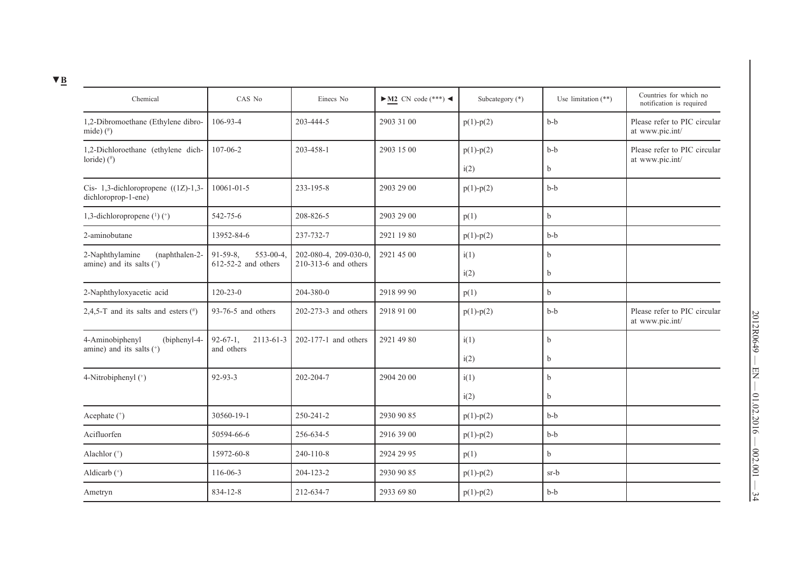| Chemical                                                     | CAS No                                 | Einecs No              | $\blacktriangleright$ <u>M2</u> CN code (***) < | Subcategory (*) | Use limitation $(**)$ | Countries for which no<br>notification is required |
|--------------------------------------------------------------|----------------------------------------|------------------------|-------------------------------------------------|-----------------|-----------------------|----------------------------------------------------|
| 1,2-Dibromoethane (Ethylene dibro-<br>mide) $(*)$            | 106-93-4                               | 203-444-5              | 2903 31 00                                      | $p(1) - p(2)$   | $b-b$                 | Please refer to PIC circular<br>at www.pic.int/    |
| 1,2-Dichloroethane (ethylene dich-                           | 107-06-2                               | 203-458-1              | 2903 15 00                                      | $p(1) - p(2)$   | $b-b$                 | Please refer to PIC circular<br>at www.pic.int/    |
| loride) $(^{\#})$                                            |                                        |                        |                                                 | i(2)            | b                     |                                                    |
| Cis- 1,3-dichloropropene $((1Z)-1,3-$<br>dichloroprop-1-ene) | 10061-01-5                             | 233-195-8              | 2903 29 00                                      | $p(1) - p(2)$   | $b-b$                 |                                                    |
| 1,3-dichloropropene $(1)$ $(+)$                              | 542-75-6                               | 208-826-5              | 2903 29 00                                      | p(1)            | b                     |                                                    |
| 2-aminobutane                                                | 13952-84-6                             | 237-732-7              | 2921 19 80                                      | $p(1)-p(2)$     | $b-b$                 |                                                    |
| 2-Naphthylamine<br>(naphthalen-2-                            | 91-59-8,<br>$553 - 00 - 4$             | 202-080-4, 209-030-0,  | 2921 45 00                                      | i(1)            | $\mathbf b$           |                                                    |
| amine) and its salts $(*)$                                   | $612-52-2$ and others                  | 210-313-6 and others   |                                                 | i(2)            | $\mathbf b$           |                                                    |
| 2-Naphthyloxyacetic acid                                     | $120 - 23 - 0$                         | 204-380-0              | 2918 99 90                                      | p(1)            | b                     |                                                    |
| 2,4,5-T and its salts and esters $(\#)$                      | 93-76-5 and others                     | 202-273-3 and others   | 2918 91 00                                      | $p(1) - p(2)$   | $b-b$                 | Please refer to PIC circular<br>at www.pic.int/    |
| 4-Aminobiphenyl<br>(biphenyl-4-                              | 2113-61-3<br>$92-67-1$ ,<br>and others | $202-177-1$ and others | 2921 49 80                                      | i(1)            | b                     |                                                    |
| amine) and its salts (+)                                     |                                        |                        |                                                 | i(2)            | b                     |                                                    |
| 4-Nitrobiphenyl $($ <sup>+</sup> )                           | $92 - 93 - 3$                          | 202-204-7              | 2904 20 00                                      | i(1)            | $\mathbf b$           |                                                    |
|                                                              |                                        |                        |                                                 | i(2)            | b                     |                                                    |
| Acephate (*)                                                 | 30560-19-1                             | 250-241-2              | 2930 90 85                                      | $p(1) - p(2)$   | $b-b$                 |                                                    |
| Acifluorfen                                                  | 50594-66-6                             | 256-634-5              | 2916 39 00                                      | $p(1) - p(2)$   | $b-b$                 |                                                    |
| Alachlor (*)                                                 | 15972-60-8                             | $240 - 110 - 8$        | 2924 29 95                                      | p(1)            | b                     |                                                    |
| Aldicarb $(*)$                                               | 116-06-3                               | 204-123-2              | 2930 90 85                                      | $p(1) - p(2)$   | $sr-b$                |                                                    |
| Ametryn                                                      | 834-12-8                               | 212-634-7              | 2933 69 80                                      | $p(1) - p(2)$   | $b-b$                 |                                                    |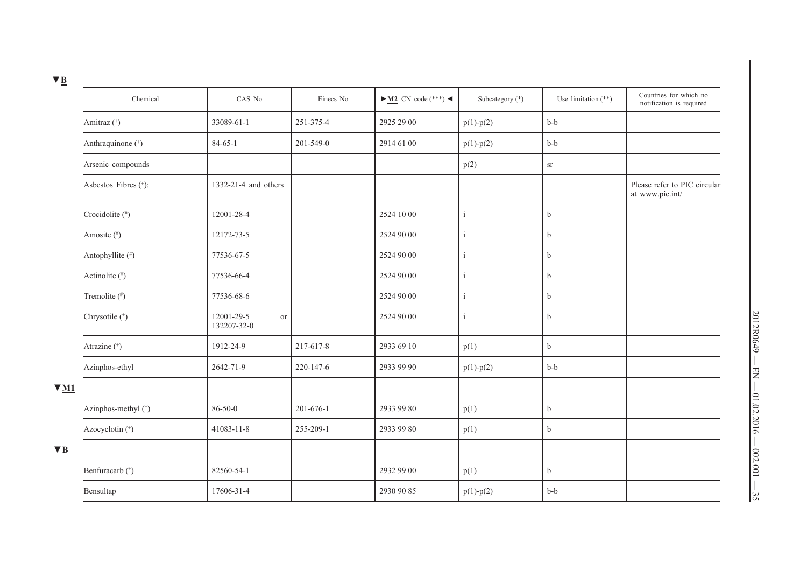| ≃                                             |                      |                                 |                 |                                                 |                 |                       |                                                    |
|-----------------------------------------------|----------------------|---------------------------------|-----------------|-------------------------------------------------|-----------------|-----------------------|----------------------------------------------------|
|                                               | Chemical             | CAS No                          | Einecs No       | $\blacktriangleright$ <u>M2</u> CN code (***) < | Subcategory (*) | Use limitation $(**)$ | Countries for which no<br>notification is required |
|                                               | Amitraz (*)          | 33089-61-1                      | 251-375-4       | 2925 29 00                                      | $p(1) - p(2)$   | $b-b$                 |                                                    |
|                                               | Anthraquinone (+)    | $84 - 65 - 1$                   | 201-549-0       | 2914 61 00                                      | $p(1) - p(2)$   | $b-b$                 |                                                    |
|                                               | Arsenic compounds    |                                 |                 |                                                 | p(2)            | ${\rm sr}$            |                                                    |
|                                               | Asbestos Fibres (+): | 1332-21-4 and others            |                 |                                                 |                 |                       | Please refer to PIC circular<br>at www.pic.int/    |
|                                               | Crocidolite (#)      | 12001-28-4                      |                 | 2524 10 00                                      | i               | b                     |                                                    |
|                                               | Amosite (#)          | 12172-73-5                      |                 | 2524 90 00                                      |                 | b                     |                                                    |
|                                               | Antophyllite (#)     | 77536-67-5                      |                 | 2524 90 00                                      | i               | b                     |                                                    |
|                                               | Actinolite (#)       | 77536-66-4                      |                 | 2524 90 00                                      |                 | b                     |                                                    |
|                                               | Tremolite (#)        | 77536-68-6                      |                 | 2524 90 00                                      | i               | b                     |                                                    |
|                                               | Chrysotile (+)       | 12001-29-5<br>or<br>132207-32-0 |                 | 2524 90 00                                      | $\mathbf{i}$    | $\mathbf b$           |                                                    |
|                                               | Atrazine (*)         | 1912-24-9                       | 217-617-8       | 2933 69 10                                      | p(1)            | $\mathbf b$           |                                                    |
|                                               | Azinphos-ethyl       | 2642-71-9                       | 220-147-6       | 2933 99 90                                      | $p(1) - p(2)$   | $b-b$                 |                                                    |
| $\blacktriangledown$ M1                       |                      |                                 |                 |                                                 |                 |                       |                                                    |
|                                               | Azinphos-methyl (*)  | $86 - 50 - 0$                   | $201 - 676 - 1$ | 2933 99 80                                      | p(1)            | $\mathbf b$           |                                                    |
|                                               | Azocyclotin (*)      | 41083-11-8                      | 255-209-1       | 2933 99 80                                      | p(1)            | $\mathbf b$           |                                                    |
| $\blacktriangledown$ $\underline{\mathbf{B}}$ |                      |                                 |                 |                                                 |                 |                       |                                                    |
|                                               | Benfuracarb (+)      | 82560-54-1                      |                 | 2932 99 00                                      | p(1)            | $\mathbf b$           |                                                    |
|                                               | Bensultap            | 17606-31-4                      |                 | 2930 90 85                                      | $p(1) - p(2)$   | $b-b$                 |                                                    |

**▼B**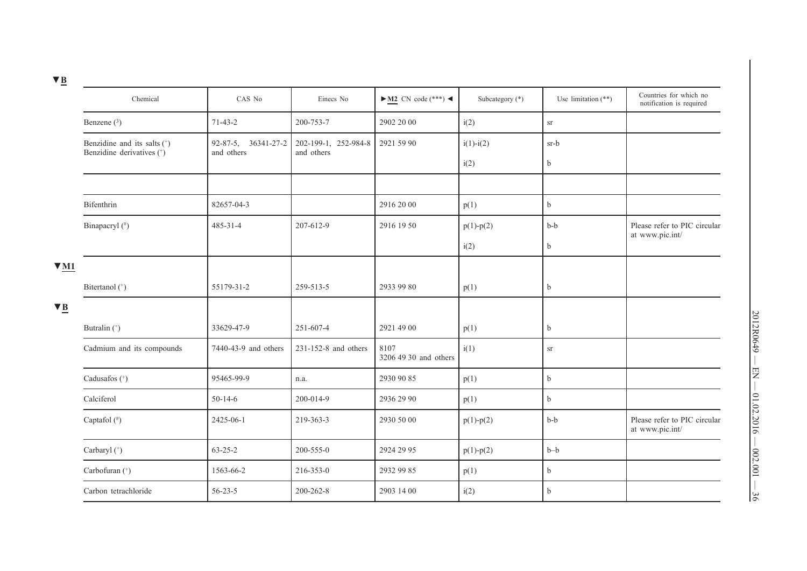| Chemical                    | CAS No                    | Einecs No            | $\blacktriangleright$ M2 CN code (***) < | Subcategory (*)      | Use limitation $(**)$ | Countries for which no<br>notification is required |
|-----------------------------|---------------------------|----------------------|------------------------------------------|----------------------|-----------------------|----------------------------------------------------|
| Benzene $(3)$               | $71 - 43 - 2$             | 200-753-7            | 2902 20 00                               | i(2)                 | $\rm{sr}$             |                                                    |
| Benzidine and its salts (+) | 92-87-5, 36341-27-2       |                      | 2921 59 90                               | $i(1)-i(2)$          | $sr-b$                |                                                    |
|                             |                           |                      |                                          | i(2)                 | $\mathbf b$           |                                                    |
|                             |                           |                      |                                          |                      |                       |                                                    |
| Bifenthrin                  | 82657-04-3                |                      | 2916 20 00                               | p(1)                 | $\mathbf b$           |                                                    |
| Binapacryl (#)              | $485 - 31 - 4$            | 207-612-9            | 2916 19 50                               | $p(1) - p(2)$        | $b-b$                 | Please refer to PIC circular<br>at www.pic.int/    |
|                             |                           |                      |                                          | i(2)                 | b                     |                                                    |
|                             |                           |                      |                                          |                      |                       |                                                    |
| Bitertanol (*)              | 55179-31-2                | 259-513-5            | 2933 99 80                               | p(1)                 | $\mathbf b$           |                                                    |
|                             |                           |                      |                                          |                      |                       |                                                    |
| Butralin (*)                | 33629-47-9                | 251-607-4            | 2921 49 00                               | p(1)                 | $\mathbf b$           |                                                    |
| Cadmium and its compounds   | 7440-43-9 and others      | 231-152-8 and others | 8107<br>3206 49 30 and others            | i(1)                 | $\rm{sr}$             |                                                    |
| Cadusafos (+)               | 95465-99-9                | n.a.                 | 2930 90 85                               | p(1)                 | $\mathbf b$           |                                                    |
| Calciferol                  | $50 - 14 - 6$             | 200-014-9            | 2936 29 90                               | p(1)                 | $\mathbf b$           |                                                    |
| Captafol $($ #)             | 2425-06-1                 | 219-363-3            | 2930 50 00                               | $p(1) - p(2)$        | $b-b$                 | Please refer to PIC circular<br>at www.pic.int/    |
| Carbaryl (+)                | $63 - 25 - 2$             | 200-555-0            | 2924 29 95                               | $p(1) - p(2)$        | $b-b$                 |                                                    |
| Carbofuran (+)              | 1563-66-2                 | 216-353-0            | 2932 99 85                               | p(1)                 | $\mathbf b$           |                                                    |
| Carbon tetrachloride        | $56 - 23 - 5$             | $200 - 262 - 8$      | 2903 14 00                               | i(2)                 | $\mathbf b$           |                                                    |
|                             | Benzidine derivatives (*) | and others           | and others                               | 202-199-1, 252-984-8 |                       |                                                    |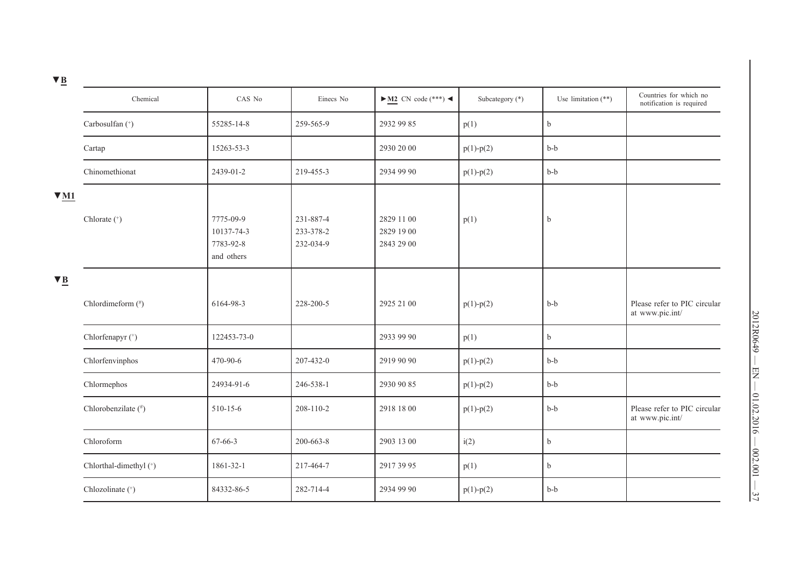| __ |  |
|----|--|
|    |  |
|    |  |

| $\mathbf{v}$ $\mathbf{p}$ |                             |                                                    |                                     |                                          |                 |                       |                                                    |
|---------------------------|-----------------------------|----------------------------------------------------|-------------------------------------|------------------------------------------|-----------------|-----------------------|----------------------------------------------------|
|                           | Chemical                    | CAS No                                             | Einecs No                           | $\blacktriangleright$ M2 CN code (***) < | Subcategory (*) | Use limitation $(**)$ | Countries for which no<br>notification is required |
|                           | Carbosulfan (*)             | 55285-14-8                                         | 259-565-9                           | 2932 99 85                               | p(1)            | $\rm b$               |                                                    |
|                           | Cartap                      | 15263-53-3                                         |                                     | 2930 20 00                               | $p(1) - p(2)$   | $b-b$                 |                                                    |
|                           | Chinomethionat              | 2439-01-2                                          | 219-455-3                           | 2934 99 90                               | $p(1) - p(2)$   | $b-b$                 |                                                    |
| $\nabla M1$               |                             |                                                    |                                     |                                          |                 |                       |                                                    |
|                           | Chlorate (+)                | 7775-09-9<br>10137-74-3<br>7783-92-8<br>and others | 231-887-4<br>233-378-2<br>232-034-9 | 2829 11 00<br>2829 19 00<br>2843 29 00   | p(1)            | b                     |                                                    |
| $\nabla$ <b>B</b>         |                             |                                                    |                                     |                                          |                 |                       |                                                    |
|                           | Chlordimeform (#)           | 6164-98-3                                          | 228-200-5                           | 2925 21 00                               | $p(1) - p(2)$   | $b-b$                 | Please refer to PIC circular<br>at www.pic.int/    |
|                           | Chlorfenapyr <sup>(+)</sup> | 122453-73-0                                        |                                     | 2933 99 90                               | p(1)            | $\mathbf b$           |                                                    |
|                           | Chlorfenvinphos             | 470-90-6                                           | 207-432-0                           | 2919 90 90                               | $p(1) - p(2)$   | $b-b$                 |                                                    |
|                           | Chlormephos                 | 24934-91-6                                         | 246-538-1                           | 2930 90 85                               | $p(1) - p(2)$   | $b-b$                 |                                                    |
|                           | Chlorobenzilate (#)         | 510-15-6                                           | 208-110-2                           | 2918 18 00                               | $p(1) - p(2)$   | $b-b$                 | Please refer to PIC circular<br>at www.pic.int/    |
|                           | Chloroform                  | 67-66-3                                            | 200-663-8                           | 2903 13 00                               | i(2)            | $\rm b$               |                                                    |
|                           | Chlorthal-dimethyl (+)      | 1861-32-1                                          | 217-464-7                           | 2917 39 95                               | p(1)            | $\rm b$               |                                                    |
|                           | Chlozolinate (*)            | 84332-86-5                                         | 282-714-4                           | 2934 99 90                               | $p(1) - p(2)$   | $b-b$                 |                                                    |
|                           |                             |                                                    |                                     |                                          |                 |                       |                                                    |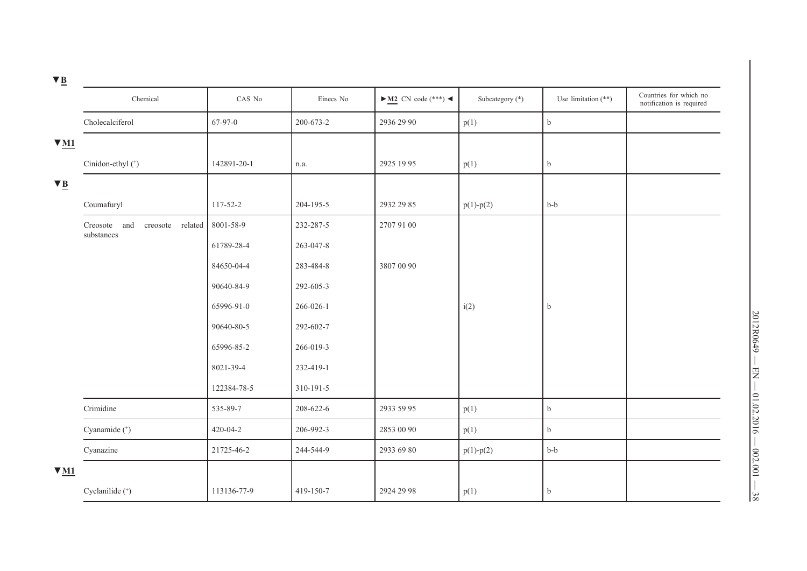|                         | Chemical                                       | CAS No      | Einecs No       | $\blacktriangleright$ M2 CN code (***) < | Subcategory (*) | Use limitation $(**)$ | Countries for which no<br>notification is required |
|-------------------------|------------------------------------------------|-------------|-----------------|------------------------------------------|-----------------|-----------------------|----------------------------------------------------|
|                         | Cholecalciferol                                | 67-97-0     | 200-673-2       | 2936 29 90                               | p(1)            | $\mathbf b$           |                                                    |
| $\blacktriangledown$ M1 |                                                |             |                 |                                          |                 |                       |                                                    |
|                         | Cinidon-ethyl <sup>(+)</sup>                   | 142891-20-1 | n.a.            | 2925 19 95                               | p(1)            | $\mathbf b$           |                                                    |
|                         |                                                |             |                 |                                          |                 |                       |                                                    |
|                         | Coumafuryl                                     | 117-52-2    | 204-195-5       | 2932 29 85                               | $p(1) - p(2)$   | $b-b$                 |                                                    |
|                         | Creosote and<br>creosote related<br>substances | 8001-58-9   | 232-287-5       | 2707 91 00                               |                 |                       |                                                    |
|                         |                                                | 61789-28-4  | 263-047-8       |                                          |                 |                       |                                                    |
|                         |                                                | 84650-04-4  | 283-484-8       | 3807 00 90                               |                 |                       |                                                    |
|                         |                                                | 90640-84-9  | 292-605-3       |                                          |                 |                       |                                                    |
|                         |                                                | 65996-91-0  | 266-026-1       |                                          | i(2)            | $\mathbf b$           |                                                    |
|                         |                                                | 90640-80-5  | 292-602-7       |                                          |                 |                       |                                                    |
|                         |                                                | 65996-85-2  | 266-019-3       |                                          |                 |                       |                                                    |
|                         |                                                | 8021-39-4   | 232-419-1       |                                          |                 |                       |                                                    |
|                         |                                                | 122384-78-5 | $310 - 191 - 5$ |                                          |                 |                       |                                                    |
|                         | Crimidine                                      | 535-89-7    | 208-622-6       | 2933 59 95                               | p(1)            | $\mathbf b$           |                                                    |
|                         | Cyanamide (+)                                  | 420-04-2    | 206-992-3       | 2853 00 90                               | p(1)            | $\mathbf b$           |                                                    |
|                         | Cyanazine                                      | 21725-46-2  | 244-544-9       | 2933 69 80                               | $p(1) - p(2)$   | $b-b$                 |                                                    |
| $V_{M1}$                |                                                |             |                 |                                          |                 |                       |                                                    |
|                         | Cyclanilide (+)                                | 113136-77-9 | 419-150-7       | 2924 29 98                               | p(1)            | $\mathbf b$           |                                                    |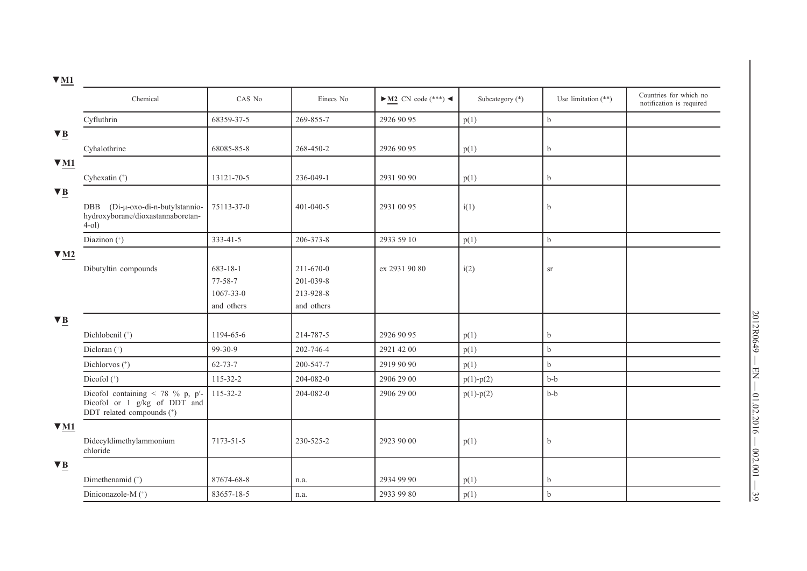| A TATT                 |                                                                                                   |                 |                 |                                          |                 |                       |                                                    |
|------------------------|---------------------------------------------------------------------------------------------------|-----------------|-----------------|------------------------------------------|-----------------|-----------------------|----------------------------------------------------|
|                        | Chemical                                                                                          | CAS No          | Einecs No       | $\blacktriangleright$ M2 CN code (***) < | Subcategory (*) | Use limitation $(**)$ | Countries for which no<br>notification is required |
|                        | Cyfluthrin                                                                                        | 68359-37-5      | 269-855-7       | 2926 90 95                               | p(1)            | $\rm b$               |                                                    |
| $\blacktriangledown$ B |                                                                                                   |                 |                 |                                          |                 |                       |                                                    |
|                        | Cyhalothrine                                                                                      | 68085-85-8      | 268-450-2       | 2926 90 95                               | p(1)            | $\mathbf b$           |                                                    |
| $\nabla M1$            |                                                                                                   |                 |                 |                                          |                 |                       |                                                    |
|                        | Cyhexatin (*)                                                                                     | 13121-70-5      | 236-049-1       | 2931 90 90                               | p(1)            | $\mathbf b$           |                                                    |
| $\nabla \underline{B}$ |                                                                                                   |                 |                 |                                          |                 |                       |                                                    |
|                        | (Di-μ-oxo-di-n-butylstannio-<br><b>DBB</b><br>hydroxyborane/dioxastannaboretan-<br>$4-01$         | 75113-37-0      | $401 - 040 - 5$ | 2931 00 95                               | i(1)            | $\mathbf b$           |                                                    |
|                        | Diazinon (*)                                                                                      | 333-41-5        | 206-373-8       | 2933 59 10                               | p(1)            | $\rm b$               |                                                    |
| $\Psi$ M <sub>2</sub>  |                                                                                                   |                 |                 |                                          |                 |                       |                                                    |
|                        | Dibutyltin compounds                                                                              | 683-18-1        | 211-670-0       | ex 2931 90 80                            | i(2)            | <b>Sr</b>             |                                                    |
|                        |                                                                                                   | 77-58-7         | 201-039-8       |                                          |                 |                       |                                                    |
|                        |                                                                                                   | $1067 - 33 - 0$ | 213-928-8       |                                          |                 |                       |                                                    |
|                        |                                                                                                   | and others      | and others      |                                          |                 |                       |                                                    |
| $\blacktriangledown$ B |                                                                                                   |                 |                 |                                          |                 |                       |                                                    |
|                        | Dichlobenil (+)                                                                                   | 1194-65-6       | 214-787-5       | 2926 90 95                               | p(1)            | $\mathbf b$           |                                                    |
|                        | Dicloran (+)                                                                                      | $99-30-9$       | 202-746-4       | 2921 42 00                               | p(1)            | $\mathbf b$           |                                                    |
|                        | Dichlorvos (+)                                                                                    | $62 - 73 - 7$   | 200-547-7       | 2919 90 90                               | p(1)            | $\mathbf b$           |                                                    |
|                        | Dicofol $($ <sup>+</sup> $)$                                                                      | 115-32-2        | 204-082-0       | 2906 29 00                               | $p(1) - p(2)$   | $b-b$                 |                                                    |
|                        | Dicofol containing $\lt$ 78 % p, p'-<br>Dicofol or 1 g/kg of DDT and<br>DDT related compounds (+) | 115-32-2        | 204-082-0       | 2906 29 00                               | $p(1) - p(2)$   | $b-b$                 |                                                    |
| $\nabla M1$            |                                                                                                   |                 |                 |                                          |                 |                       |                                                    |
|                        | Didecyldimethylammonium<br>chloride                                                               | 7173-51-5       | 230-525-2       | 2923 90 00                               | p(1)            | $\mathbf b$           |                                                    |
| $\nabla$ <b>B</b>      |                                                                                                   |                 |                 |                                          |                 |                       |                                                    |
|                        | Dimethenamid (+)                                                                                  | 87674-68-8      | n.a.            | 2934 99 90                               | p(1)            | $\mathbf b$           |                                                    |
|                        | Diniconazole-M (+)                                                                                | 83657-18-5      | n.a.            | 2933 99 80                               | p(1)            | $\mathbf b$           |                                                    |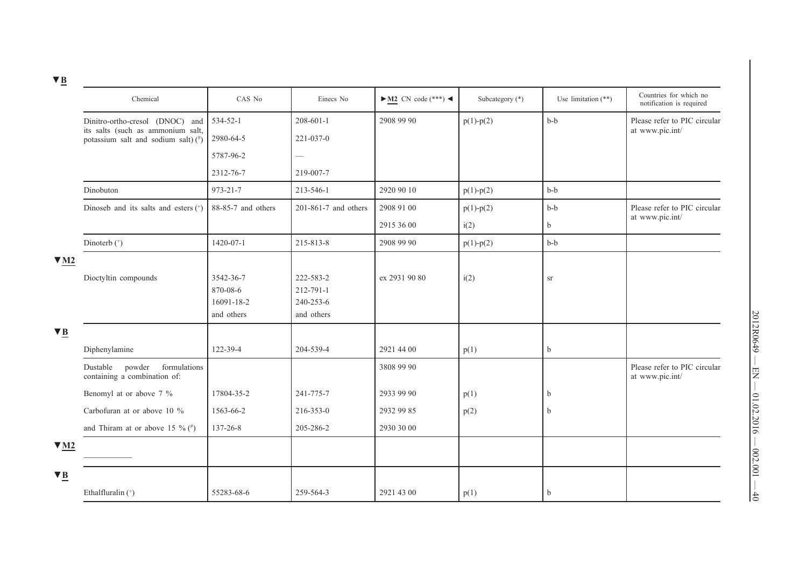| Dinitro-ortho-cresol (DNOC) and<br>534-52-1<br>$208 - 601 - 1$<br>2908 99 90<br>$b-b$<br>$p(1) - p(2)$<br>its salts (such as ammonium salt,<br>at www.pic.int/<br>2980-64-5<br>$221 - 037 - 0$<br>potassium salt and sodium salt) $(^{\#})$<br>5787-96-2<br>$\qquad \qquad -$<br>219-007-7<br>2312-76-7<br>Dinobuton<br>973-21-7<br>2920 90 10<br>$b-b$<br>213-546-1<br>$p(1) - p(2)$<br>88-85-7 and others<br>2908 91 00<br>$b-b$<br>Dinoseb and its salts and esters $(*)$<br>$201-861-7$ and others<br>$p(1)-p(2)$<br>at www.pic.int/<br>2915 36 00<br>i(2)<br>b<br>1420-07-1<br>215-813-8<br>2908 99 90<br>$b-b$<br>Dinoterb (+)<br>$p(1) - p(2)$<br>$\Psi$ M2<br>ex 2931 90 80<br>Dioctyltin compounds<br>3542-36-7<br>222-583-2<br>i(2)<br>Sr<br>212-791-1<br>870-08-6<br>16091-18-2<br>240-253-6<br>and others<br>and others<br>$\blacktriangledown$ B<br>Diphenylamine<br>122-39-4<br>204-539-4<br>2921 44 00<br>$\mathbf b$<br>p(1)<br>powder<br>formulations<br>Dustable<br>3808 99 90<br>containing a combination of:<br>at www.pic.int/<br>Benomyl at or above 7 %<br>2933 99 90<br>17804-35-2<br>241-775-7<br>p(1)<br>b<br>Carbofuran at or above 10 %<br>1563-66-2<br>216-353-0<br>2932 99 85<br>p(2)<br>$\mathbf b$<br>and Thiram at or above 15 % $($ #)<br>137-26-8<br>205-286-2<br>2930 30 00<br>$\Psi$ M <sub>2</sub><br>$\blacktriangledown$ B | Chemical                           | CAS No     | Einecs No | $\blacktriangleright$ M2 CN code (***) < | Subcategory (*) | Use limitation $(**)$ | Countries for which no<br>notification is required |
|--------------------------------------------------------------------------------------------------------------------------------------------------------------------------------------------------------------------------------------------------------------------------------------------------------------------------------------------------------------------------------------------------------------------------------------------------------------------------------------------------------------------------------------------------------------------------------------------------------------------------------------------------------------------------------------------------------------------------------------------------------------------------------------------------------------------------------------------------------------------------------------------------------------------------------------------------------------------------------------------------------------------------------------------------------------------------------------------------------------------------------------------------------------------------------------------------------------------------------------------------------------------------------------------------------------------------------------------------------------------|------------------------------------|------------|-----------|------------------------------------------|-----------------|-----------------------|----------------------------------------------------|
|                                                                                                                                                                                                                                                                                                                                                                                                                                                                                                                                                                                                                                                                                                                                                                                                                                                                                                                                                                                                                                                                                                                                                                                                                                                                                                                                                                    |                                    |            |           |                                          |                 |                       | Please refer to PIC circular                       |
|                                                                                                                                                                                                                                                                                                                                                                                                                                                                                                                                                                                                                                                                                                                                                                                                                                                                                                                                                                                                                                                                                                                                                                                                                                                                                                                                                                    |                                    |            |           |                                          |                 |                       |                                                    |
|                                                                                                                                                                                                                                                                                                                                                                                                                                                                                                                                                                                                                                                                                                                                                                                                                                                                                                                                                                                                                                                                                                                                                                                                                                                                                                                                                                    |                                    |            |           |                                          |                 |                       |                                                    |
|                                                                                                                                                                                                                                                                                                                                                                                                                                                                                                                                                                                                                                                                                                                                                                                                                                                                                                                                                                                                                                                                                                                                                                                                                                                                                                                                                                    |                                    |            |           |                                          |                 |                       |                                                    |
|                                                                                                                                                                                                                                                                                                                                                                                                                                                                                                                                                                                                                                                                                                                                                                                                                                                                                                                                                                                                                                                                                                                                                                                                                                                                                                                                                                    |                                    |            |           |                                          |                 |                       |                                                    |
|                                                                                                                                                                                                                                                                                                                                                                                                                                                                                                                                                                                                                                                                                                                                                                                                                                                                                                                                                                                                                                                                                                                                                                                                                                                                                                                                                                    |                                    |            |           |                                          |                 |                       | Please refer to PIC circular                       |
|                                                                                                                                                                                                                                                                                                                                                                                                                                                                                                                                                                                                                                                                                                                                                                                                                                                                                                                                                                                                                                                                                                                                                                                                                                                                                                                                                                    |                                    |            |           |                                          |                 |                       |                                                    |
|                                                                                                                                                                                                                                                                                                                                                                                                                                                                                                                                                                                                                                                                                                                                                                                                                                                                                                                                                                                                                                                                                                                                                                                                                                                                                                                                                                    |                                    |            |           |                                          |                 |                       |                                                    |
|                                                                                                                                                                                                                                                                                                                                                                                                                                                                                                                                                                                                                                                                                                                                                                                                                                                                                                                                                                                                                                                                                                                                                                                                                                                                                                                                                                    |                                    |            |           |                                          |                 |                       |                                                    |
|                                                                                                                                                                                                                                                                                                                                                                                                                                                                                                                                                                                                                                                                                                                                                                                                                                                                                                                                                                                                                                                                                                                                                                                                                                                                                                                                                                    |                                    |            |           |                                          |                 |                       |                                                    |
|                                                                                                                                                                                                                                                                                                                                                                                                                                                                                                                                                                                                                                                                                                                                                                                                                                                                                                                                                                                                                                                                                                                                                                                                                                                                                                                                                                    |                                    |            |           |                                          |                 |                       |                                                    |
|                                                                                                                                                                                                                                                                                                                                                                                                                                                                                                                                                                                                                                                                                                                                                                                                                                                                                                                                                                                                                                                                                                                                                                                                                                                                                                                                                                    |                                    |            |           |                                          |                 |                       |                                                    |
|                                                                                                                                                                                                                                                                                                                                                                                                                                                                                                                                                                                                                                                                                                                                                                                                                                                                                                                                                                                                                                                                                                                                                                                                                                                                                                                                                                    |                                    |            |           |                                          |                 |                       |                                                    |
|                                                                                                                                                                                                                                                                                                                                                                                                                                                                                                                                                                                                                                                                                                                                                                                                                                                                                                                                                                                                                                                                                                                                                                                                                                                                                                                                                                    |                                    |            |           |                                          |                 |                       |                                                    |
|                                                                                                                                                                                                                                                                                                                                                                                                                                                                                                                                                                                                                                                                                                                                                                                                                                                                                                                                                                                                                                                                                                                                                                                                                                                                                                                                                                    |                                    |            |           |                                          |                 |                       |                                                    |
|                                                                                                                                                                                                                                                                                                                                                                                                                                                                                                                                                                                                                                                                                                                                                                                                                                                                                                                                                                                                                                                                                                                                                                                                                                                                                                                                                                    |                                    |            |           |                                          |                 |                       | Please refer to PIC circular                       |
|                                                                                                                                                                                                                                                                                                                                                                                                                                                                                                                                                                                                                                                                                                                                                                                                                                                                                                                                                                                                                                                                                                                                                                                                                                                                                                                                                                    |                                    |            |           |                                          |                 |                       |                                                    |
|                                                                                                                                                                                                                                                                                                                                                                                                                                                                                                                                                                                                                                                                                                                                                                                                                                                                                                                                                                                                                                                                                                                                                                                                                                                                                                                                                                    |                                    |            |           |                                          |                 |                       |                                                    |
|                                                                                                                                                                                                                                                                                                                                                                                                                                                                                                                                                                                                                                                                                                                                                                                                                                                                                                                                                                                                                                                                                                                                                                                                                                                                                                                                                                    |                                    |            |           |                                          |                 |                       |                                                    |
|                                                                                                                                                                                                                                                                                                                                                                                                                                                                                                                                                                                                                                                                                                                                                                                                                                                                                                                                                                                                                                                                                                                                                                                                                                                                                                                                                                    |                                    |            |           |                                          |                 |                       |                                                    |
|                                                                                                                                                                                                                                                                                                                                                                                                                                                                                                                                                                                                                                                                                                                                                                                                                                                                                                                                                                                                                                                                                                                                                                                                                                                                                                                                                                    |                                    |            |           |                                          |                 |                       |                                                    |
|                                                                                                                                                                                                                                                                                                                                                                                                                                                                                                                                                                                                                                                                                                                                                                                                                                                                                                                                                                                                                                                                                                                                                                                                                                                                                                                                                                    | Ethalfluralin $($ <sup>+</sup> $)$ | 55283-68-6 | 259-564-3 | 2921 43 00                               | p(1)            | b                     |                                                    |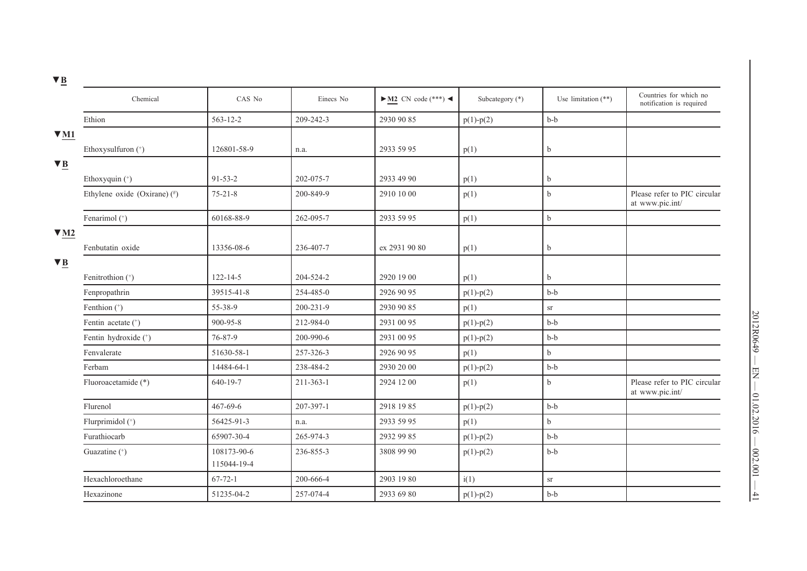| <u> ' 쓰</u>            |                                             |                            |                 |                                          |                   |                       |                                                    |
|------------------------|---------------------------------------------|----------------------------|-----------------|------------------------------------------|-------------------|-----------------------|----------------------------------------------------|
|                        | Chemical                                    | CAS No                     | Einecs No       | $\blacktriangleright$ M2 CN code (***) < | Subcategory $(*)$ | Use limitation $(**)$ | Countries for which no<br>notification is required |
|                        | Ethion                                      | 563-12-2                   | 209-242-3       | 2930 90 85                               | $p(1) - p(2)$     | $b-b$                 |                                                    |
| $\nabla M1$            |                                             |                            |                 |                                          |                   |                       |                                                    |
|                        | Ethoxysulfuron (*)                          | 126801-58-9                | n.a.            | 2933 59 95                               | p(1)              | $\mathbf b$           |                                                    |
| $\blacktriangledown$ B |                                             |                            |                 |                                          |                   |                       |                                                    |
|                        | Ethoxyquin (+)                              | $91 - 53 - 2$              | 202-075-7       | 2933 49 90                               | p(1)              | b                     |                                                    |
|                        | Ethylene oxide (Oxirane) $($ <sup>#</sup> ) | $75 - 21 - 8$              | 200-849-9       | 2910 10 00                               | p(1)              | $\mathbf b$           | Please refer to PIC circular<br>at www.pic.int/    |
|                        | Fenarimol (+)                               | 60168-88-9                 | 262-095-7       | 2933 59 95                               | p(1)              | $\mathbf b$           |                                                    |
| $\nabla M2$            |                                             |                            |                 |                                          |                   |                       |                                                    |
|                        | Fenbutatin oxide                            | 13356-08-6                 | 236-407-7       | ex 2931 90 80                            | p(1)              | $\mathbf b$           |                                                    |
| $\blacktriangledown$ B |                                             |                            |                 |                                          |                   |                       |                                                    |
|                        | Fenitrothion (+)                            | $122 - 14 - 5$             | 204-524-2       | 2920 19 00                               | p(1)              | b                     |                                                    |
|                        | Fenpropathrin                               | 39515-41-8                 | 254-485-0       | 2926 90 95                               | $p(1) - p(2)$     | $b-b$                 |                                                    |
|                        | Fenthion (*)                                | 55-38-9                    | 200-231-9       | 2930 90 85                               | p(1)              | <b>Sr</b>             |                                                    |
|                        | Fentin acetate (+)                          | 900-95-8                   | 212-984-0       | 2931 00 95                               | $p(1) - p(2)$     | $b-b$                 |                                                    |
|                        | Fentin hydroxide (+)                        | 76-87-9                    | 200-990-6       | 2931 00 95                               | $p(1)-p(2)$       | $b-b$                 |                                                    |
|                        | Fenvalerate                                 | 51630-58-1                 | 257-326-3       | 2926 90 95                               | p(1)              | $\mathbf b$           |                                                    |
|                        | Ferbam                                      | 14484-64-1                 | 238-484-2       | 2930 20 00                               | $p(1) - p(2)$     | $b-b$                 |                                                    |
|                        | Fluoroacetamide (*)                         | 640-19-7                   | $211 - 363 - 1$ | 2924 12 00                               | p(1)              | $\mathbf b$           | Please refer to PIC circular<br>at www.pic.int/    |
|                        | Flurenol                                    | 467-69-6                   | 207-397-1       | 2918 19 85                               | $p(1) - p(2)$     | $b-b$                 |                                                    |
|                        | Flurprimidol (+)                            | 56425-91-3                 | n.a.            | 2933 59 95                               | p(1)              | $\mathbf b$           |                                                    |
|                        | Furathiocarb                                | 65907-30-4                 | 265-974-3       | 2932 99 85                               | $p(1) - p(2)$     | $b-b$                 |                                                    |
|                        | Guazatine (*)                               | 108173-90-6<br>115044-19-4 | 236-855-3       | 3808 99 90                               | $p(1) - p(2)$     | $b-b$                 |                                                    |
|                        | Hexachloroethane                            | $67 - 72 - 1$              | 200-666-4       | 2903 19 80                               | i(1)              | ${\rm sr}$            |                                                    |
|                        | Hexazinone                                  | 51235-04-2                 | 257-074-4       | 2933 69 80                               | $p(1) - p(2)$     | $b-b$                 |                                                    |
|                        |                                             |                            |                 |                                          |                   |                       |                                                    |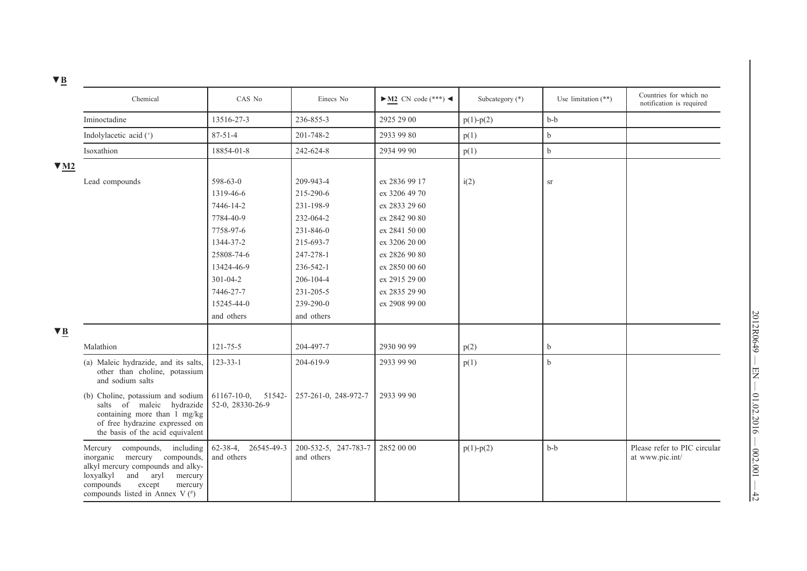| ᆞ 쓰                               |                                                                                                                                                                             |                                        |                                    |                                          |                   |                       |                                                    |
|-----------------------------------|-----------------------------------------------------------------------------------------------------------------------------------------------------------------------------|----------------------------------------|------------------------------------|------------------------------------------|-------------------|-----------------------|----------------------------------------------------|
|                                   | Chemical                                                                                                                                                                    | CAS No                                 | Einecs No                          | $\blacktriangleright$ M2 CN code (***) < | Subcategory $(*)$ | Use limitation $(**)$ | Countries for which no<br>notification is required |
| Iminoctadine                      |                                                                                                                                                                             | 13516-27-3                             | 236-855-3                          | 2925 29 00                               | $p(1) - p(2)$     | $b-b$                 |                                                    |
| Indolylacetic acid (+)            |                                                                                                                                                                             | $87 - 51 - 4$                          | 201-748-2                          | 2933 99 80                               | p(1)              | $\mathbf b$           |                                                    |
| Isoxathion                        |                                                                                                                                                                             | 18854-01-8                             | 242-624-8                          | 2934 99 90                               | p(1)              | $\mathbf b$           |                                                    |
| $\blacktriangledown$ M2           |                                                                                                                                                                             |                                        |                                    |                                          |                   |                       |                                                    |
| Lead compounds                    |                                                                                                                                                                             | 598-63-0                               | 209-943-4                          | ex 2836 99 17                            | i(2)              | $\rm{sr}$             |                                                    |
|                                   |                                                                                                                                                                             | 1319-46-6                              | 215-290-6                          | ex 3206 49 70                            |                   |                       |                                                    |
|                                   |                                                                                                                                                                             | 7446-14-2                              | 231-198-9                          | ex 2833 29 60                            |                   |                       |                                                    |
|                                   |                                                                                                                                                                             | 7784-40-9                              | 232-064-2                          | ex 2842 90 80                            |                   |                       |                                                    |
|                                   |                                                                                                                                                                             | 7758-97-6                              | 231-846-0                          | ex 2841 50 00                            |                   |                       |                                                    |
|                                   |                                                                                                                                                                             | 1344-37-2                              | 215-693-7                          | ex 3206 20 00                            |                   |                       |                                                    |
|                                   |                                                                                                                                                                             | 25808-74-6                             | 247-278-1                          | ex 2826 90 80                            |                   |                       |                                                    |
|                                   |                                                                                                                                                                             | 13424-46-9                             | 236-542-1                          | ex 2850 00 60                            |                   |                       |                                                    |
|                                   |                                                                                                                                                                             | $301 - 04 - 2$                         | 206-104-4                          | ex 2915 29 00                            |                   |                       |                                                    |
|                                   |                                                                                                                                                                             | 7446-27-7                              | 231-205-5                          | ex 2835 29 90                            |                   |                       |                                                    |
|                                   |                                                                                                                                                                             | 15245-44-0                             | 239-290-0                          | ex 2908 99 00                            |                   |                       |                                                    |
|                                   |                                                                                                                                                                             | and others                             | and others                         |                                          |                   |                       |                                                    |
| $\blacktriangledown$ B            |                                                                                                                                                                             |                                        |                                    |                                          |                   |                       |                                                    |
| Malathion                         |                                                                                                                                                                             | $121 - 75 - 5$                         | 204-497-7                          | 2930 90 99                               | p(2)              | b                     |                                                    |
|                                   | (a) Maleic hydrazide, and its salts,<br>other than choline, potassium<br>and sodium salts                                                                                   | $123 - 33 - 1$                         | 204-619-9                          | 2933 99 90                               | p(1)              | $\mathbf b$           |                                                    |
|                                   | (b) Choline, potassium and sodium<br>salts of maleic hydrazide<br>containing more than 1 mg/kg<br>of free hydrazine expressed on<br>the basis of the acid equivalent        | 61167-10-0, 51542-<br>52-0, 28330-26-9 | 257-261-0, 248-972-7               | 2933 99 90                               |                   |                       |                                                    |
| Mercury<br>loxyalkyl<br>compounds | compounds, including<br>inorganic mercury compounds,<br>alkyl mercury compounds and alky-<br>and aryl<br>mercury<br>except<br>mercury<br>compounds listed in Annex V $($ #) | 62-38-4, 26545-49-3<br>and others      | 200-532-5, 247-783-7<br>and others | 2852 00 00                               | $p(1) - p(2)$     | $b-b$                 | Please refer to PIC circular<br>at www.pic.int/    |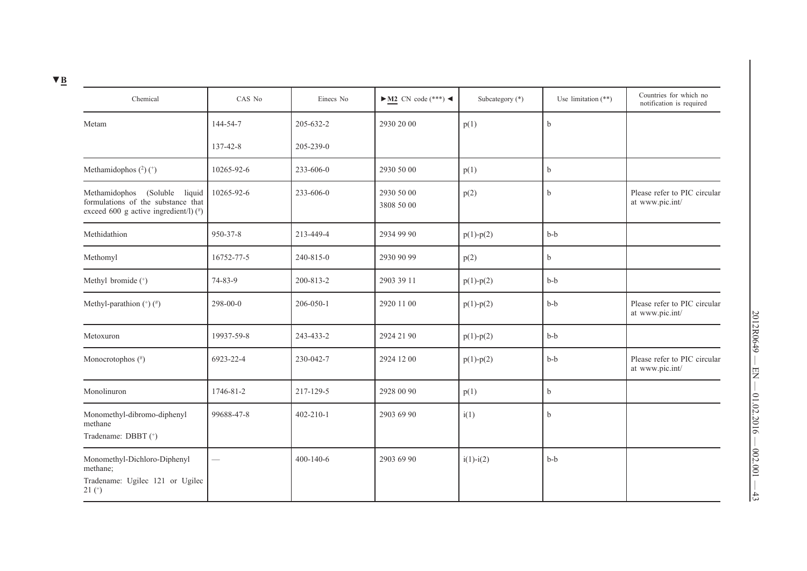| × |  |
|---|--|
|   |  |

| Chemical                                                                                                        | CAS No        | Einecs No       | $\blacktriangleright$ M2 CN code (***) < | Subcategory (*) | Use limitation $(**)$ | Countries for which no<br>notification is required |
|-----------------------------------------------------------------------------------------------------------------|---------------|-----------------|------------------------------------------|-----------------|-----------------------|----------------------------------------------------|
| Metam                                                                                                           | 144-54-7      | 205-632-2       | 2930 20 00                               | p(1)            | b                     |                                                    |
|                                                                                                                 | 137-42-8      | $205 - 239 - 0$ |                                          |                 |                       |                                                    |
| Methamidophos $(^{2})$ $(^{+})$                                                                                 | 10265-92-6    | 233-606-0       | 2930 50 00                               | p(1)            | b                     |                                                    |
| Methamidophos (Soluble liquid<br>formulations of the substance that<br>exceed 600 g active ingredient/l) $($ #) | 10265-92-6    | 233-606-0       | 2930 50 00<br>3808 50 00                 | p(2)            | b                     | Please refer to PIC circular<br>at www.pic.int/    |
| Methidathion                                                                                                    | 950-37-8      | 213-449-4       | 2934 99 90                               | $p(1) - p(2)$   | $b-b$                 |                                                    |
| Methomyl                                                                                                        | 16752-77-5    | 240-815-0       | 2930 90 99                               | p(2)            | b                     |                                                    |
| Methyl bromide (+)                                                                                              | 74-83-9       | 200-813-2       | 2903 39 11                               | $p(1) - p(2)$   | $b-b$                 |                                                    |
| Methyl-parathion $(*)$ $(*)$                                                                                    | 298-00-0      | $206 - 050 - 1$ | 2920 11 00                               | $p(1) - p(2)$   | $b-b$                 | Please refer to PIC circular<br>at www.pic.int/    |
| Metoxuron                                                                                                       | 19937-59-8    | 243-433-2       | 2924 21 90                               | $p(1) - p(2)$   | $b-b$                 |                                                    |
| Monocrotophos (#)                                                                                               | 6923-22-4     | 230-042-7       | 2924 12 00                               | $p(1) - p(2)$   | $b-b$                 | Please refer to PIC circular<br>at www.pic.int/    |
| Monolinuron                                                                                                     | 1746-81-2     | 217-129-5       | 2928 00 90                               | p(1)            | b                     |                                                    |
| Monomethyl-dibromo-diphenyl<br>methane<br>Tradename: DBBT (+)                                                   | 99688-47-8    | $402 - 210 - 1$ | 2903 69 90                               | i(1)            | b                     |                                                    |
| Monomethyl-Dichloro-Diphenyl<br>methane;<br>Tradename: Ugilec 121 or Ugilec<br>$21$ ( $^{+}$ )                  | $\mathcal{L}$ | $400 - 140 - 6$ | 2903 69 90                               | $i(1) - i(2)$   | $b-b$                 |                                                    |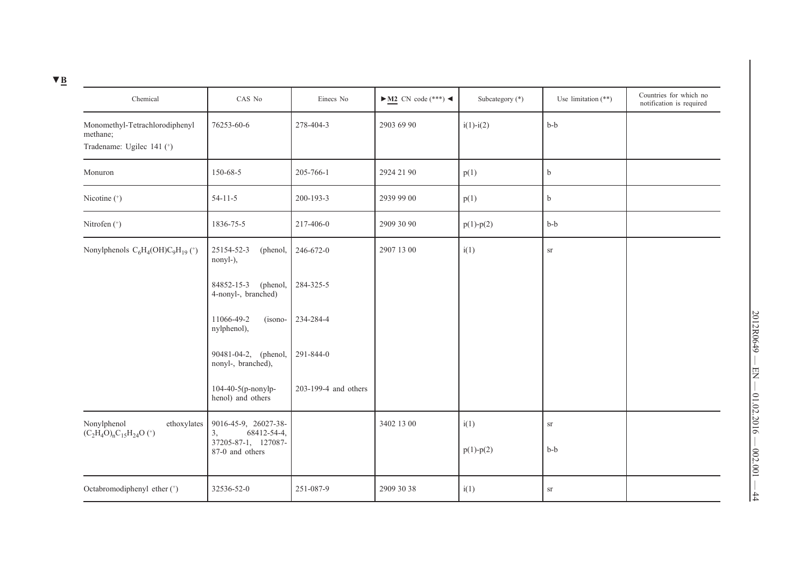|--|

| Chemical                                                                | CAS No                                        | Einecs No            | $\blacktriangleright$ M2 CN code (***) < | Subcategory (*) | Use limitation $(**)$ | Countries for which no<br>notification is required |
|-------------------------------------------------------------------------|-----------------------------------------------|----------------------|------------------------------------------|-----------------|-----------------------|----------------------------------------------------|
| Monomethyl-Tetrachlorodiphenyl<br>methane;<br>Tradename: Ugilec 141 (+) | 76253-60-6                                    | 278-404-3            | 2903 69 90                               | $i(1)-i(2)$     | $b-b$                 |                                                    |
| Monuron                                                                 | 150-68-5                                      | 205-766-1            | 2924 21 90                               | p(1)            | $\mathbf b$           |                                                    |
| Nicotine (*)                                                            | $54-11-5$                                     | 200-193-3            | 2939 99 00                               | p(1)            | $\mathbf b$           |                                                    |
| Nitrofen (*)                                                            | 1836-75-5                                     | 217-406-0            | 2909 30 90                               | $p(1) - p(2)$   | $b-b$                 |                                                    |
| Nonylphenols $C_6H_4(OH)C_9H_{19}$ (*)                                  | 25154-52-3<br>(phenol,<br>nonyl-),            | 246-672-0            | 2907 13 00                               | i(1)            | ${\rm sr}$            |                                                    |
|                                                                         | 84852-15-3<br>(phenol,<br>4-nonyl-, branched) | 284-325-5            |                                          |                 |                       |                                                    |
|                                                                         | 11066-49-2<br>(isono-<br>nylphenol),          | 234-284-4            |                                          |                 |                       |                                                    |
|                                                                         | 90481-04-2, (phenol,<br>nonyl-, branched),    | 291-844-0            |                                          |                 |                       |                                                    |
|                                                                         | 104-40-5(p-nonylp-<br>henol) and others       | 203-199-4 and others |                                          |                 |                       |                                                    |
| Nonylphenol<br>ethoxylates<br>$(C_2H_4O)_nC_15H_{24}O$ <sup>(+)</sup>   | 9016-45-9, 26027-38-<br>68412-54-4,<br>3,     |                      | 3402 13 00                               | i(1)            | ${\rm sr}$            |                                                    |
|                                                                         | 37205-87-1, 127087-<br>87-0 and others        |                      |                                          | $p(1) - p(2)$   | $b-b$                 |                                                    |
| Octabromodiphenyl ether (+)                                             | 32536-52-0                                    | 251-087-9            | 2909 30 38                               | i(1)            | <b>Sr</b>             |                                                    |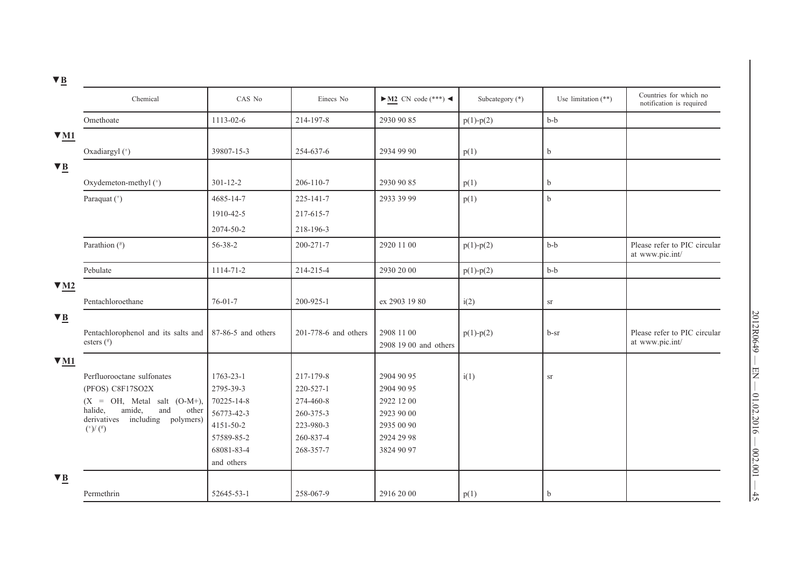| <u> " 므</u>            |                                                                            |                    |                      |                                          |                 |                       |                                                    |
|------------------------|----------------------------------------------------------------------------|--------------------|----------------------|------------------------------------------|-----------------|-----------------------|----------------------------------------------------|
|                        | Chemical                                                                   | CAS No             | Einecs No            | $\blacktriangleright$ M2 CN code (***) < | Subcategory (*) | Use limitation $(**)$ | Countries for which no<br>notification is required |
|                        | Omethoate                                                                  | 1113-02-6          | 214-197-8            | 2930 90 85                               | $p(1) - p(2)$   | $b-b$                 |                                                    |
| $\Psi$ M1              |                                                                            |                    |                      |                                          |                 |                       |                                                    |
|                        | Oxadiargyl (*)                                                             | 39807-15-3         | 254-637-6            | 2934 99 90                               | p(1)            | $\mathbf b$           |                                                    |
| $\blacktriangledown$ B |                                                                            |                    |                      |                                          |                 |                       |                                                    |
|                        | Oxydemeton-methyl (*)                                                      | $301 - 12 - 2$     | 206-110-7            | 2930 90 85                               | p(1)            | $\mathbf b$           |                                                    |
|                        | Paraquat (*)                                                               | 4685-14-7          | 225-141-7            | 2933 39 99                               | p(1)            | $\mathbf b$           |                                                    |
|                        |                                                                            | 1910-42-5          | 217-615-7            |                                          |                 |                       |                                                    |
|                        |                                                                            | 2074-50-2          | 218-196-3            |                                          |                 |                       |                                                    |
|                        | Parathion (#)                                                              | 56-38-2            | $200 - 271 - 7$      | 2920 11 00                               | $p(1) - p(2)$   | $b-b$                 | Please refer to PIC circular<br>at www.pic.int/    |
|                        | Pebulate                                                                   | 1114-71-2          | 214-215-4            | 2930 20 00                               | $p(1) - p(2)$   | $b-b$                 |                                                    |
| $\Psi$ M <sub>2</sub>  |                                                                            |                    |                      |                                          |                 |                       |                                                    |
|                        | Pentachloroethane                                                          | $76 - 01 - 7$      | $200 - 925 - 1$      | ex 2903 19 80                            | i(2)            | ${\rm sr}$            |                                                    |
| $\blacktriangledown$ B |                                                                            |                    |                      |                                          |                 |                       |                                                    |
|                        | Pentachlorophenol and its salts and<br>esters $(*)$                        | 87-86-5 and others | 201-778-6 and others | 2908 11 00<br>2908 19 00 and others      | $p(1) - p(2)$   | b-sr                  | Please refer to PIC circular<br>at www.pic.int/    |
| $\nabla M1$            |                                                                            |                    |                      |                                          |                 |                       |                                                    |
|                        | Perfluorooctane sulfonates                                                 | 1763-23-1          | 217-179-8            | 2904 90 95                               | i(1)            | ${\rm sr}$            |                                                    |
|                        | (PFOS) C8F17SO2X                                                           | 2795-39-3          | 220-527-1            | 2904 90 95                               |                 |                       |                                                    |
|                        | $(X = OH, Metal salt (O-M+),$                                              | 70225-14-8         | 274-460-8            | 2922 12 00                               |                 |                       |                                                    |
|                        | amide,<br>halide,<br>and<br>other<br>derivatives<br>including<br>polymers) | 56773-42-3         | 260-375-3            | 2923 90 00                               |                 |                       |                                                    |
|                        | $(^{+})/(^{#})$                                                            | 4151-50-2          | 223-980-3            | 2935 00 90                               |                 |                       |                                                    |
|                        |                                                                            | 57589-85-2         | 260-837-4            | 2924 29 98                               |                 |                       |                                                    |
|                        |                                                                            | 68081-83-4         | 268-357-7            | 3824 90 97                               |                 |                       |                                                    |
|                        |                                                                            | and others         |                      |                                          |                 |                       |                                                    |
| $\blacktriangledown$ B |                                                                            |                    |                      |                                          |                 |                       |                                                    |
|                        | Permethrin                                                                 | 52645-53-1         | 258-067-9            | 2916 20 00                               | p(1)            | $\mathbf b$           |                                                    |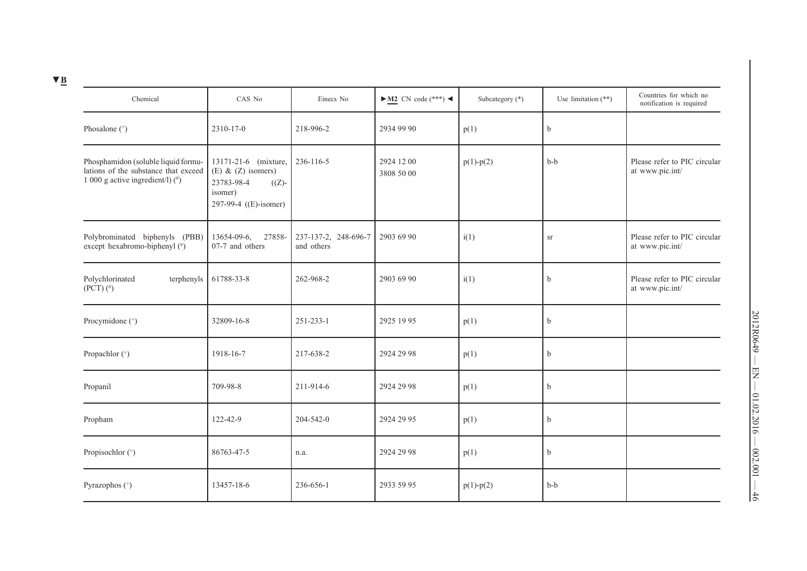| Chemical                                                                                                              | CAS No                                                                                                    | Einecs No                          | $\blacktriangleright$ M2 CN code (***) < | Subcategory (*) | Use limitation $(**)$ | Countries for which no<br>notification is required |
|-----------------------------------------------------------------------------------------------------------------------|-----------------------------------------------------------------------------------------------------------|------------------------------------|------------------------------------------|-----------------|-----------------------|----------------------------------------------------|
| Phosalone (+)                                                                                                         | 2310-17-0                                                                                                 | 218-996-2                          | 2934 99 90                               | p(1)            | b                     |                                                    |
| Phosphamidon (soluble liquid formu-<br>lations of the substance that exceed<br>1 000 g active ingredient/l) $(^{\#})$ | 13171-21-6 (mixture,<br>(E) $& (Z)$ isomers)<br>23783-98-4<br>$((Z)-$<br>isomer)<br>297-99-4 ((E)-isomer) | 236-116-5                          | 2924 12 00<br>3808 50 00                 | $p(1) - p(2)$   | $b-b$                 | Please refer to PIC circular<br>at www.pic.int/    |
| Polybrominated biphenyls (PBB)<br>except hexabromo-biphenyl (#)                                                       | $13654-09-6$ ,<br>27858-<br>07-7 and others                                                               | 237-137-2, 248-696-7<br>and others | 2903 69 90                               | i(1)            | <b>Sr</b>             | Please refer to PIC circular<br>at www.pic.int/    |
| Polychlorinated<br>terphenyls<br>$(PCT)$ $(^{\#})$                                                                    | 61788-33-8                                                                                                | 262-968-2                          | 2903 69 90                               | i(1)            | b                     | Please refer to PIC circular<br>at www.pic.int/    |
| Procymidone (+)                                                                                                       | 32809-16-8                                                                                                | $251 - 233 - 1$                    | 2925 19 95                               | p(1)            | b                     |                                                    |
| Propachlor (+)                                                                                                        | 1918-16-7                                                                                                 | 217-638-2                          | 2924 29 98                               | p(1)            | b                     |                                                    |
| Propanil                                                                                                              | 709-98-8                                                                                                  | 211-914-6                          | 2924 29 98                               | p(1)            | b                     |                                                    |
| Propham                                                                                                               | 122-42-9                                                                                                  | 204-542-0                          | 2924 29 95                               | p(1)            | b                     |                                                    |
| Propisochlor (+)                                                                                                      | 86763-47-5                                                                                                | n.a.                               | 2924 29 98                               | p(1)            | b                     |                                                    |
| Pyrazophos (+)                                                                                                        | 13457-18-6                                                                                                | 236-656-1                          | 2933 59 95                               | $p(1) - p(2)$   | $b-b$                 |                                                    |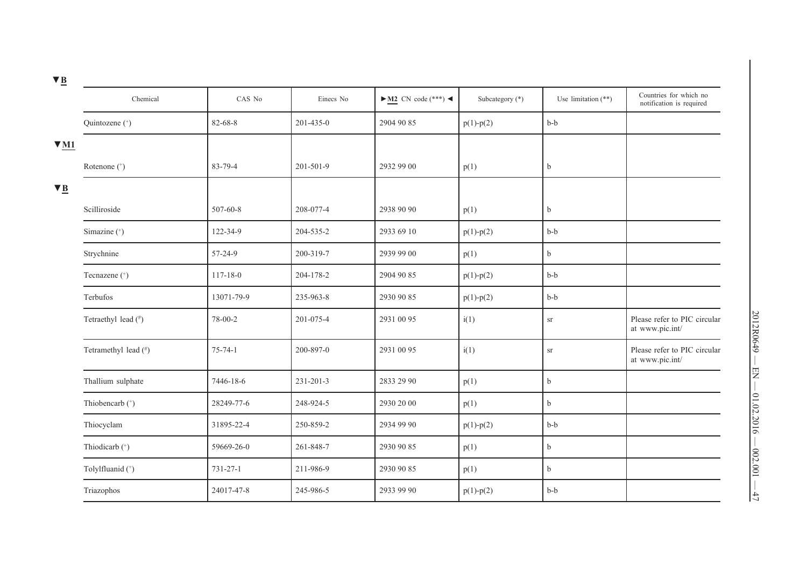| ᆞ <u>~</u>             |                      |                |           |                                          |                 |                       |                                                    |
|------------------------|----------------------|----------------|-----------|------------------------------------------|-----------------|-----------------------|----------------------------------------------------|
|                        | Chemical             | CAS No         | Einecs No | $\blacktriangleright$ M2 CN code (***) < | Subcategory (*) | Use limitation $(**)$ | Countries for which no<br>notification is required |
|                        | Quintozene (+)       | 82-68-8        | 201-435-0 | 2904 90 85                               | $p(1) - p(2)$   | $b-b$                 |                                                    |
| $\Psi$ M1              |                      |                |           |                                          |                 |                       |                                                    |
|                        | Rotenone (*)         | 83-79-4        | 201-501-9 | 2932 99 00                               | p(1)            | $\mathbf b$           |                                                    |
| $\nabla \underline{B}$ |                      |                |           |                                          |                 |                       |                                                    |
|                        | Scilliroside         | 507-60-8       | 208-077-4 | 2938 90 90                               | p(1)            | $\mathbf b$           |                                                    |
|                        | Simazine (*)         | 122-34-9       | 204-535-2 | 2933 69 10                               | $p(1) - p(2)$   | $b-b$                 |                                                    |
|                        | Strychnine           | 57-24-9        | 200-319-7 | 2939 99 00                               | p(1)            | $\mathbf b$           |                                                    |
|                        | Tecnazene (*)        | $117 - 18 - 0$ | 204-178-2 | 2904 90 85                               | $p(1) - p(2)$   | $b-b$                 |                                                    |
|                        | Terbufos             | 13071-79-9     | 235-963-8 | 2930 90 85                               | $p(1) - p(2)$   | $b-b$                 |                                                    |
|                        | Tetraethyl lead (#)  | 78-00-2        | 201-075-4 | 2931 00 95                               | i(1)            | ${\rm sr}$            | Please refer to PIC circular<br>at www.pic.int/    |
|                        | Tetramethyl lead (#) | $75 - 74 - 1$  | 200-897-0 | 2931 00 95                               | i(1)            | $\rm{sr}$             | Please refer to PIC circular<br>at www.pic.int/    |
|                        | Thallium sulphate    | 7446-18-6      | 231-201-3 | 2833 29 90                               | p(1)            | $\mathbf b$           |                                                    |
|                        | Thiobencarb (+)      | 28249-77-6     | 248-924-5 | 2930 20 00                               | p(1)            | $\mathbf b$           |                                                    |
|                        | Thiocyclam           | 31895-22-4     | 250-859-2 | 2934 99 90                               | $p(1) - p(2)$   | $b-b$                 |                                                    |
|                        | Thiodicarb (*)       | 59669-26-0     | 261-848-7 | 2930 90 85                               | p(1)            | $\mathbf b$           |                                                    |
|                        | Tolylfluanid (+)     | $731 - 27 - 1$ | 211-986-9 | 2930 90 85                               | p(1)            | b                     |                                                    |
|                        | Triazophos           | 24017-47-8     | 245-986-5 | 2933 99 90                               | $p(1) - p(2)$   | $b-b$                 |                                                    |
|                        |                      |                |           |                                          |                 |                       |                                                    |

2012R0649 — EN — 01.02.2016 — 002.001 — 47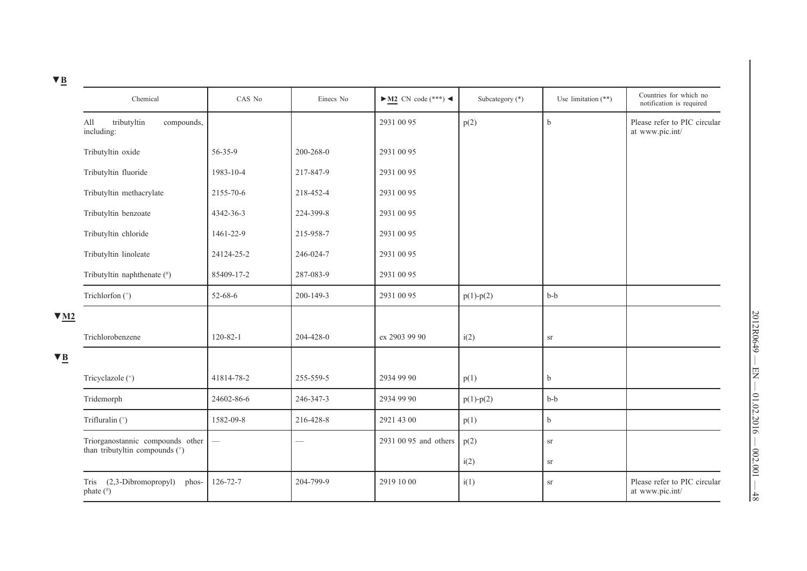| × |  |
|---|--|
|   |  |

| <u> ' 쁘</u>            |                                                   |                          |                 |                                          |                 |                       |                                                    |
|------------------------|---------------------------------------------------|--------------------------|-----------------|------------------------------------------|-----------------|-----------------------|----------------------------------------------------|
|                        | Chemical                                          | CAS No                   | Einecs No       | $\blacktriangleright$ M2 CN code (***) < | Subcategory (*) | Use limitation $(**)$ | Countries for which no<br>notification is required |
|                        | All<br>tributyltin<br>compounds,<br>including:    |                          |                 | 2931 00 95                               | p(2)            | $\mathbf b$           | Please refer to PIC circular<br>at www.pic.int/    |
|                        | Tributyltin oxide                                 | $56 - 35 - 9$            | $200 - 268 - 0$ | 2931 00 95                               |                 |                       |                                                    |
|                        | Tributyltin fluoride                              | 1983-10-4                | 217-847-9       | 2931 00 95                               |                 |                       |                                                    |
|                        | Tributyltin methacrylate                          | 2155-70-6                | 218-452-4       | 2931 00 95                               |                 |                       |                                                    |
|                        | Tributyltin benzoate                              | 4342-36-3                | 224-399-8       | 2931 00 95                               |                 |                       |                                                    |
|                        | Tributyltin chloride                              | 1461-22-9                | 215-958-7       | 2931 00 95                               |                 |                       |                                                    |
|                        | Tributyltin linoleate                             | 24124-25-2               | 246-024-7       | 2931 00 95                               |                 |                       |                                                    |
|                        | Tributyltin naphthenate (#)                       | 85409-17-2               | 287-083-9       | 2931 00 95                               |                 |                       |                                                    |
|                        | Trichlorfon (*)                                   | 52-68-6                  | 200-149-3       | 2931 00 95                               | $p(1) - p(2)$   | $b-b$                 |                                                    |
| $\Psi$ M2              |                                                   |                          |                 |                                          |                 |                       |                                                    |
|                        | Trichlorobenzene                                  | $120 - 82 - 1$           | 204-428-0       | ex 2903 99 90                            | i(2)            | <b>Sr</b>             |                                                    |
| $\blacktriangledown$ B |                                                   |                          |                 |                                          |                 |                       |                                                    |
|                        | Tricyclazole (*)                                  | 41814-78-2               | 255-559-5       | 2934 99 90                               | p(1)            | $\mathbf b$           |                                                    |
|                        | Tridemorph                                        | 24602-86-6               | 246-347-3       | 2934 99 90                               | $p(1) - p(2)$   | $b-b$                 |                                                    |
|                        | Trifluralin (+)                                   | 1582-09-8                | 216-428-8       | 2921 43 00                               | p(1)            | $\mathbf b$           |                                                    |
|                        | Triorganostannic compounds other                  | $\overline{\phantom{0}}$ | and a           | 2931 00 95 and others                    | p(2)            | ${\rm sr}$            |                                                    |
|                        | than tributyltin compounds (+)                    |                          |                 |                                          | i(2)            | ${\rm sr}$            |                                                    |
|                        | Tris (2,3-Dibromopropyl)<br>phos-<br>phate $(\#)$ | 126-72-7                 | 204-799-9       | 2919 10 00                               | i(1)            | sr                    | Please refer to PIC circular<br>at www.pic.int/    |
|                        |                                                   |                          |                 |                                          |                 |                       |                                                    |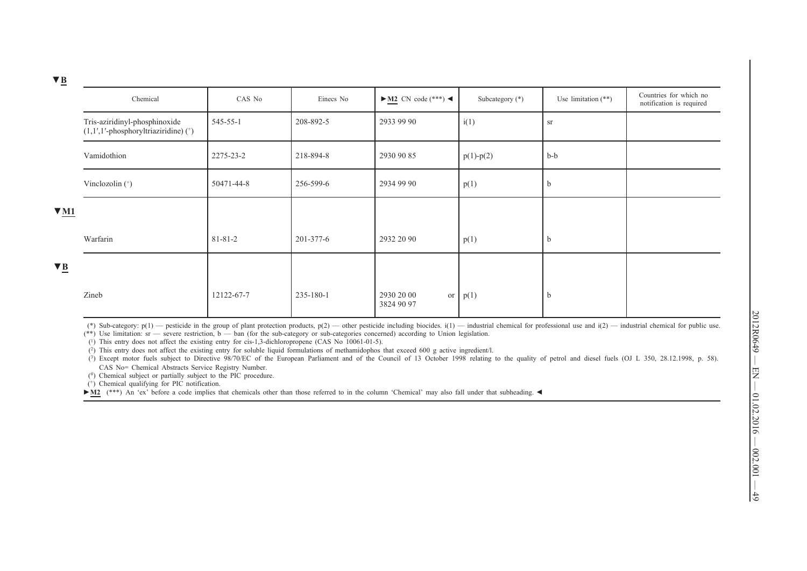|                        | Chemical                                                                           | CAS No        | Einecs No | $\blacktriangleright$ M2 CN code (***) < | Subcategory $(*)$ | Use limitation $(**)$ | Countries for which no<br>notification is required |
|------------------------|------------------------------------------------------------------------------------|---------------|-----------|------------------------------------------|-------------------|-----------------------|----------------------------------------------------|
|                        | Tris-aziridinyl-phosphinoxide<br>$(1,1',1'-phosphoryltriaziridine)$ <sup>+</sup> ) | 545-55-1      | 208-892-5 | 2933 99 90                               | i(1)              | <b>Sr</b>             |                                                    |
|                        | Vamidothion                                                                        | 2275-23-2     | 218-894-8 | 2930 90 85                               | $p(1) - p(2)$     | $b-b$                 |                                                    |
|                        | Vinclozolin (*)                                                                    | 50471-44-8    | 256-599-6 | 2934 99 90                               | p(1)              | $\mathfrak{b}$        |                                                    |
| $\Psi$ M1              |                                                                                    |               |           |                                          |                   |                       |                                                    |
|                        | Warfarin                                                                           | $81 - 81 - 2$ | 201-377-6 | 2932 20 90                               | p(1)              | b                     |                                                    |
| $\nabla \underline{B}$ |                                                                                    |               |           |                                          |                   |                       |                                                    |
|                        | Zineb                                                                              | 12122-67-7    | 235-180-1 | 2930 20 00<br>or<br>3824 90 97           | p(1)              | D                     |                                                    |

(\*) Sub-category:  $p(1)$  — pesticide in the group of plant protection products,  $p(2)$  — other pesticide including biocides.  $i(1)$  — industrial chemical for professional use and  $i(2)$  — industrial chemical for public us

 $(**)$  Use limitation: sr — severe restriction,  $b - ba$  (for the sub-category or sub-categories concerned) according to Union legislation.

(1) This entry does not affect the existing entry for cis-1,3-dichloropropene (CAS No 10061-01-5).

(2) This entry does not affect the existing entry for soluble liquid formulations of methamidophos that exceed 600 g active ingredient/l.

(3) Except motor fuels subject to Directive 98/70/EC of the European Parliament and of the Council of 13 October 1998 relating to the quality of petrol and diesel fuels (OJ L 350, 28.12.1998, p. 58). CAS No= Chemical Abstracts Service Registry Number.

 $(\#)$  Chemical subject or partially subject to the PIC procedure.

 $(+)$  Chemical qualifying for PIC notification.

► M2 (\*\*\*) An 'ex' before a code implies that chemicals other than those referred to in the column 'Chemical' may also fall under that subheading. ◀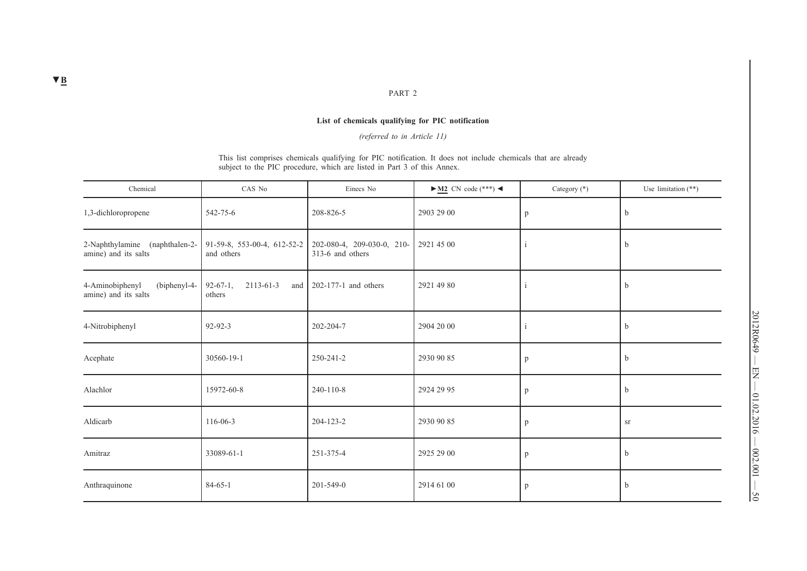#### PART 2

## **List of chemicals qualifying for PIC notification**

*(referred to in Article 11)*

This list comprises chemicals qualifying for PIC notification. It does not include chemicals that are already subject to the PIC procedure, which are listed in Part 3 of this Annex.

| Chemical                                                  | CAS No                                          | Einecs No                                      | $\blacktriangleright$ M2 CN code (***) < | Category $(*)$ | Use limitation $(**)$ |
|-----------------------------------------------------------|-------------------------------------------------|------------------------------------------------|------------------------------------------|----------------|-----------------------|
| 1,3-dichloropropene                                       | 542-75-6                                        | 208-826-5                                      | 2903 29 00                               | p              | $\mathbf b$           |
| 2-Naphthylamine (naphthalen-2-<br>amine) and its salts    | 91-59-8, 553-00-4, 612-52-2<br>and others       | 202-080-4, 209-030-0, 210-<br>313-6 and others | 2921 45 00                               |                | b                     |
| 4-Aminobiphenyl<br>$(biphenyl-4-$<br>amine) and its salts | $2113 - 61 - 3$<br>$92-67-1$ ,<br>and<br>others | 202-177-1 and others                           | 2921 49 80                               | $\mathbf{1}$   | $\mathbf b$           |
| 4-Nitrobiphenyl                                           | $92 - 92 - 3$                                   | 202-204-7                                      | 2904 20 00                               | $\overline{1}$ | $\mathbf b$           |
| Acephate                                                  | 30560-19-1                                      | 250-241-2                                      | 2930 90 85                               | p              | $\mathbf b$           |
| Alachlor                                                  | 15972-60-8                                      | 240-110-8                                      | 2924 29 95                               | p              | $\mathbf b$           |
| Aldicarb                                                  | 116-06-3                                        | 204-123-2                                      | 2930 90 85                               | p              | <b>Sr</b>             |
| Amitraz                                                   | 33089-61-1                                      | 251-375-4                                      | 2925 29 00                               | p              | $\mathbf b$           |
| Anthraquinone                                             | $84 - 65 - 1$                                   | $201 - 549 - 0$                                | 2914 61 00                               | p              | $\mathbf b$           |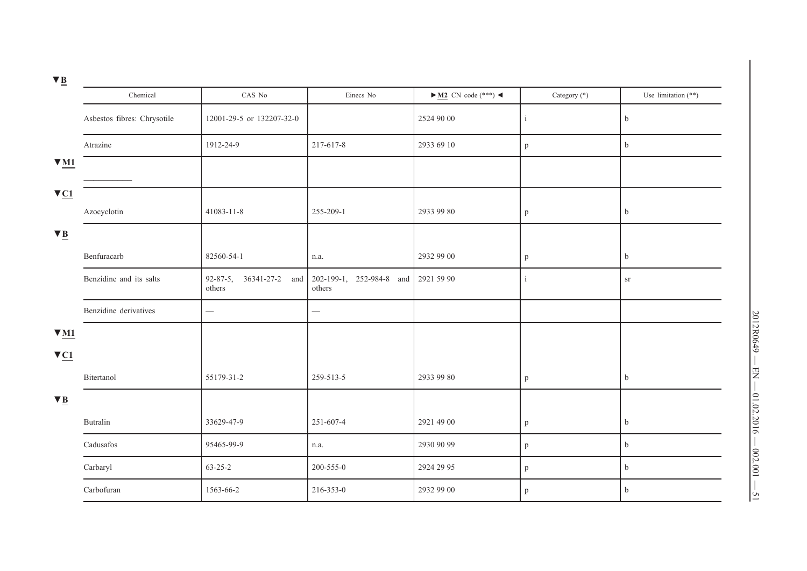| × |  |
|---|--|

|                         | Chemical                    | CAS No                            | Einecs No                          | $\blacktriangleright$ <u>M2</u> CN code (***) < | Category (*) | Use limitation (**) |
|-------------------------|-----------------------------|-----------------------------------|------------------------------------|-------------------------------------------------|--------------|---------------------|
|                         | Asbestos fibres: Chrysotile | 12001-29-5 or 132207-32-0         |                                    | 2524 90 00                                      | i            | $\rm b$             |
|                         | Atrazine                    | 1912-24-9                         | 217-617-8                          | 2933 69 10                                      | $\mathbf{p}$ | $\mathbf b$         |
| $\Psi$ M1               |                             |                                   |                                    |                                                 |              |                     |
| $\nabla \underline{C1}$ |                             |                                   |                                    |                                                 |              |                     |
|                         | Azocyclotin                 | 41083-11-8                        | 255-209-1                          | 2933 99 80                                      | $\mathbf{p}$ | $\rm b$             |
| $\nabla \underline{B}$  |                             |                                   |                                    |                                                 |              |                     |
|                         | Benfuracarb                 | 82560-54-1                        | n.a.                               | 2932 99 00                                      | p            | $\rm b$             |
|                         | Benzidine and its salts     | 92-87-5, 36341-27-2 and<br>others | 202-199-1, 252-984-8 and<br>others | 2921 59 90                                      | $\mathbf{i}$ | $\rm{S} \Gamma$     |
|                         | Benzidine derivatives       |                                   | $\overline{\phantom{0}}$           |                                                 |              |                     |
| $\Psi$ M1               |                             |                                   |                                    |                                                 |              |                     |
| $\nabla \underline{C1}$ |                             |                                   |                                    |                                                 |              |                     |
|                         | Bitertanol                  | 55179-31-2                        | 259-513-5                          | 2933 99 80                                      | $\mathbf{p}$ | $\mathbf b$         |
| $\nabla \underline{B}$  |                             |                                   |                                    |                                                 |              |                     |
|                         | Butralin                    | 33629-47-9                        | 251-607-4                          | 2921 49 00                                      | p            | $\mathbf b$         |
|                         | Cadusafos                   | 95465-99-9                        | n.a.                               | 2930 90 99                                      | $\mathbf{p}$ | $\mathbf b$         |
|                         | Carbaryl                    | $63 - 25 - 2$                     | 200-555-0                          | 2924 29 95                                      | $\mathbf{p}$ | $\mathbf b$         |
|                         | Carbofuran                  | 1563-66-2                         | 216-353-0                          | 2932 99 00                                      | $\mathbf{p}$ | $\mathbf b$         |
|                         |                             |                                   |                                    |                                                 |              |                     |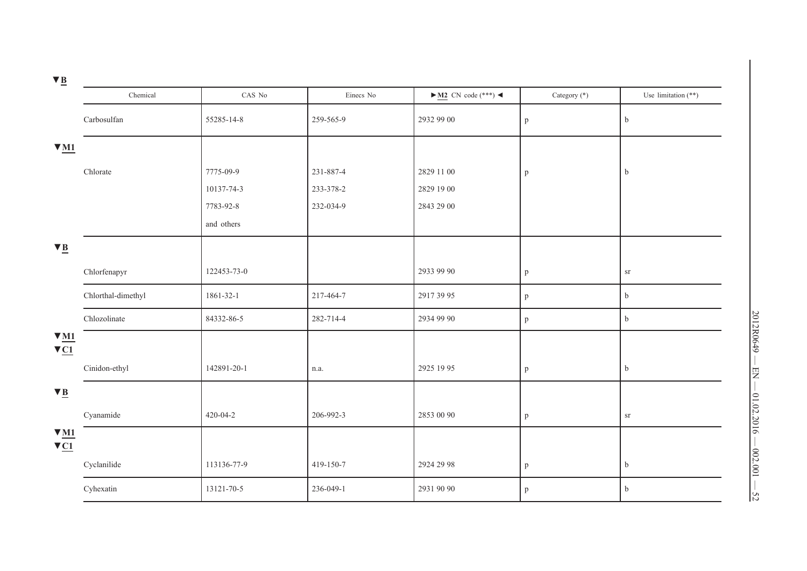| $\mathbf{v}$ $\mathbf{v}$                           |                    |                |           |                                                 |              |                       |
|-----------------------------------------------------|--------------------|----------------|-----------|-------------------------------------------------|--------------|-----------------------|
|                                                     | Chemical           | CAS No         | Einecs No | $\blacktriangleright$ <u>M2</u> CN code (***) < | Category (*) | Use limitation $(**)$ |
|                                                     | Carbosulfan        | 55285-14-8     | 259-565-9 | 2932 99 00                                      | $\, {\bf p}$ | $\mathbf b$           |
| $\underline{\mathbf{M}}$                            |                    |                |           |                                                 |              |                       |
|                                                     | Chlorate           | 7775-09-9      | 231-887-4 | 2829 11 00                                      | $\mathbf{p}$ | $\mathbf b$           |
|                                                     |                    | 10137-74-3     | 233-378-2 | 2829 19 00                                      |              |                       |
|                                                     |                    | 7783-92-8      | 232-034-9 | 2843 29 00                                      |              |                       |
|                                                     |                    | and others     |           |                                                 |              |                       |
| $\nabla \underline{B}$                              |                    |                |           |                                                 |              |                       |
|                                                     | Chlorfenapyr       | 122453-73-0    |           | 2933 99 90                                      | $\mathbf{p}$ | ${\rm sr}$            |
|                                                     | Chlorthal-dimethyl | 1861-32-1      | 217-464-7 | 2917 39 95                                      | $\mathbf{p}$ | $\mathbf b$           |
|                                                     | Chlozolinate       | 84332-86-5     | 282-714-4 | 2934 99 90                                      | p            | $\mathbf b$           |
| $\underline{\mathbf{M}}$<br>$\nabla \underline{C1}$ |                    |                |           |                                                 |              |                       |
|                                                     | Cinidon-ethyl      | 142891-20-1    | n.a.      | 2925 19 95                                      | $\mathbf{p}$ | $\mathbf b$           |
| $\nabla \underline{B}$                              |                    |                |           |                                                 |              |                       |
|                                                     | Cyanamide          | $420 - 04 - 2$ | 206-992-3 | 2853 00 90                                      | $\mathbf{p}$ | ${\rm sr}$            |
| $\nabla$ M1<br>$\nabla \underline{C1}$              |                    |                |           |                                                 |              |                       |
|                                                     | Cyclanilide        | 113136-77-9    | 419-150-7 | 2924 29 98                                      | $\mathbf{p}$ | $\mathbf b$           |
|                                                     | Cyhexatin          | 13121-70-5     | 236-049-1 | 2931 90 90                                      | p            | b                     |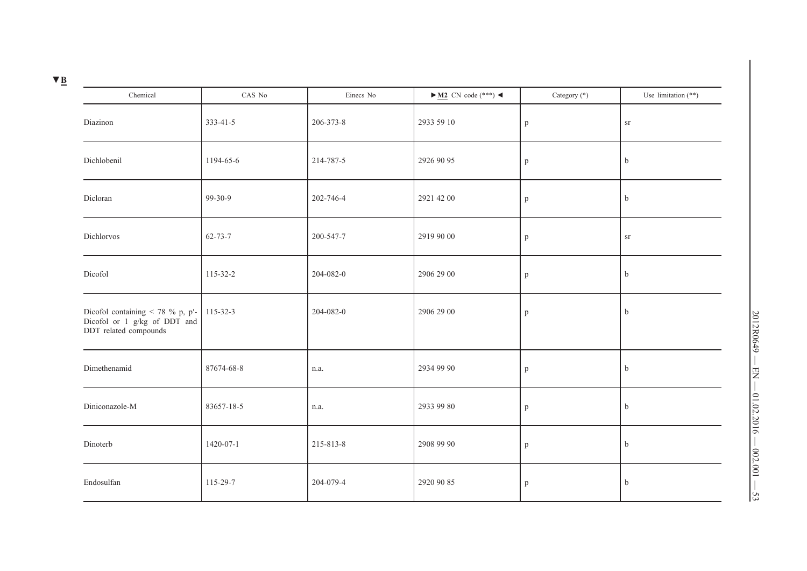| Chemical                                                                                                                | CAS No        | Einecs No | $\blacktriangleright$ <u>M2</u> CN code (***) < | Category (*) | Use limitation (**) |
|-------------------------------------------------------------------------------------------------------------------------|---------------|-----------|-------------------------------------------------|--------------|---------------------|
| Diazinon                                                                                                                | 333-41-5      | 206-373-8 | 2933 59 10                                      | p            | $_{\mathrm{ST}}$    |
| Dichlobenil                                                                                                             | 1194-65-6     | 214-787-5 | 2926 90 95                                      | p            | $\mathbf b$         |
| Dicloran                                                                                                                | $99-30-9$     | 202-746-4 | 2921 42 00                                      | $\mathbf{p}$ | $\mathbf b$         |
| Dichlorvos                                                                                                              | $62 - 73 - 7$ | 200-547-7 | 2919 90 00                                      | p            | ${\rm sr}$          |
| Dicofol                                                                                                                 | 115-32-2      | 204-082-0 | 2906 29 00                                      | p            | $\mathbf b$         |
| Dicofol containing $\langle 78\% \text{ p}, \text{ p'}\rangle$<br>Dicofol or 1 g/kg of DDT and<br>DDT related compounds | 115-32-3      | 204-082-0 | 2906 29 00                                      | $\mathbf{p}$ | $\mathbf b$         |
| Dimethenamid                                                                                                            | 87674-68-8    | n.a.      | 2934 99 90                                      | p            | $\mathbf b$         |
| Diniconazole-M                                                                                                          | 83657-18-5    | n.a.      | 2933 99 80                                      | p            | $\mathbf b$         |
| Dinoterb                                                                                                                | 1420-07-1     | 215-813-8 | 2908 99 90                                      | p            | $\mathbf b$         |
| Endosulfan                                                                                                              | 115-29-7      | 204-079-4 | 2920 90 85                                      | p            | $\mathbf b$         |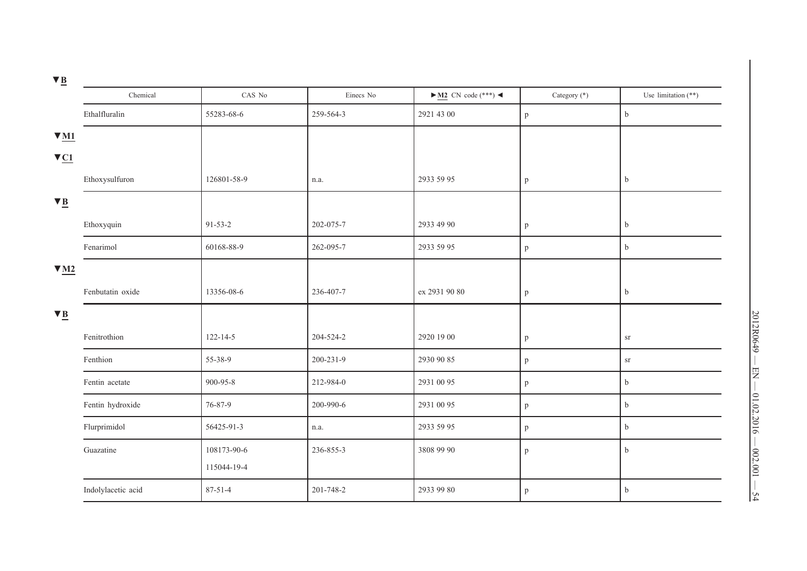| ≃                               |                    |                |           |                                          |              |                       |
|---------------------------------|--------------------|----------------|-----------|------------------------------------------|--------------|-----------------------|
|                                 | Chemical           | CAS No         | Einecs No | $\blacktriangleright$ M2 CN code (***) < | Category (*) | Use limitation $(**)$ |
|                                 | Ethalfluralin      | 55283-68-6     | 259-564-3 | 2921 43 00                               | p            | $\mathbf b$           |
| $\Psi$ M1                       |                    |                |           |                                          |              |                       |
| $\nabla \underline{C1}$         |                    |                |           |                                          |              |                       |
|                                 | Ethoxysulfuron     | 126801-58-9    | n.a.      | 2933 59 95                               | p            | $\mathbf b$           |
| $\nabla \underline{B}$          |                    |                |           |                                          |              |                       |
|                                 | Ethoxyquin         | $91 - 53 - 2$  | 202-075-7 | 2933 49 90                               | p            | $\mathbf b$           |
|                                 | Fenarimol          | 60168-88-9     | 262-095-7 | 2933 59 95                               | p            | $\mathbf b$           |
| $\Psi$ M <sub>2</sub>           |                    |                |           |                                          |              |                       |
|                                 | Fenbutatin oxide   | 13356-08-6     | 236-407-7 | ex 2931 90 80                            | p            | $\mathbf b$           |
| $\nabla \underline{\mathbf{B}}$ |                    |                |           |                                          |              |                       |
|                                 | Fenitrothion       | $122 - 14 - 5$ | 204-524-2 | 2920 19 00                               | p            | ${\rm sr}$            |
|                                 | Fenthion           | 55-38-9        | 200-231-9 | 2930 90 85                               | p            | ${\rm sr}$            |
|                                 | Fentin acetate     | 900-95-8       | 212-984-0 | 2931 00 95                               | p            | $\mathbf b$           |
|                                 | Fentin hydroxide   | 76-87-9        | 200-990-6 | 2931 00 95                               | p            | $\mathbf b$           |
|                                 | Flurprimidol       | 56425-91-3     | n.a.      | 2933 59 95                               | p            | $\mathbf b$           |
|                                 | Guazatine          | 108173-90-6    | 236-855-3 | 3808 99 90                               | p            | b                     |
|                                 |                    | 115044-19-4    |           |                                          |              |                       |
|                                 | Indolylacetic acid | $87 - 51 - 4$  | 201-748-2 | 2933 99 80                               | p            | b                     |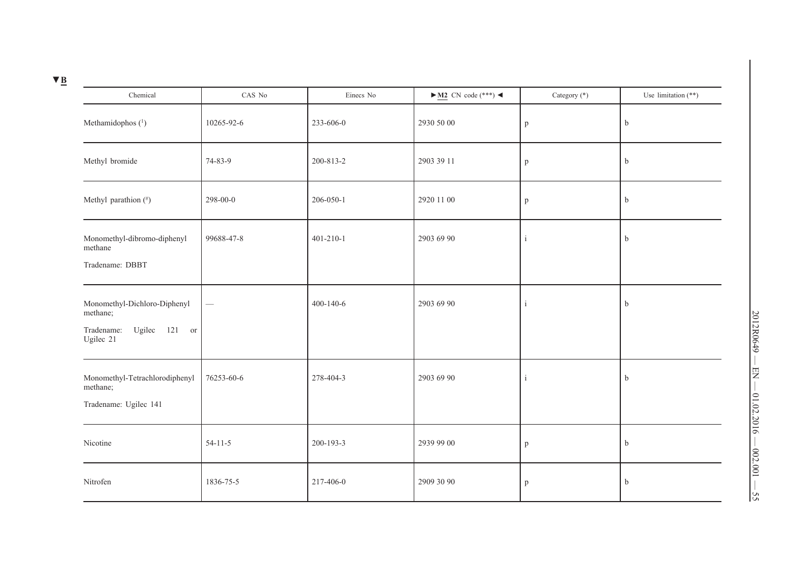| Chemical                                                                             | CAS No        | Einecs No       | $\blacktriangleright$ <u>M2</u> CN code (***) < | Category (*) | Use limitation $(**)$ |
|--------------------------------------------------------------------------------------|---------------|-----------------|-------------------------------------------------|--------------|-----------------------|
| Methamidophos (1)                                                                    | 10265-92-6    | 233-606-0       | 2930 50 00                                      | p            | $\mathbf b$           |
| Methyl bromide                                                                       | 74-83-9       | 200-813-2       | 2903 39 11                                      | p            | b                     |
| Methyl parathion (*)                                                                 | 298-00-0      | 206-050-1       | 2920 11 00                                      | $\mathbf{p}$ | $\mathbf b$           |
| Monomethyl-dibromo-diphenyl<br>methane<br>Tradename: DBBT                            | 99688-47-8    | $401 - 210 - 1$ | 2903 69 90                                      | $\mathbf{i}$ | $\mathbf b$           |
| Monomethyl-Dichloro-Diphenyl<br>methane;<br>Ugilec 121 or<br>Tradename:<br>Ugilec 21 |               | $400 - 140 - 6$ | 2903 69 90                                      | $\mathbf{i}$ | $\mathbf b$           |
| Monomethyl-Tetrachlorodiphenyl<br>methane;<br>Tradename: Ugilec 141                  | 76253-60-6    | 278-404-3       | 2903 69 90                                      | $\mathbf{1}$ | $\mathbf b$           |
| Nicotine                                                                             | $54 - 11 - 5$ | 200-193-3       | 2939 99 00                                      | p            | b                     |
| Nitrofen                                                                             | 1836-75-5     | 217-406-0       | 2909 30 90                                      | p            | $\mathbf b$           |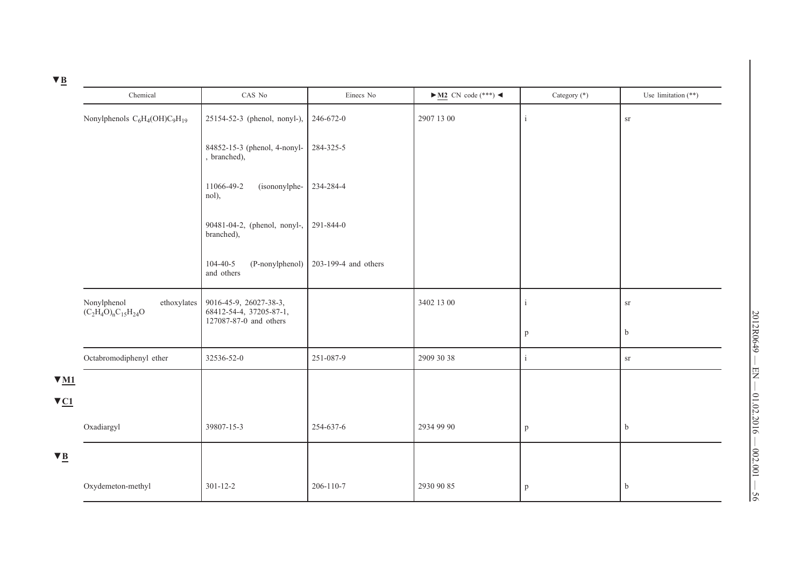| $V_{B}$                              |                                                            |                                                                             |                      |                                                 |                              |                           |
|--------------------------------------|------------------------------------------------------------|-----------------------------------------------------------------------------|----------------------|-------------------------------------------------|------------------------------|---------------------------|
|                                      | Chemical                                                   | CAS No                                                                      | Einecs No            | $\blacktriangleright$ <u>M2</u> CN code (***) < | Category (*)                 | Use limitation $(**)$     |
|                                      | Nonylphenols $C_6H_4(OH)C_9H_{19}$                         | 25154-52-3 (phenol, nonyl-),                                                | 246-672-0            | 2907 13 00                                      | $\mathbf{1}$                 | ${\rm sr}$                |
|                                      |                                                            | 84852-15-3 (phenol, 4-nonyl-<br>, branched),                                | 284-325-5            |                                                 |                              |                           |
|                                      |                                                            | 11066-49-2<br>(isononylphe-<br>nol),                                        | 234-284-4            |                                                 |                              |                           |
|                                      |                                                            | 90481-04-2, (phenol, nonyl-,<br>branched),                                  | 291-844-0            |                                                 |                              |                           |
|                                      |                                                            | $104 - 40 - 5$<br>(P-nonylphenol)<br>and others                             | 203-199-4 and others |                                                 |                              |                           |
|                                      | Nonylphenol<br>ethoxylates<br>$(C_2H_4O)_{n}C_{15}H_{24}O$ | 9016-45-9, 26027-38-3,<br>68412-54-4, 37205-87-1,<br>127087-87-0 and others |                      | 3402 13 00                                      | $\mathbf{1}$<br>$\mathbf{p}$ | ${\rm sr}$<br>$\mathbf b$ |
|                                      | Octabromodiphenyl ether                                    | 32536-52-0                                                                  | 251-087-9            | 2909 30 38                                      | $\mathbf{i}$                 | ${\rm sr}$                |
|                                      |                                                            |                                                                             |                      |                                                 |                              |                           |
| $\Psi$ M1<br>$\nabla \underline{C1}$ |                                                            |                                                                             |                      |                                                 |                              |                           |
|                                      | Oxadiargyl                                                 | 39807-15-3                                                                  | 254-637-6            | 2934 99 90                                      | $\mathbf{p}$                 | $\mathbf b$               |
| $\nabla \underline{B}$               |                                                            |                                                                             |                      |                                                 |                              |                           |
|                                      | Oxydemeton-methyl                                          | $301 - 12 - 2$                                                              | 206-110-7            | 2930 90 85                                      | p                            | $\mathbf b$               |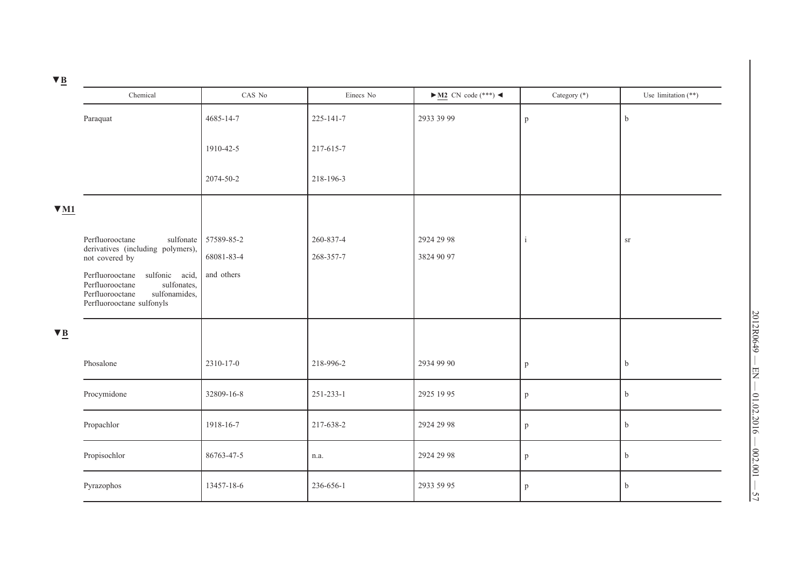| _ |  |
|---|--|
|   |  |

| $\mathbf{v}$ $\mathbf{p}$       |                                                                                                                                                        |                          |                        |                                                 |              |                       |
|---------------------------------|--------------------------------------------------------------------------------------------------------------------------------------------------------|--------------------------|------------------------|-------------------------------------------------|--------------|-----------------------|
|                                 | Chemical                                                                                                                                               | CAS No                   | Einecs No              | $\blacktriangleright$ <u>M2</u> CN code (***) < | Category (*) | Use limitation $(**)$ |
|                                 | Paraquat                                                                                                                                               | 4685-14-7                | 225-141-7              | 2933 39 99                                      | $\, {\bf p}$ | $\mathbf b$           |
|                                 |                                                                                                                                                        | 1910-42-5                | 217-615-7              |                                                 |              |                       |
|                                 |                                                                                                                                                        | 2074-50-2                | 218-196-3              |                                                 |              |                       |
| $V_{M1}$                        |                                                                                                                                                        |                          |                        |                                                 |              |                       |
|                                 | Perfluorooctane<br>sulfonate<br>derivatives (including polymers),                                                                                      | 57589-85-2<br>68081-83-4 | 260-837-4<br>268-357-7 | 2924 29 98<br>3824 90 97                        | j            | ${\rm sr}$            |
|                                 | not covered by<br>sulfonic acid,<br>Perfluorooctane<br>sulfonates,<br>Perfluorooctane<br>sulfonamides,<br>Perfluorooctane<br>Perfluorooctane sulfonyls | and others               |                        |                                                 |              |                       |
| $\nabla \underline{\mathbf{B}}$ |                                                                                                                                                        |                          |                        |                                                 |              |                       |
|                                 | Phosalone                                                                                                                                              | 2310-17-0                | 218-996-2              | 2934 99 90                                      | p            | $\mathbf b$           |
|                                 | Procymidone                                                                                                                                            | 32809-16-8               | 251-233-1              | 2925 19 95                                      | p            | $\mathbf b$           |
|                                 | Propachlor                                                                                                                                             | 1918-16-7                | 217-638-2              | 2924 29 98                                      | p            | $\mathbf b$           |
|                                 | Propisochlor                                                                                                                                           | 86763-47-5               | n.a.                   | 2924 29 98                                      | p            | $\mathbf b$           |
|                                 | Pyrazophos                                                                                                                                             | 13457-18-6               | 236-656-1              | 2933 59 95                                      | p            | $\mathbf b$           |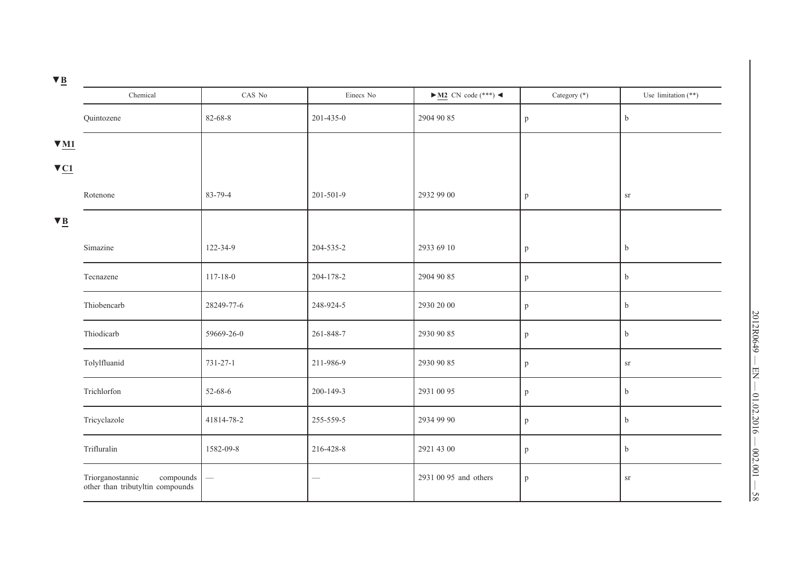| / R |  |
|-----|--|

| =                       | Chemical                                                          | CAS No         | Einecs No | $\blacktriangleright$ M2 CN code (***) < | Category (*) | Use limitation $(**)$ |
|-------------------------|-------------------------------------------------------------------|----------------|-----------|------------------------------------------|--------------|-----------------------|
|                         | Quintozene                                                        | 82-68-8        | 201-435-0 | 2904 90 85                               | p            | $\rm b$               |
| $\Psi$ M1               |                                                                   |                |           |                                          |              |                       |
| $\nabla \underline{C1}$ |                                                                   |                |           |                                          |              |                       |
|                         | Rotenone                                                          | 83-79-4        | 201-501-9 | 2932 99 00                               | $\mathbf{p}$ | ${\rm sr}$            |
| $\nabla \underline{B}$  |                                                                   |                |           |                                          |              |                       |
|                         | Simazine                                                          | 122-34-9       | 204-535-2 | 2933 69 10                               | p            | $\mathbf b$           |
|                         | Tecnazene                                                         | $117 - 18 - 0$ | 204-178-2 | 2904 90 85                               | p            | $\rm b$               |
|                         | Thiobencarb                                                       | 28249-77-6     | 248-924-5 | 2930 20 00                               | $\, {\bf p}$ | $\rm b$               |
|                         | Thiodicarb                                                        | 59669-26-0     | 261-848-7 | 2930 90 85                               | p            | $\rm b$               |
|                         | Tolylfluanid                                                      | 731-27-1       | 211-986-9 | 2930 90 85                               | $\mathbf{p}$ | $_{\mathrm{sr}}$      |
|                         | Trichlorfon                                                       | $52 - 68 - 6$  | 200-149-3 | 2931 00 95                               | p            | b                     |
|                         | Tricyclazole                                                      | 41814-78-2     | 255-559-5 | 2934 99 90                               | $\, {\bf p}$ | $\rm b$               |
|                         | Trifluralin                                                       | 1582-09-8      | 216-428-8 | 2921 43 00                               | $\mathbf{p}$ | $\rm b$               |
|                         | Triorganostannic<br>compounds<br>other than tributyltin compounds |                | -         | 2931 00 95 and others                    | p            | ${\rm S}\Gamma$       |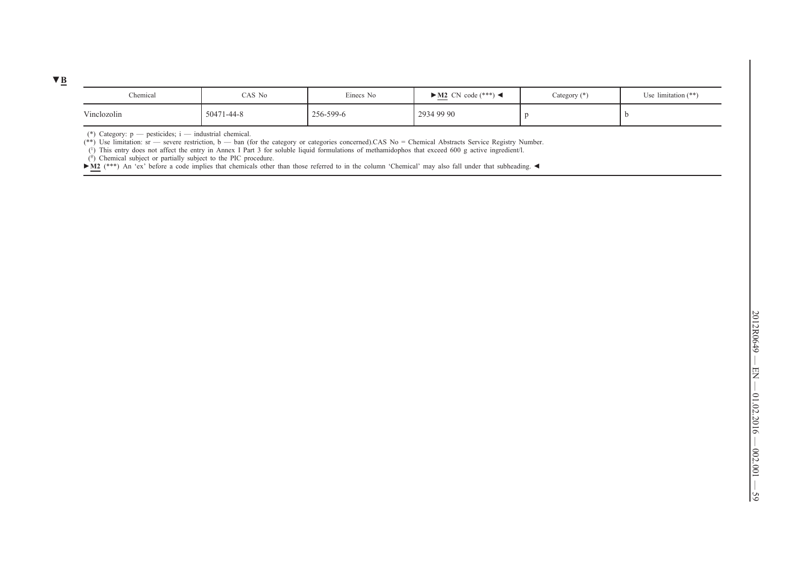| Chemical    | CAS No     | Einecs No | $\blacktriangleright$ M2 CN code (***) $\blacktriangleleft$ | Category $(*)$ | Use limitation $(**)$ |
|-------------|------------|-----------|-------------------------------------------------------------|----------------|-----------------------|
| Vinclozolin | 50471-44-8 | 256-599-6 | 29349990                                                    |                |                       |

(\*) Category: p — pesticides; i — industrial chemical.

 $(**)$  Use limitation: sr — severe restriction, b — ban (for the category or categories concerned).CAS No = Chemical Abstracts Service Registry Number.

(1) This entry does not affect the entry in Annex I Part 3 for soluble liquid formulations of methamidophos that exceed 600 g active ingredient/l.

 $(\#)$  Chemical subject or partially subject to the PIC procedure.

► M2 (\*\*\*) An 'ex' before a code implies that chemicals other than those referred to in the column 'Chemical' may also fall under that subheading. ◀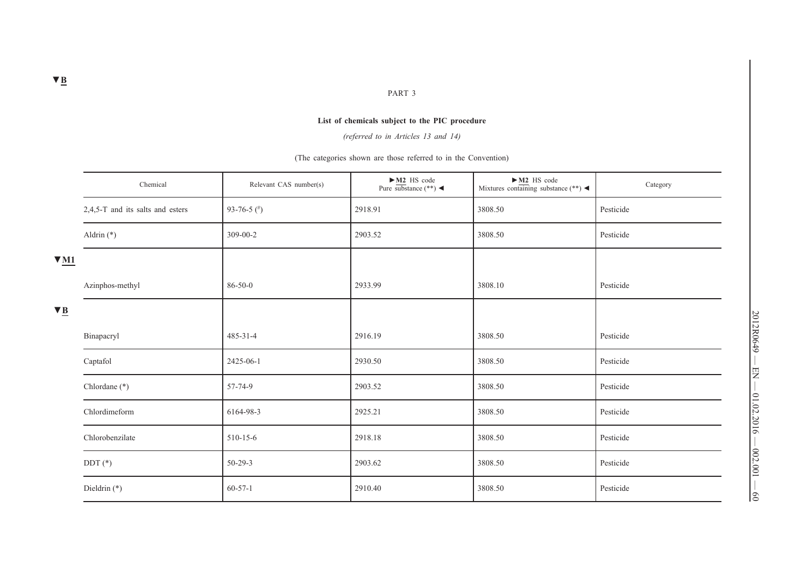#### PART 3

## **List of chemicals subject to the PIC procedure**

*(referred to in Articles 13 and 14)*

(The categories shown are those referred to in the Convention)

|                        | Chemical                         | Relevant CAS number(s) | $\blacktriangleright$ M2 HS code<br>Pure substance $(**) \blacktriangleleft$ | $-M2$ HS code<br>Mixtures containing substance $(**)$ | Category  |
|------------------------|----------------------------------|------------------------|------------------------------------------------------------------------------|-------------------------------------------------------|-----------|
|                        | 2,4,5-T and its salts and esters | 93-76-5 $($ #)         | 2918.91                                                                      | 3808.50                                               | Pesticide |
|                        | Aldrin $(*)$                     | 309-00-2               | 2903.52                                                                      | 3808.50                                               | Pesticide |
| $\Psi$ M1              |                                  |                        |                                                                              |                                                       |           |
|                        | Azinphos-methyl                  | $86 - 50 - 0$          | 2933.99                                                                      | 3808.10                                               | Pesticide |
| $\nabla \underline{B}$ |                                  |                        |                                                                              |                                                       |           |
|                        | Binapacryl                       | $485 - 31 - 4$         | 2916.19                                                                      | 3808.50                                               | Pesticide |
|                        | Captafol                         | 2425-06-1              | 2930.50                                                                      | 3808.50                                               | Pesticide |
|                        | Chlordane (*)                    | 57-74-9                | 2903.52                                                                      | 3808.50                                               | Pesticide |
|                        | Chlordimeform                    | 6164-98-3              | 2925.21                                                                      | 3808.50                                               | Pesticide |
|                        | Chlorobenzilate                  | $510 - 15 - 6$         | 2918.18                                                                      | 3808.50                                               | Pesticide |
|                        | $DDT(*)$                         | $50 - 29 - 3$          | 2903.62                                                                      | 3808.50                                               | Pesticide |
|                        | Dieldrin $(*)$                   | $60 - 57 - 1$          | 2910.40                                                                      | 3808.50                                               | Pesticide |

 $\frac{2012R0649 - EN - 01.02.2016 - 002.001 - 60}{2012R00}$ 2012R0649 — EN — 01.02.2016 — 002.001 — 60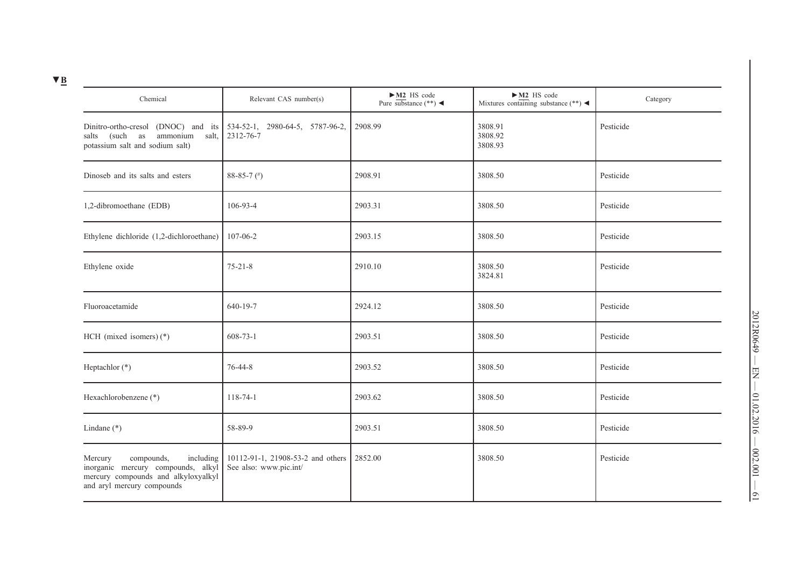| Chemical                                                                                                                                      | Relevant CAS number(s)                                      | $\blacktriangleright$ M2 HS code<br>Pure substance $(**)$ | $-M2$ HS code<br>Mixtures containing substance (**) $\blacktriangleleft$ | Category  |
|-----------------------------------------------------------------------------------------------------------------------------------------------|-------------------------------------------------------------|-----------------------------------------------------------|--------------------------------------------------------------------------|-----------|
| Dinitro-ortho-cresol (DNOC) and its<br>(such as<br>ammonium<br>salt,<br>salts<br>potassium salt and sodium salt)                              | 534-52-1, 2980-64-5, 5787-96-2,<br>2312-76-7                | 2908.99                                                   | 3808.91<br>3808.92<br>3808.93                                            | Pesticide |
| Dinoseb and its salts and esters                                                                                                              | $88-85-7$ (#)                                               | 2908.91                                                   | 3808.50                                                                  | Pesticide |
| 1,2-dibromoethane (EDB)                                                                                                                       | 106-93-4                                                    | 2903.31                                                   | 3808.50                                                                  | Pesticide |
| Ethylene dichloride (1,2-dichloroethane)                                                                                                      | 107-06-2                                                    | 2903.15                                                   | 3808.50                                                                  | Pesticide |
| Ethylene oxide                                                                                                                                | $75 - 21 - 8$                                               | 2910.10                                                   | 3808.50<br>3824.81                                                       | Pesticide |
| Fluoroacetamide                                                                                                                               | 640-19-7                                                    | 2924.12                                                   | 3808.50                                                                  | Pesticide |
| HCH (mixed isomers) $(*)$                                                                                                                     | $608 - 73 - 1$                                              | 2903.51                                                   | 3808.50                                                                  | Pesticide |
| Heptachlor (*)                                                                                                                                | 76-44-8                                                     | 2903.52                                                   | 3808.50                                                                  | Pesticide |
| Hexachlorobenzene (*)                                                                                                                         | 118-74-1                                                    | 2903.62                                                   | 3808.50                                                                  | Pesticide |
| Lindane $(*)$                                                                                                                                 | 58-89-9                                                     | 2903.51                                                   | 3808.50                                                                  | Pesticide |
| compounds,<br>including<br>Mercury<br>inorganic mercury compounds, alkyl<br>mercury compounds and alkyloxyalkyl<br>and aryl mercury compounds | 10112-91-1, 21908-53-2 and others<br>See also: www.pic.int/ | 2852.00                                                   | 3808.50                                                                  | Pesticide |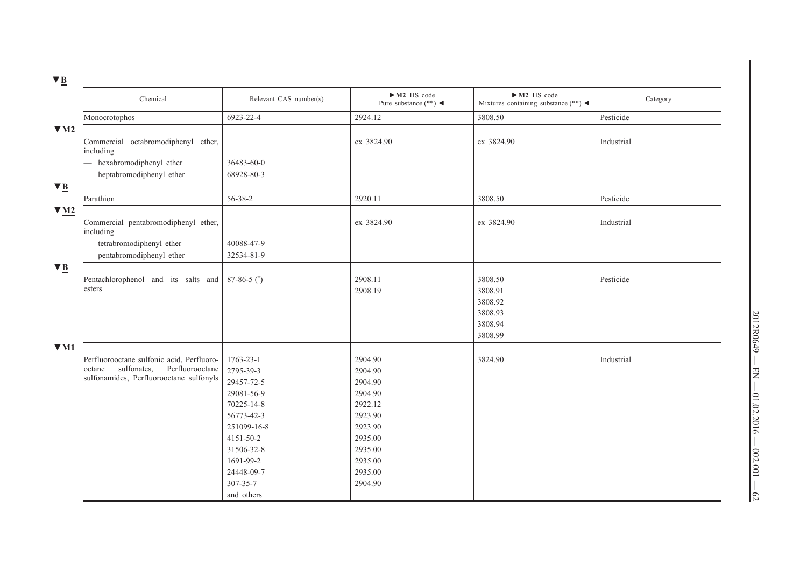|                        | Chemical                                                                                                                         | Relevant CAS number(s)                                                                                                                                                        | $\longrightarrow$ M2 HS code<br>Pure substance (**)                                                                              | $\triangleright$ <u>M2</u> HS code<br>Mixtures containing substance (**) < | Category   |
|------------------------|----------------------------------------------------------------------------------------------------------------------------------|-------------------------------------------------------------------------------------------------------------------------------------------------------------------------------|----------------------------------------------------------------------------------------------------------------------------------|----------------------------------------------------------------------------|------------|
|                        | Monocrotophos                                                                                                                    | 6923-22-4                                                                                                                                                                     | 2924.12                                                                                                                          | 3808.50                                                                    | Pesticide  |
| $\Psi$ M2              | Commercial octabromodiphenyl ether,<br>including                                                                                 |                                                                                                                                                                               | ex 3824.90                                                                                                                       | ex 3824.90                                                                 | Industrial |
|                        | - hexabromodiphenyl ether                                                                                                        | 36483-60-0                                                                                                                                                                    |                                                                                                                                  |                                                                            |            |
|                        | - heptabromodiphenyl ether                                                                                                       | 68928-80-3                                                                                                                                                                    |                                                                                                                                  |                                                                            |            |
| $\blacktriangledown$ B |                                                                                                                                  |                                                                                                                                                                               |                                                                                                                                  |                                                                            |            |
|                        | Parathion                                                                                                                        | 56-38-2                                                                                                                                                                       | 2920.11                                                                                                                          | 3808.50                                                                    | Pesticide  |
| $\nabla M2$            | Commercial pentabromodiphenyl ether,<br>including<br>- tetrabromodiphenyl ether                                                  | 40088-47-9                                                                                                                                                                    | ex 3824.90                                                                                                                       | ex 3824.90                                                                 | Industrial |
|                        | pentabromodiphenyl ether                                                                                                         | 32534-81-9                                                                                                                                                                    |                                                                                                                                  |                                                                            |            |
| $\blacktriangledown$ B |                                                                                                                                  |                                                                                                                                                                               |                                                                                                                                  |                                                                            |            |
|                        | Pentachlorophenol and its salts and<br>esters                                                                                    | $87-86-5$ (*)                                                                                                                                                                 | 2908.11<br>2908.19                                                                                                               | 3808.50<br>3808.91<br>3808.92<br>3808.93<br>3808.94<br>3808.99             | Pesticide  |
| $\nabla M1$            |                                                                                                                                  |                                                                                                                                                                               |                                                                                                                                  |                                                                            |            |
|                        | Perfluorooctane sulfonic acid, Perfluoro-<br>sulfonates,<br>Perfluorooctane<br>octane<br>sulfonamides, Perfluorooctane sulfonyls | 1763-23-1<br>2795-39-3<br>29457-72-5<br>29081-56-9<br>70225-14-8<br>56773-42-3<br>251099-16-8<br>4151-50-2<br>31506-32-8<br>1691-99-2<br>24448-09-7<br>307-35-7<br>and others | 2904.90<br>2904.90<br>2904.90<br>2904.90<br>2922.12<br>2923.90<br>2923.90<br>2935.00<br>2935.00<br>2935.00<br>2935.00<br>2904.90 | 3824.90                                                                    | Industrial |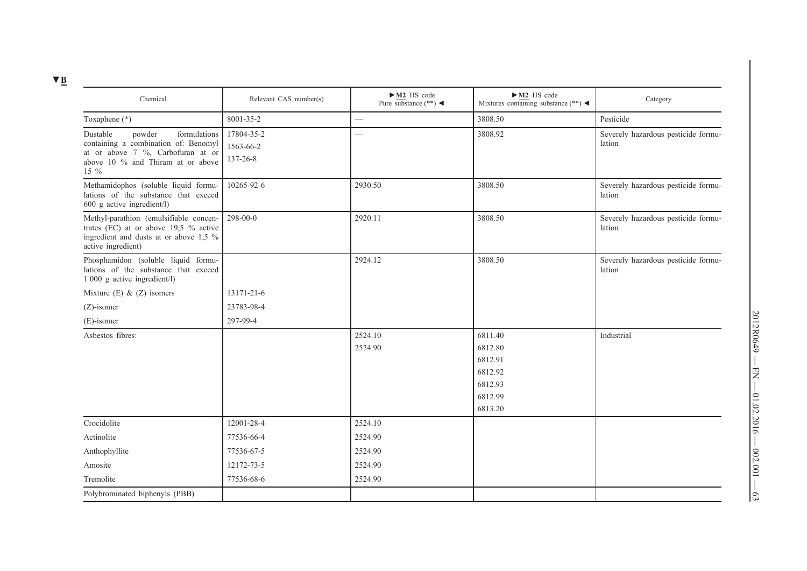| Chemical                                                                                                                                                          | Relevant CAS number(s)              | $\blacktriangleright$ M2 HS code<br>Pure substance $(**) \blacktriangleleft$ | $-M2$ HS code<br>Mixtures containing substance $(**) \blacktriangleleft$  | Category                                      |
|-------------------------------------------------------------------------------------------------------------------------------------------------------------------|-------------------------------------|------------------------------------------------------------------------------|---------------------------------------------------------------------------|-----------------------------------------------|
| Toxaphene (*)                                                                                                                                                     | 8001-35-2                           |                                                                              | 3808.50                                                                   | Pesticide                                     |
| Dustable<br>formulations<br>powder<br>containing a combination of: Benomyl<br>at or above $7\%$ , Carbofuran at or<br>above 10 % and Thiram at or above<br>$15\%$ | 17804-35-2<br>1563-66-2<br>137-26-8 | $\overline{\phantom{0}}$                                                     | 3808.92                                                                   | Severely hazardous pesticide formu-<br>lation |
| Methamidophos (soluble liquid formu-<br>lations of the substance that exceed<br>$600$ g active ingredient/l)                                                      | 10265-92-6                          | 2930.50                                                                      | 3808.50                                                                   | Severely hazardous pesticide formu-<br>lation |
| Methyl-parathion (emulsifiable concen-<br>trates (EC) at or above $19.5 \%$ active<br>ingredient and dusts at or above 1,5 %<br>active ingredient)                | 298-00-0                            | 2920.11                                                                      | 3808.50                                                                   | Severely hazardous pesticide formu-<br>lation |
| Phosphamidon (soluble liquid formu-<br>lations of the substance that exceed<br>1 000 g active ingredient/l)                                                       |                                     | 2924.12                                                                      | 3808.50                                                                   | Severely hazardous pesticide formu-<br>lation |
| Mixture (E) $& (Z)$ isomers                                                                                                                                       | 13171-21-6                          |                                                                              |                                                                           |                                               |
| $(Z)$ -isomer                                                                                                                                                     | 23783-98-4                          |                                                                              |                                                                           |                                               |
| (E)-isomer                                                                                                                                                        | 297-99-4                            |                                                                              |                                                                           |                                               |
| Asbestos fibres:                                                                                                                                                  |                                     | 2524.10<br>2524.90                                                           | 6811.40<br>6812.80<br>6812.91<br>6812.92<br>6812.93<br>6812.99<br>6813.20 | Industrial                                    |
| Crocidolite                                                                                                                                                       | 12001-28-4                          | 2524.10                                                                      |                                                                           |                                               |
| Actinolite                                                                                                                                                        | 77536-66-4                          | 2524.90                                                                      |                                                                           |                                               |
| Anthophyllite                                                                                                                                                     | 77536-67-5                          | 2524.90                                                                      |                                                                           |                                               |
| Amosite                                                                                                                                                           | 12172-73-5                          | 2524.90                                                                      |                                                                           |                                               |
| Tremolite                                                                                                                                                         | 77536-68-6                          | 2524.90                                                                      |                                                                           |                                               |
| Polybrominated biphenyls (PBB)                                                                                                                                    |                                     |                                                                              |                                                                           |                                               |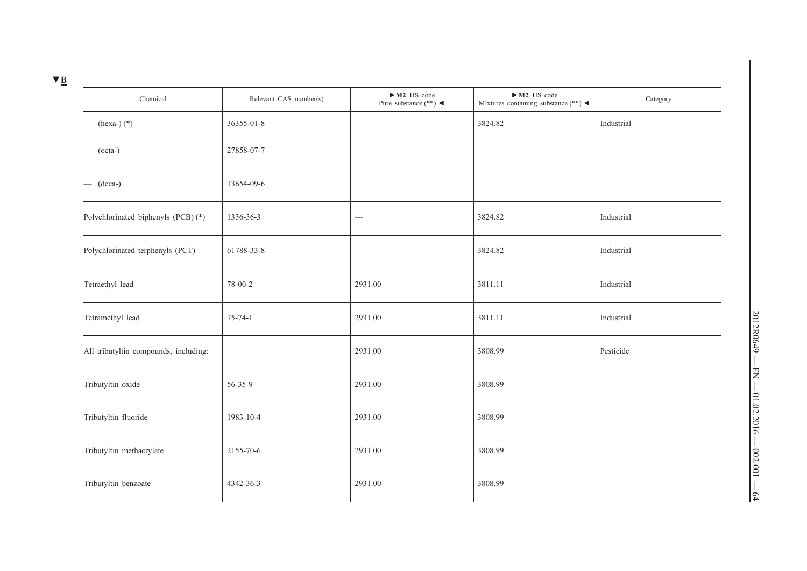| Chemical                              | Relevant CAS number(s) | $\longrightarrow$ M2 HS code<br>Pure substance (**) < | $\longrightarrow$ M2 HS code<br>Mixtures containing substance (**) < | Category   |
|---------------------------------------|------------------------|-------------------------------------------------------|----------------------------------------------------------------------|------------|
| $-$ (hexa-) $(*)$                     | 36355-01-8             | $\overline{\phantom{a}}$                              | 3824.82                                                              | Industrial |
| $-$ (octa-)                           | 27858-07-7             |                                                       |                                                                      |            |
| $-$ (deca-)                           | 13654-09-6             |                                                       |                                                                      |            |
| Polychlorinated biphenyls (PCB) (*)   | 1336-36-3              |                                                       | 3824.82                                                              | Industrial |
| Polychlorinated terphenyls (PCT)      | 61788-33-8             |                                                       | 3824.82                                                              | Industrial |
| Tetraethyl lead                       | 78-00-2                | 2931.00                                               | 3811.11                                                              | Industrial |
| Tetramethyl lead                      | $75 - 74 - 1$          | 2931.00                                               | 3811.11                                                              | Industrial |
| All tributyltin compounds, including: |                        | 2931.00                                               | 3808.99                                                              | Pesticide  |
| Tributyltin oxide                     | 56-35-9                | 2931.00                                               | 3808.99                                                              |            |
| Tributyltin fluoride                  | 1983-10-4              | 2931.00                                               | 3808.99                                                              |            |
| Tributyltin methacrylate              | 2155-70-6              | 2931.00                                               | 3808.99                                                              |            |
| Tributyltin benzoate                  | 4342-36-3              | 2931.00                                               | 3808.99                                                              |            |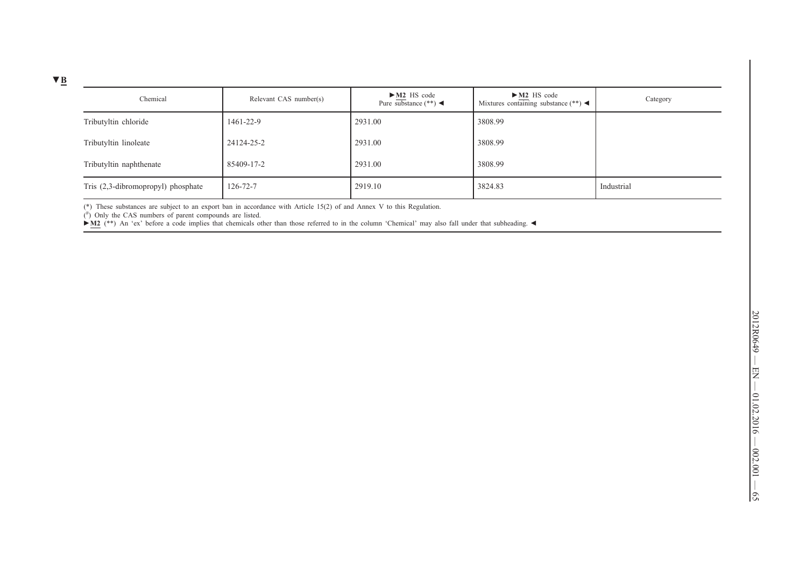| Chemical                           | Relevant CAS number(s) | $\blacktriangleright$ M2 HS code<br>Pure substance $(**)$ | $\blacktriangleright$ M2 HS code<br>Mixtures containing substance $(**) \blacktriangleleft$ | Category   |
|------------------------------------|------------------------|-----------------------------------------------------------|---------------------------------------------------------------------------------------------|------------|
| Tributyltin chloride               | 1461-22-9              | 2931.00                                                   | 3808.99                                                                                     |            |
| Tributyltin linoleate              | 24124-25-2             | 2931.00                                                   | 3808.99                                                                                     |            |
| Tributyltin naphthenate            | 85409-17-2             | 2931.00                                                   | 3808.99                                                                                     |            |
| Tris (2,3-dibromopropyl) phosphate | $126 - 72 - 7$         | 2919.10                                                   | 3824.83                                                                                     | Industrial |

(\*) These substances are subject to an export ban in accordance with Article 15(2) of and Annex V to this Regulation. ( $\sharp$ ) Only the CAS numbers of parent compounds are listed.

**►M2** (\*\*) An 'ex' before a code implies that chemicals other than those referred to in the column 'Chemical' may also fall under that subheading. ◄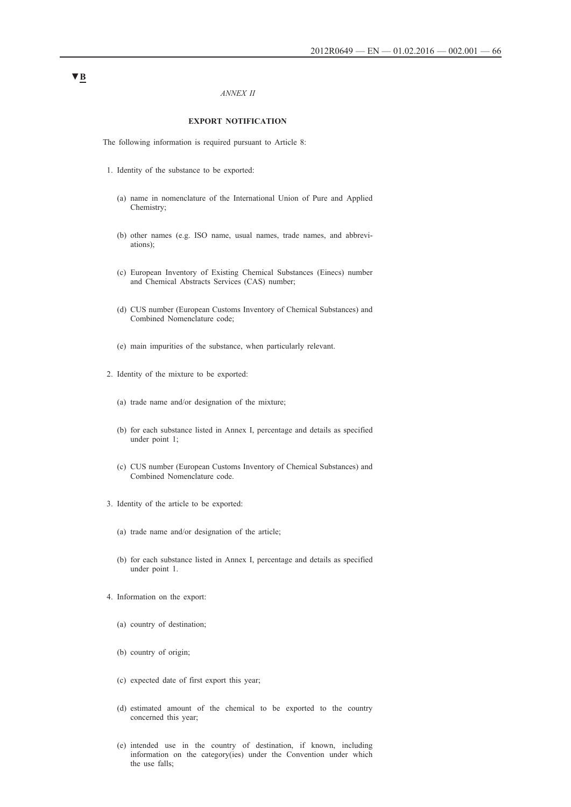### *ANNEX II*

## **EXPORT NOTIFICATION**

The following information is required pursuant to Article 8:

- 1. Identity of the substance to be exported:
	- (a) name in nomenclature of the International Union of Pure and Applied Chemistry;
	- (b) other names (e.g. ISO name, usual names, trade names, and abbreviations);
	- (c) European Inventory of Existing Chemical Substances (Einecs) number and Chemical Abstracts Services (CAS) number;
	- (d) CUS number (European Customs Inventory of Chemical Substances) and Combined Nomenclature code;
	- (e) main impurities of the substance, when particularly relevant.
- 2. Identity of the mixture to be exported:
	- (a) trade name and/or designation of the mixture;
	- (b) for each substance listed in Annex I, percentage and details as specified under point 1;
	- (c) CUS number (European Customs Inventory of Chemical Substances) and Combined Nomenclature code.
- 3. Identity of the article to be exported:
	- (a) trade name and/or designation of the article;
	- (b) for each substance listed in Annex I, percentage and details as specified under point 1.
- 4. Information on the export:
	- (a) country of destination;
	- (b) country of origin;
	- (c) expected date of first export this year;
	- (d) estimated amount of the chemical to be exported to the country concerned this year;
	- (e) intended use in the country of destination, if known, including information on the category(ies) under the Convention under which the use falls;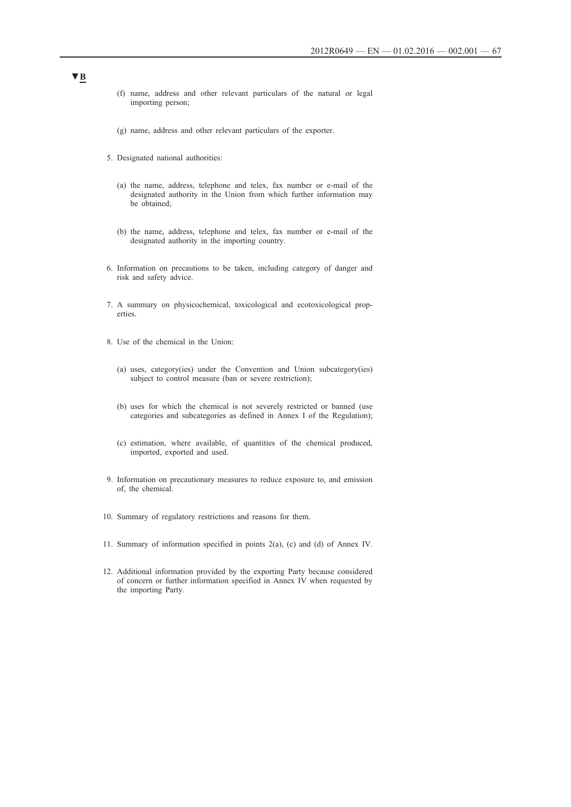- (f) name, address and other relevant particulars of the natural or legal importing person;
- (g) name, address and other relevant particulars of the exporter.
- 5. Designated national authorities:
	- (a) the name, address, telephone and telex, fax number or e-mail of the designated authority in the Union from which further information may be obtained;
	- (b) the name, address, telephone and telex, fax number or e-mail of the designated authority in the importing country.
- 6. Information on precautions to be taken, including category of danger and risk and safety advice.
- 7. A summary on physicochemical, toxicological and ecotoxicological properties.
- 8. Use of the chemical in the Union:
	- (a) uses, category(ies) under the Convention and Union subcategory(ies) subject to control measure (ban or severe restriction);
	- (b) uses for which the chemical is not severely restricted or banned (use categories and subcategories as defined in Annex I of the Regulation);
	- (c) estimation, where available, of quantities of the chemical produced, imported, exported and used.
- 9. Information on precautionary measures to reduce exposure to, and emission of, the chemical.
- 10. Summary of regulatory restrictions and reasons for them.
- 11. Summary of information specified in points 2(a), (c) and (d) of Annex IV.
- 12. Additional information provided by the exporting Party because considered of concern or further information specified in Annex IV when requested by the importing Party.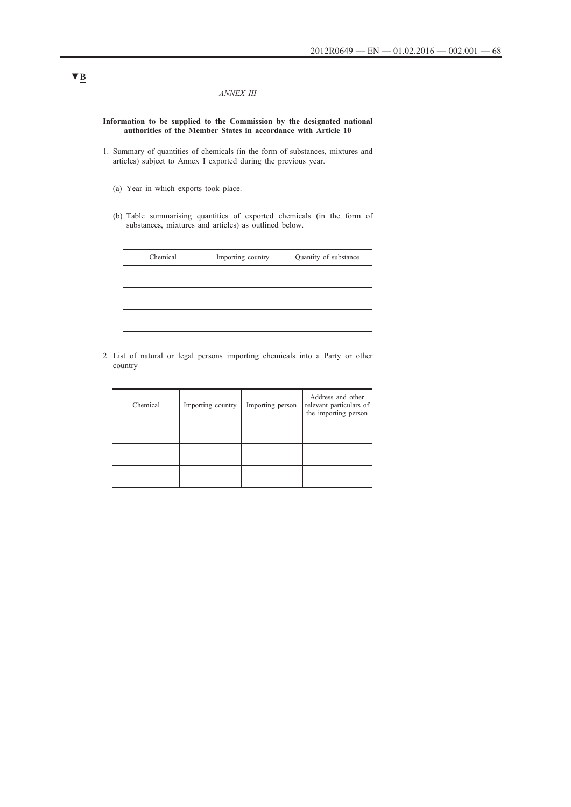### *ANNEX III*

**Information to be supplied to the Commission by the designated national authorities of the Member States in accordance with Article 10**

- 1. Summary of quantities of chemicals (in the form of substances, mixtures and articles) subject to Annex I exported during the previous year.
	- (a) Year in which exports took place.
	- (b) Table summarising quantities of exported chemicals (in the form of substances, mixtures and articles) as outlined below.

| Chemical | Importing country | Quantity of substance |
|----------|-------------------|-----------------------|
|          |                   |                       |
|          |                   |                       |
|          |                   |                       |

2. List of natural or legal persons importing chemicals into a Party or other country

| Chemical | Importing country | Importing person | Address and other<br>relevant particulars of<br>the importing person |
|----------|-------------------|------------------|----------------------------------------------------------------------|
|          |                   |                  |                                                                      |
|          |                   |                  |                                                                      |
|          |                   |                  |                                                                      |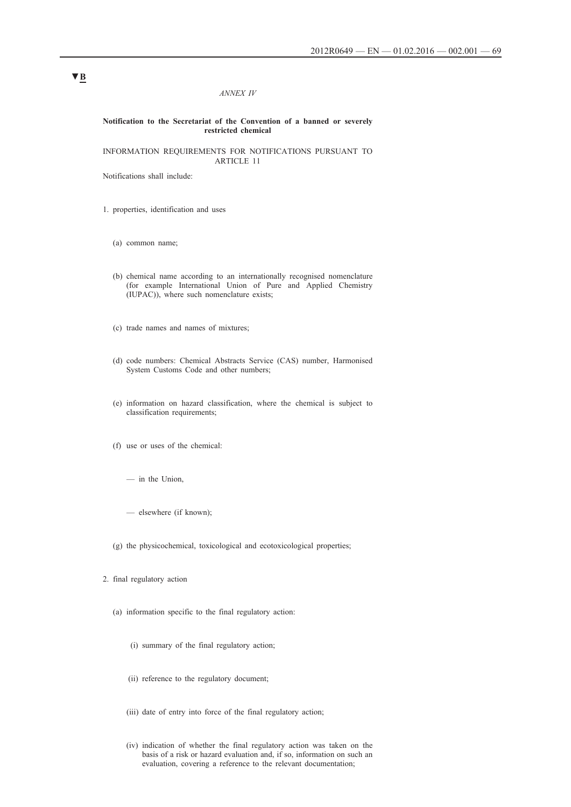### *ANNEX IV*

### **Notification to the Secretariat of the Convention of a banned or severely restricted chemical**

INFORMATION REQUIREMENTS FOR NOTIFICATIONS PURSUANT TO ARTICLE 11

Notifications shall include:

1. properties, identification and uses

- (a) common name;
- (b) chemical name according to an internationally recognised nomenclature (for example International Union of Pure and Applied Chemistry (IUPAC)), where such nomenclature exists;
- (c) trade names and names of mixtures;
- (d) code numbers: Chemical Abstracts Service (CAS) number, Harmonised System Customs Code and other numbers;
- (e) information on hazard classification, where the chemical is subject to classification requirements;
- (f) use or uses of the chemical:
	- in the Union,
	- elsewhere (if known);
- (g) the physicochemical, toxicological and ecotoxicological properties;
- 2. final regulatory action
	- (a) information specific to the final regulatory action:
		- (i) summary of the final regulatory action;
		- (ii) reference to the regulatory document;
		- (iii) date of entry into force of the final regulatory action;
		- (iv) indication of whether the final regulatory action was taken on the basis of a risk or hazard evaluation and, if so, information on such an evaluation, covering a reference to the relevant documentation;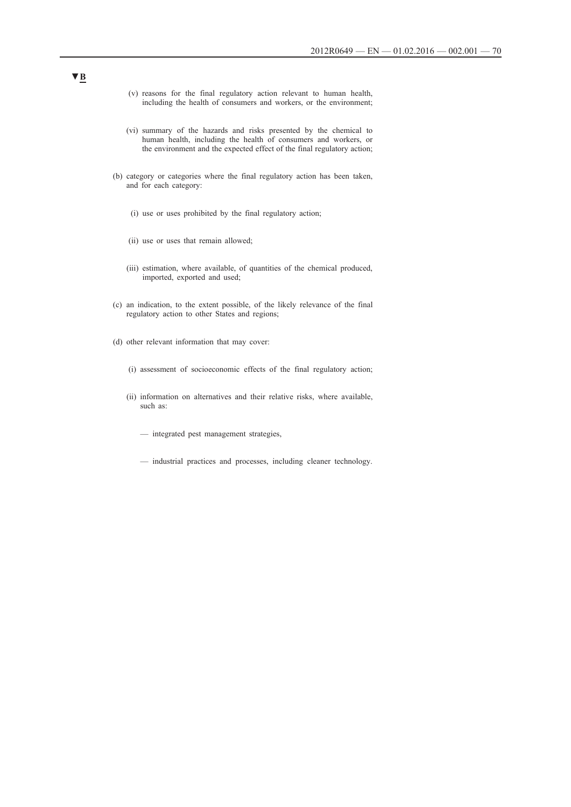- (v) reasons for the final regulatory action relevant to human health, including the health of consumers and workers, or the environment;
- (vi) summary of the hazards and risks presented by the chemical to human health, including the health of consumers and workers, or the environment and the expected effect of the final regulatory action;
- (b) category or categories where the final regulatory action has been taken, and for each category:
	- (i) use or uses prohibited by the final regulatory action;
	- (ii) use or uses that remain allowed;
	- (iii) estimation, where available, of quantities of the chemical produced, imported, exported and used;
- (c) an indication, to the extent possible, of the likely relevance of the final regulatory action to other States and regions;
- (d) other relevant information that may cover:
	- (i) assessment of socioeconomic effects of the final regulatory action;
	- (ii) information on alternatives and their relative risks, where available, such as:
		- integrated pest management strategies,
		- industrial practices and processes, including cleaner technology.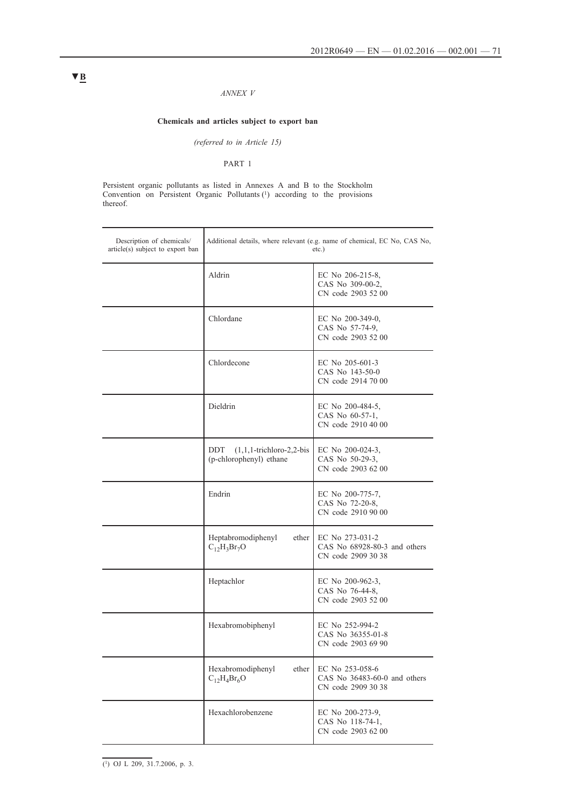## *ANNEX V*

## **Chemicals and articles subject to export ban**

*(referred to in Article 15)*

PART 1

Persistent organic pollutants as listed in Annexes A and B to the Stockholm Convention on Persistent Organic Pollutants (1) according to the provisions thereof.

| Description of chemicals/<br>article(s) subject to export ban | Additional details, where relevant (e.g. name of chemical, EC No, CAS No,<br>$etc.$ ) |                                                                       |  |
|---------------------------------------------------------------|---------------------------------------------------------------------------------------|-----------------------------------------------------------------------|--|
|                                                               | Aldrin                                                                                | EC No 206-215-8,<br>CAS No 309-00-2,<br>CN code 2903 52 00            |  |
|                                                               | Chlordane                                                                             | EC No 200-349-0,<br>CAS No 57-74-9,<br>CN code 2903 52 00             |  |
|                                                               | Chlordecone                                                                           | EC No 205-601-3<br>CAS No 143-50-0<br>CN code 2914 70 00              |  |
|                                                               | Dieldrin                                                                              | EC No 200-484-5,<br>CAS No 60-57-1,<br>CN code 2910 40 00             |  |
|                                                               | DDT<br>$(1,1,1$ -trichloro-2,2-bis<br>(p-chlorophenyl) ethane                         | EC No 200-024-3,<br>CAS No 50-29-3.<br>CN code 2903 62 00             |  |
|                                                               | Endrin                                                                                | EC No 200-775-7,<br>CAS No 72-20-8,<br>CN code 2910 90 00             |  |
|                                                               | Heptabromodiphenyl<br>ether<br>$C_{12}H_3Br_7O$                                       | EC No 273-031-2<br>CAS No 68928-80-3 and others<br>CN code 2909 30 38 |  |
|                                                               | Heptachlor                                                                            | EC No 200-962-3,<br>CAS No 76-44-8,<br>CN code 2903 52 00             |  |
|                                                               | Hexabromobiphenyl                                                                     | EC No 252-994-2<br>CAS No 36355-01-8<br>CN code 2903 69 90            |  |
|                                                               | Hexabromodiphenyl<br>ether<br>$C_{12}H_4Br_6O$                                        | EC No 253-058-6<br>CAS No 36483-60-0 and others<br>CN code 2909 30 38 |  |
|                                                               | Hexachlorobenzene                                                                     | EC No 200-273-9,<br>CAS No 118-74-1,<br>CN code 2903 62 00            |  |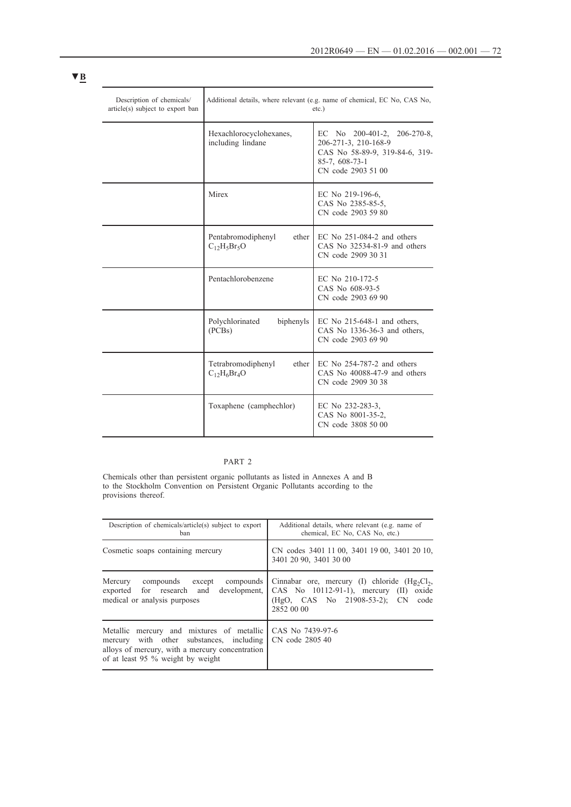| Description of chemicals/<br>article(s) subject to export ban | Additional details, where relevant (e.g. name of chemical, EC No, CAS No,<br>$etc.$ ) |                                                                                                                                       |
|---------------------------------------------------------------|---------------------------------------------------------------------------------------|---------------------------------------------------------------------------------------------------------------------------------------|
|                                                               | Hexachlorocyclohexanes,<br>including lindane                                          | EC No $200-401-2$ , $206-270-8$ ,<br>206-271-3, 210-168-9<br>CAS No 58-89-9, 319-84-6, 319-<br>$85-7, 608-73-1$<br>CN code 2903 51 00 |
|                                                               | Mirex                                                                                 | EC No 219-196-6,<br>CAS No 2385-85-5.<br>CN code 2903 59 80                                                                           |
|                                                               | ether<br>Pentabromodiphenyl<br>$C_{12}H_5Br_5O$                                       | EC No $251-084-2$ and others<br>CAS No $32534-81-9$ and others<br>CN code 2909 30 31                                                  |
|                                                               | Pentachlorobenzene                                                                    | EC No 210-172-5<br>CAS No 608-93-5<br>CN code 2903 69 90                                                                              |
|                                                               | Polychlorinated<br>biphenyls<br>(PCBs)                                                | EC No $215-648-1$ and others,<br>CAS No 1336-36-3 and others,<br>CN code 2903 69 90                                                   |
|                                                               | Tetrabromodiphenyl<br>ether<br>$C_{12}H_6Br_4O$                                       | EC No $254-787-2$ and others<br>CAS No $40088-47-9$ and others<br>CN code 2909 30 38                                                  |
|                                                               | Toxaphene (camphechlor)                                                               | EC No 232-283-3,<br>CAS No 8001-35-2.<br>CN code 3808 50 00                                                                           |

## PART 2

Chemicals other than persistent organic pollutants as listed in Annexes A and B to the Stockholm Convention on Persistent Organic Pollutants according to the provisions thereof.

| Description of chemicals/article(s) subject to export                                                                                                                         | Additional details, where relevant (e.g. name of                       |  |
|-------------------------------------------------------------------------------------------------------------------------------------------------------------------------------|------------------------------------------------------------------------|--|
| ban                                                                                                                                                                           | chemical, EC No, CAS No, etc.)                                         |  |
| Cosmetic soaps containing mercury                                                                                                                                             | CN codes 3401 11 00, 3401 19 00, 3401 20 10,<br>3401 20 90, 3401 30 00 |  |
| compounds                                                                                                                                                                     | Cinnabar ore, mercury (I) chloride $(Hg_2Cl_2)$ ,                      |  |
| Mercury                                                                                                                                                                       | CAS No $10112-91-1$ ), mercury (II)                                    |  |
| compounds except                                                                                                                                                              | oxide                                                                  |  |
| development.                                                                                                                                                                  | (HgO, CAS No 21908-53-2); CN                                           |  |
| exported for research and                                                                                                                                                     | code                                                                   |  |
| medical or analysis purposes                                                                                                                                                  | 2852 00 00                                                             |  |
| Metallic mercury and mixtures of metallic<br>mercury with other substances, including<br>alloys of mercury, with a mercury concentration<br>of at least 95 % weight by weight | CAS No 7439-97-6<br>CN code 2805 40                                    |  |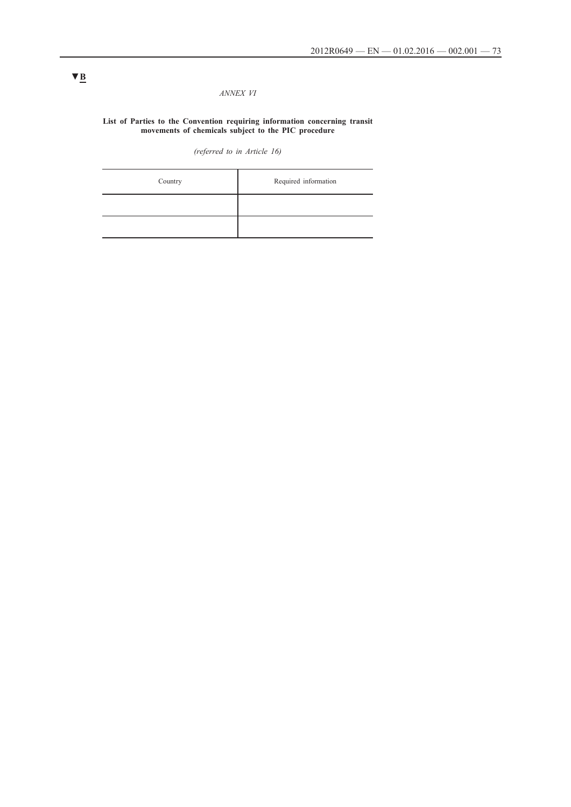#### *ANNEX VI*

#### **List of Parties to the Convention requiring information concerning transit movements of chemicals subject to the PIC procedure**

*(referred to in Article 16)*

| Country | Required information |
|---------|----------------------|
|         |                      |
|         |                      |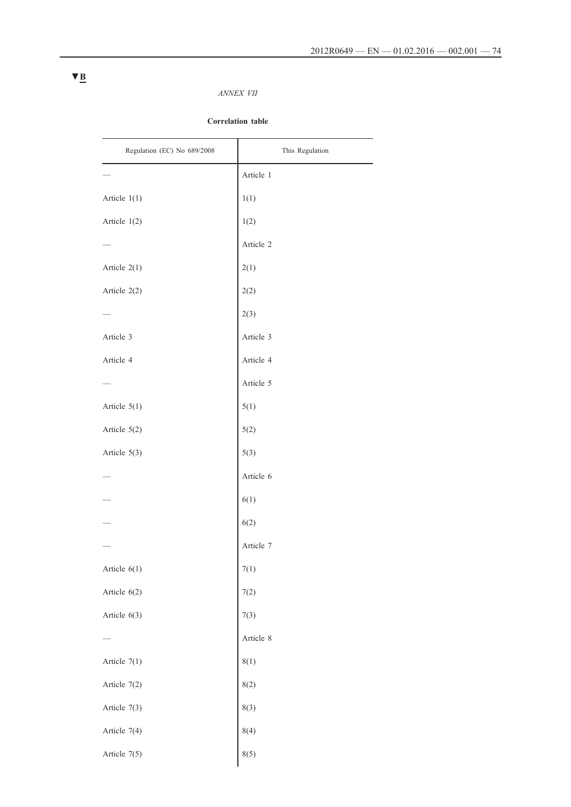### *ANNEX VII*

#### **Correlation table**

| Regulation (EC) No 689/2008 | This Regulation |
|-----------------------------|-----------------|
|                             | Article 1       |
| Article 1(1)                | 1(1)            |
| Article 1(2)                | 1(2)            |
|                             | Article 2       |
| Article 2(1)                | 2(1)            |
| Article 2(2)                | 2(2)            |
|                             | 2(3)            |
| Article 3                   | Article 3       |
| Article 4                   | Article 4       |
|                             | Article 5       |
| Article 5(1)                | 5(1)            |
| Article 5(2)                | 5(2)            |
| Article 5(3)                | 5(3)            |
|                             | Article 6       |
|                             | 6(1)            |
|                             | 6(2)            |
|                             | Article 7       |
| Article $6(1)$              | 7(1)            |
| Article 6(2)                | 7(2)            |
| Article $6(3)$              | 7(3)            |
|                             | Article 8       |
| Article $7(1)$              | 8(1)            |
| Article 7(2)                | 8(2)            |
| Article 7(3)                | 8(3)            |
| Article 7(4)                | 8(4)            |
| Article 7(5)                | 8(5)            |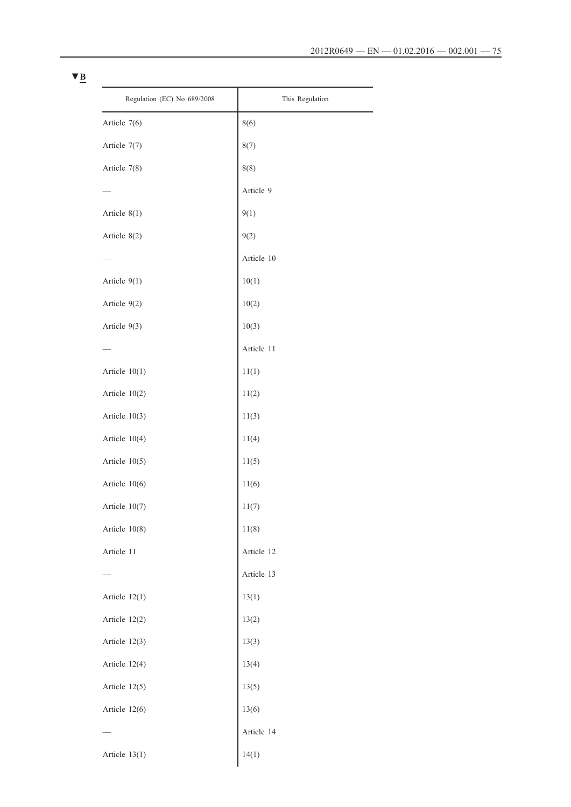| Regulation (EC) No 689/2008 | This Regulation |
|-----------------------------|-----------------|
| Article 7(6)                | 8(6)            |
| Article 7(7)                | 8(7)            |
| Article 7(8)                | 8(8)            |
|                             | Article 9       |
| Article $8(1)$              | 9(1)            |
| Article 8(2)                | 9(2)            |
|                             | Article 10      |
| Article 9(1)                | 10(1)           |
| Article 9(2)                | 10(2)           |
| Article 9(3)                | 10(3)           |
|                             | Article 11      |
| Article $10(1)$             | 11(1)           |
| Article $10(2)$             | 11(2)           |
| Article 10(3)               | 11(3)           |
| Article 10(4)               | 11(4)           |
| Article 10(5)               | 11(5)           |
| Article $10(6)$             | 11(6)           |
| Article 10(7)               | 11(7)           |
| Article 10(8)               | 11(8)           |
| Article 11                  | Article 12      |
|                             | Article 13      |
| Article $12(1)$             | 13(1)           |
| Article 12(2)               | 13(2)           |
| Article 12(3)               | 13(3)           |
| Article 12(4)               | 13(4)           |
| Article 12(5)               | 13(5)           |
| Article 12(6)               | 13(6)           |
|                             | Article 14      |
| Article 13(1)               | 14(1)           |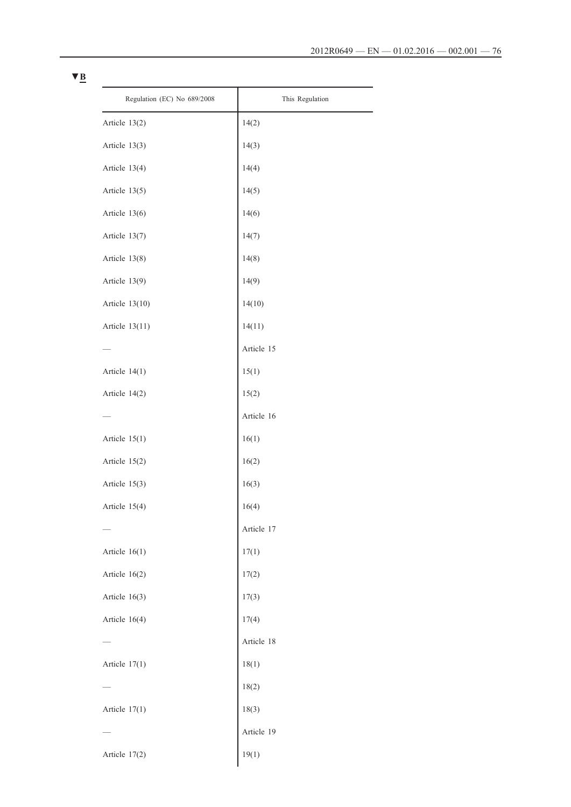| Regulation (EC) No 689/2008 | This Regulation |
|-----------------------------|-----------------|
| Article 13(2)               | 14(2)           |
| Article 13(3)               | 14(3)           |
| Article 13(4)               | 14(4)           |
| Article 13(5)               | 14(5)           |
| Article 13(6)               | 14(6)           |
| Article 13(7)               | 14(7)           |
| Article 13(8)               | 14(8)           |
| Article 13(9)               | 14(9)           |
| Article 13(10)              | 14(10)          |
| Article 13(11)              | 14(11)          |
|                             | Article 15      |
| Article $14(1)$             | 15(1)           |
| Article 14(2)               | 15(2)           |
|                             | Article 16      |
| Article $15(1)$             | 16(1)           |
| Article 15(2)               | 16(2)           |
| Article 15(3)               | 16(3)           |
| Article 15(4)               | 16(4)           |
|                             | Article 17      |
| Article $16(1)$             | 17(1)           |
| Article 16(2)               | 17(2)           |
| Article $16(3)$             | 17(3)           |
| Article 16(4)               | 17(4)           |
|                             | Article 18      |
| Article $17(1)$             | 18(1)           |
|                             | 18(2)           |
| Article $17(1)$             | 18(3)           |
|                             | Article 19      |
| Article 17(2)               | 19(1)           |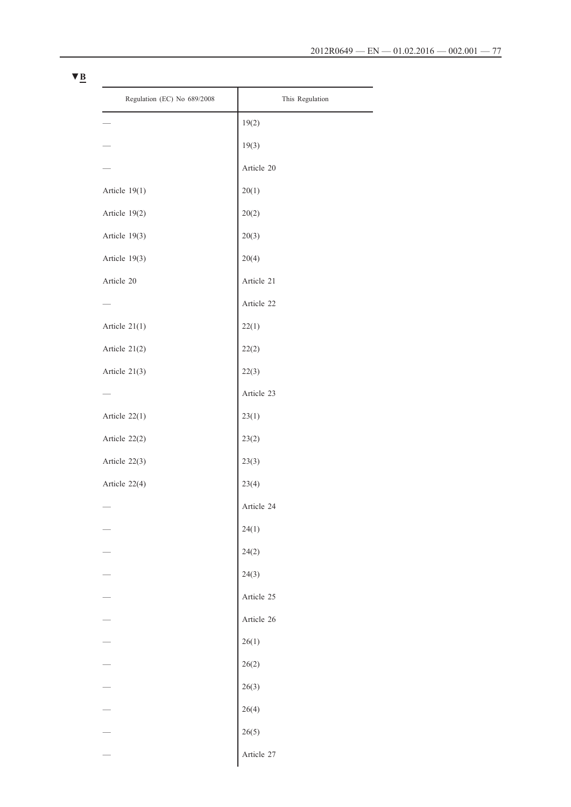L

| Regulation (EC) No 689/2008 | This Regulation |
|-----------------------------|-----------------|
|                             | 19(2)           |
|                             | 19(3)           |
|                             | Article 20      |
| Article 19(1)               | 20(1)           |
| Article 19(2)               | 20(2)           |
| Article 19(3)               | 20(3)           |
| Article 19(3)               | 20(4)           |
| Article 20                  | Article 21      |
|                             | Article 22      |
| Article 21(1)               | 22(1)           |
| Article 21(2)               | 22(2)           |
| Article 21(3)               | 22(3)           |
|                             | Article 23      |
| Article 22(1)               | 23(1)           |
| Article 22(2)               | 23(2)           |
| Article 22(3)               | 23(3)           |
| Article 22(4)               | 23(4)           |
|                             | Article 24      |
|                             | 24(1)           |
|                             | 24(2)           |
|                             | 24(3)           |
|                             | Article 25      |
|                             | Article 26      |
|                             | 26(1)           |
|                             | 26(2)           |
|                             | 26(3)           |
|                             | 26(4)           |
|                             | 26(5)           |
|                             | Article 27      |